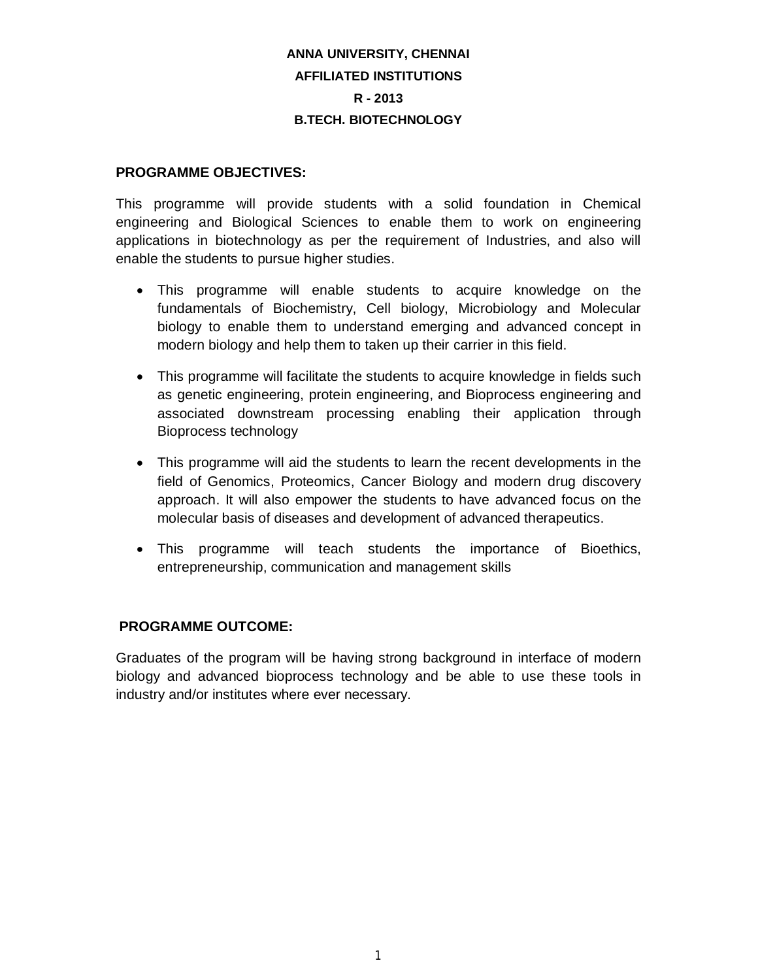# **ANNA UNIVERSITY, CHENNAI AFFILIATED INSTITUTIONS R - 2013 B.TECH. BIOTECHNOLOGY**

# **PROGRAMME OBJECTIVES:**

This programme will provide students with a solid foundation in Chemical engineering and Biological Sciences to enable them to work on engineering applications in biotechnology as per the requirement of Industries, and also will enable the students to pursue higher studies.

- This programme will enable students to acquire knowledge on the fundamentals of Biochemistry, Cell biology, Microbiology and Molecular biology to enable them to understand emerging and advanced concept in modern biology and help them to taken up their carrier in this field.
- This programme will facilitate the students to acquire knowledge in fields such as genetic engineering, protein engineering, and Bioprocess engineering and associated downstream processing enabling their application through Bioprocess technology
- This programme will aid the students to learn the recent developments in the field of Genomics, Proteomics, Cancer Biology and modern drug discovery approach. It will also empower the students to have advanced focus on the molecular basis of diseases and development of advanced therapeutics.
- This programme will teach students the importance of Bioethics, entrepreneurship, communication and management skills

# **PROGRAMME OUTCOME:**

Graduates of the program will be having strong background in interface of modern biology and advanced bioprocess technology and be able to use these tools in industry and/or institutes where ever necessary.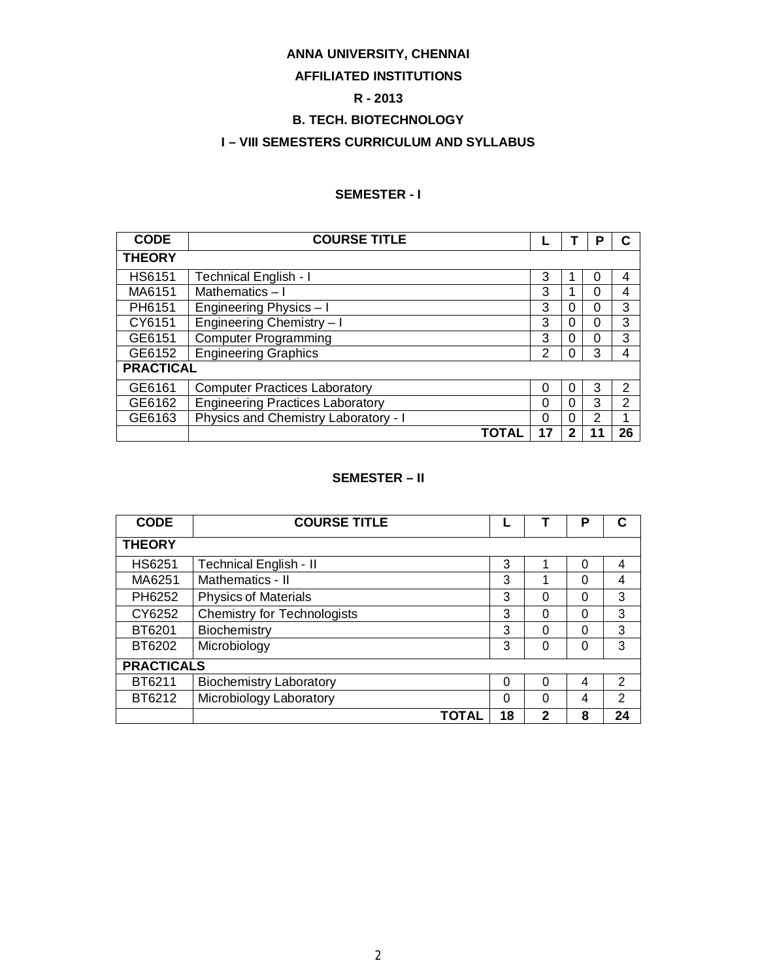# **ANNA UNIVERSITY, CHENNAI**

# **AFFILIATED INSTITUTIONS**

# **R - 2013**

# **B. TECH. BIOTECHNOLOGY**

# **I – VIII SEMESTERS CURRICULUM AND SYLLABUS**

# **SEMESTER - I**

| <b>CODE</b>      | <b>COURSE TITLE</b>                     |    |          | Р        |                |
|------------------|-----------------------------------------|----|----------|----------|----------------|
| <b>THEORY</b>    |                                         |    |          |          |                |
| <b>HS6151</b>    | <b>Technical English - I</b>            | 3  |          | 0        | 4              |
| MA6151           | Mathematics-I                           | 3  |          | $\Omega$ | 4              |
| PH6151           | Engineering Physics - I                 | 3  | 0        | 0        | 3              |
| CY6151           | Engineering Chemistry-I                 | 3  | 0        | 0        | 3              |
| GE6151           | <b>Computer Programming</b>             | 3  | 0        | $\Omega$ | 3              |
| GE6152           | <b>Engineering Graphics</b>             | 2  | $\Omega$ | 3        | 4              |
| <b>PRACTICAL</b> |                                         |    |          |          |                |
| GE6161           | <b>Computer Practices Laboratory</b>    | 0  | $\theta$ | 3        | 2              |
| GE6162           | <b>Engineering Practices Laboratory</b> | 0  | 0        | 3        | $\overline{2}$ |
| GE6163           | Physics and Chemistry Laboratory - I    | 0  | $\Omega$ | 2        | 1              |
|                  | TOTAL                                   | 17 |          |          | 26             |

# **SEMESTER – II**

| <b>CODE</b>       | <b>COURSE TITLE</b>                |    |   | Р |               |
|-------------------|------------------------------------|----|---|---|---------------|
| <b>THEORY</b>     |                                    |    |   |   |               |
| <b>HS6251</b>     | <b>Technical English - II</b>      | 3  |   | O | 4             |
| MA6251            | Mathematics - II                   | 3  |   | 0 | 4             |
| PH6252            | <b>Physics of Materials</b>        | 3  | 0 | 0 | 3             |
| CY6252            | <b>Chemistry for Technologists</b> | 3  | 0 | 0 | 3             |
| BT6201            | Biochemistry                       | 3  | 0 | 0 | 3             |
| BT6202            | Microbiology                       | 3  | 0 | 0 | 3             |
| <b>PRACTICALS</b> |                                    |    |   |   |               |
| BT6211            | <b>Biochemistry Laboratory</b>     | 0  | 0 | 4 | 2             |
| BT6212            | Microbiology Laboratory            | 0  | 0 | 4 | $\mathcal{P}$ |
|                   | ΤΟΤΑΙ                              | 18 | 2 | 8 | 24            |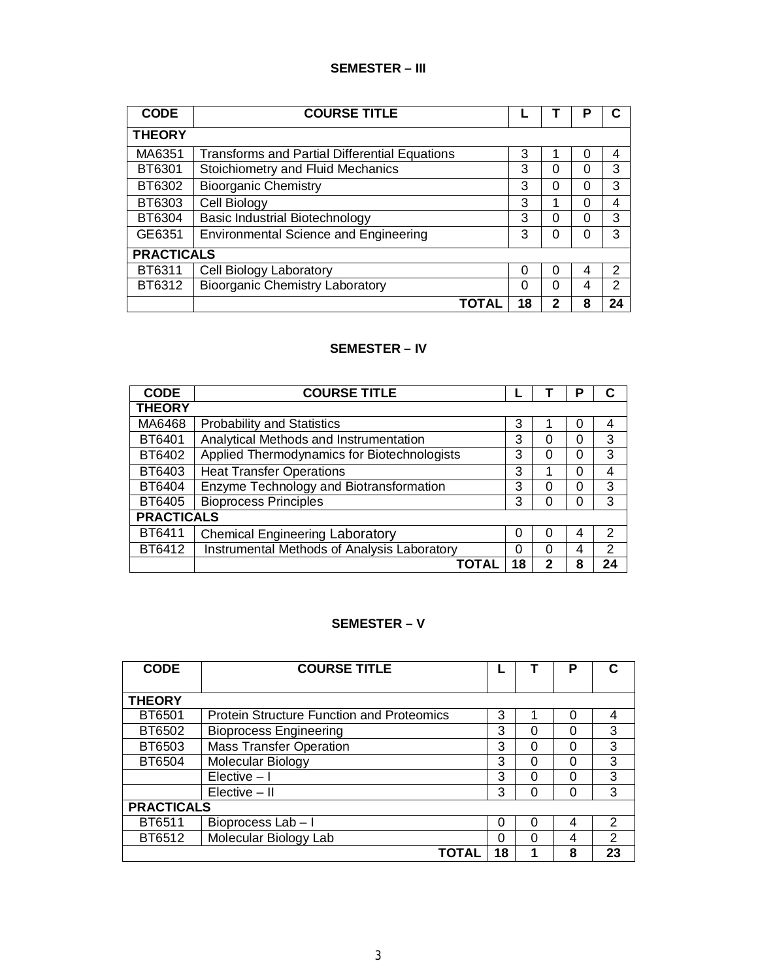# **SEMESTER – III**

| <b>CODE</b>       | <b>COURSE TITLE</b>                                  |    |   | Р        |    |
|-------------------|------------------------------------------------------|----|---|----------|----|
| <b>THEORY</b>     |                                                      |    |   |          |    |
| MA6351            | <b>Transforms and Partial Differential Equations</b> | 3  |   | 0        | 4  |
| BT6301            | Stoichiometry and Fluid Mechanics                    | 3  | 0 | 0        | 3  |
| BT6302            | <b>Bioorganic Chemistry</b>                          | 3  | 0 | 0        | 3  |
| BT6303            | Cell Biology                                         | 3  |   | $\Omega$ | 4  |
| BT6304            | <b>Basic Industrial Biotechnology</b>                | 3  | 0 | 0        | 3  |
| GE6351            | <b>Environmental Science and Engineering</b>         | 3  | 0 | 0        | 3  |
| <b>PRACTICALS</b> |                                                      |    |   |          |    |
| BT6311            | Cell Biology Laboratory                              | 0  | 0 | 4        | 2  |
| BT6312            | <b>Bioorganic Chemistry Laboratory</b>               | 0  | 0 | 4        | າ  |
|                   | ΤΟΤΑΙ                                                | 18 | 2 | 8        | 24 |

# **SEMESTER – IV**

| <b>CODE</b>       | <b>COURSE TITLE</b>                         |    |   | Р |               |
|-------------------|---------------------------------------------|----|---|---|---------------|
| <b>THEORY</b>     |                                             |    |   |   |               |
| MA6468            | <b>Probability and Statistics</b>           | 3  |   | 0 | 4             |
| BT6401            | Analytical Methods and Instrumentation      | 3  | 0 | 0 | 3             |
| BT6402            | Applied Thermodynamics for Biotechnologists | 3  | 0 | 0 | 3             |
| BT6403            | <b>Heat Transfer Operations</b>             | 3  |   | 0 | 4             |
| BT6404            | Enzyme Technology and Biotransformation     | 3  | 0 | 0 | 3             |
| BT6405            | <b>Bioprocess Principles</b>                | 3  | 0 | 0 | 3             |
| <b>PRACTICALS</b> |                                             |    |   |   |               |
| BT6411            | <b>Chemical Engineering Laboratory</b>      | 0  | ∩ | 4 | $\mathcal{P}$ |
| BT6412            | Instrumental Methods of Analysis Laboratory | 0  | ∩ | 4 | 2             |
|                   | <b>TOTAL</b>                                | 18 |   | 8 | 24            |

# **SEMESTER – V**

| <b>CODE</b>       | <b>COURSE TITLE</b>                              |    |   | Р |               |
|-------------------|--------------------------------------------------|----|---|---|---------------|
| <b>THEORY</b>     |                                                  |    |   |   |               |
| BT6501            | <b>Protein Structure Function and Proteomics</b> | 3  |   | ∩ | 4             |
|                   |                                                  |    |   |   |               |
| BT6502            | <b>Bioprocess Engineering</b>                    | 3  | 0 | ∩ | 3             |
| BT6503            | <b>Mass Transfer Operation</b>                   | 3  | 0 | 0 | 3             |
| BT6504            | Molecular Biology                                | 3  | 0 | 0 | 3             |
|                   | $Elective - I$                                   | 3  | 0 | ∩ | 3             |
|                   | Elective - II                                    | 3  | ი | 0 | 3             |
| <b>PRACTICALS</b> |                                                  |    |   |   |               |
| BT6511            | Bioprocess Lab-I                                 | 0  | 0 | 4 | $\mathcal{P}$ |
| BT6512            | Molecular Biology Lab                            | ∩  | 0 | 4 | 2             |
|                   | ΤΟΤΑΙ                                            | 18 |   | 8 | 23            |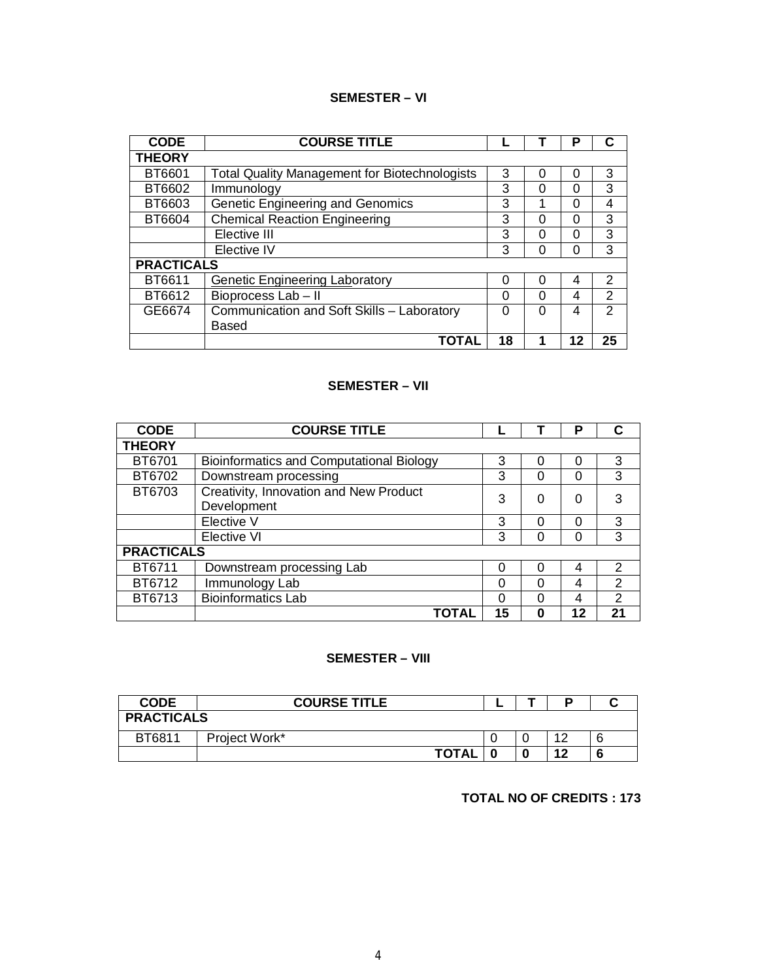# **SEMESTER – VI**

| <b>CODE</b>       | <b>COURSE TITLE</b>                                  |    |   | Р  | C              |
|-------------------|------------------------------------------------------|----|---|----|----------------|
| <b>THEORY</b>     |                                                      |    |   |    |                |
| BT6601            | <b>Total Quality Management for Biotechnologists</b> | 3  | 0 | 0  | 3              |
| BT6602            | Immunology                                           | 3  | 0 | O  | 3              |
| BT6603            | <b>Genetic Engineering and Genomics</b>              | 3  | А | O  | 4              |
| BT6604            | <b>Chemical Reaction Engineering</b>                 | 3  | 0 | 0  | 3              |
|                   | Elective III                                         | 3  | O | ი  | 3              |
|                   | Elective IV                                          | 3  | 0 |    | 3              |
| <b>PRACTICALS</b> |                                                      |    |   |    |                |
| BT6611            | <b>Genetic Engineering Laboratory</b>                | 0  | 0 | 4  | 2              |
| BT6612            | Bioprocess Lab - II                                  | ∩  | O | 4  | 2              |
| GE6674            | Communication and Soft Skills - Laboratory           | 0  | 0 | 4  | $\mathfrak{p}$ |
|                   | Based                                                |    |   |    |                |
|                   | ΤΟΤΑL                                                | 18 |   | 12 | 25             |

# **SEMESTER – VII**

| <b>CODE</b>       | <b>COURSE TITLE</b>                                   |    |          | P        |                |
|-------------------|-------------------------------------------------------|----|----------|----------|----------------|
| <b>THEORY</b>     |                                                       |    |          |          |                |
| BT6701            | <b>Bioinformatics and Computational Biology</b>       | 3  | 0        | $\Omega$ | 3              |
| BT6702            | Downstream processing                                 | 3  | 0        | 0        | 3              |
| BT6703            | Creativity, Innovation and New Product<br>Development | 3  | 0        | 0        | 3              |
|                   | Elective V                                            | 3  | 0        | 0        | 3              |
|                   | Elective VI                                           | 3  | 0        | 0        | 3              |
| <b>PRACTICALS</b> |                                                       |    |          |          |                |
| BT6711            | Downstream processing Lab                             | O  | 0        | 4        | $\overline{2}$ |
| BT6712            | Immunology Lab                                        | ∩  | 0        | 4        | 2              |
| BT6713            | <b>Bioinformatics Lab</b>                             | ∩  | $\Omega$ | 4        | 2              |
|                   | TOTAL                                                 | 15 | 0        | 12       | 21             |

### **SEMESTER – VIII**

| CODE              | <b>COURSE TITLE</b> |  |  |                 |  |  |
|-------------------|---------------------|--|--|-----------------|--|--|
| <b>PRACTICALS</b> |                     |  |  |                 |  |  |
| BT6811            | Project Work*       |  |  | $\overline{10}$ |  |  |
|                   | <b>TOTAL</b>        |  |  | 12              |  |  |

# **TOTAL NO OF CREDITS : 173**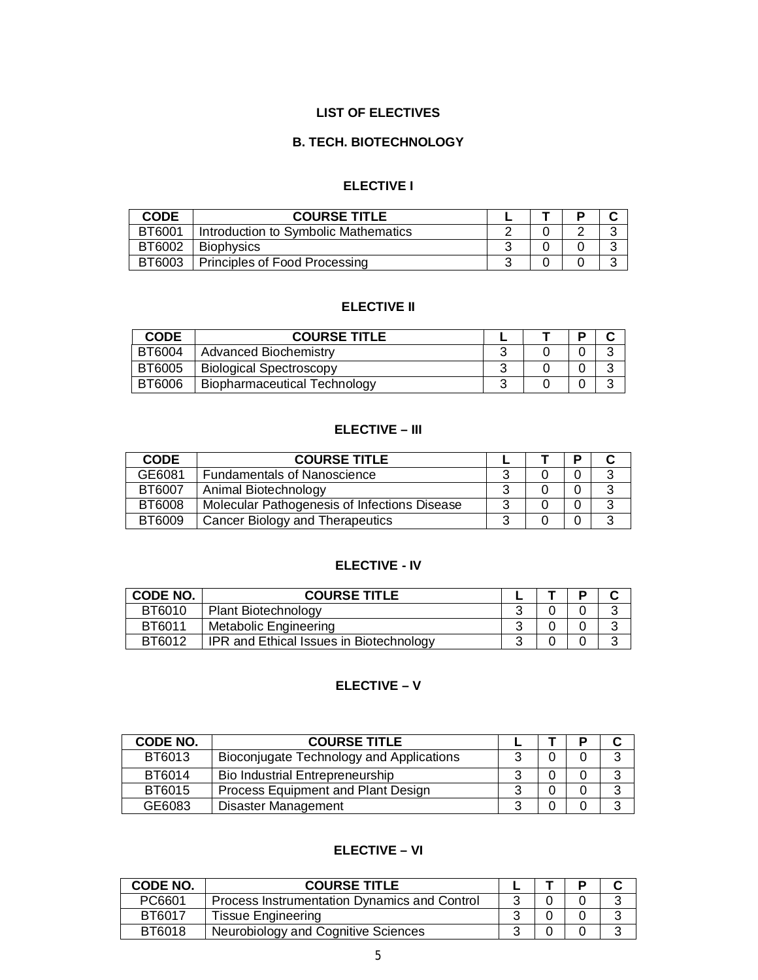# **LIST OF ELECTIVES**

# **B. TECH. BIOTECHNOLOGY**

# **ELECTIVE I**

| <b>CODE</b> | <b>COURSE TITLE</b>                  |  |        |
|-------------|--------------------------------------|--|--------|
| BT6001      | Introduction to Symbolic Mathematics |  | $\sim$ |
| BT6002      | <b>Biophysics</b>                    |  | $\sim$ |
| BT6003      | Principles of Food Processing        |  | ⌒      |

### **ELECTIVE II**

| <b>CODE</b>   | <b>COURSE TITLE</b>                 |  |   |
|---------------|-------------------------------------|--|---|
| BT6004        | <b>Advanced Biochemistry</b>        |  |   |
| <b>BT6005</b> | <b>Biological Spectroscopy</b>      |  |   |
| BT6006        | <b>Biopharmaceutical Technology</b> |  | J |

# **ELECTIVE – III**

| <b>CODE</b>   | <b>COURSE TITLE</b>                          |   |  |  |
|---------------|----------------------------------------------|---|--|--|
| GE6081        | <b>Fundamentals of Nanoscience</b>           |   |  |  |
| BT6007        | Animal Biotechnology                         | ົ |  |  |
| <b>BT6008</b> | Molecular Pathogenesis of Infections Disease | ີ |  |  |
| BT6009        | Cancer Biology and Therapeutics              | 2 |  |  |

# **ELECTIVE - IV**

| <b>CODE NO.</b> | <b>COURSE TITLE</b>                            |  |  |
|-----------------|------------------------------------------------|--|--|
| BT6010          | <b>Plant Biotechnology</b>                     |  |  |
| BT6011          | <b>Metabolic Engineering</b>                   |  |  |
| BT6012          | <b>IPR and Ethical Issues in Biotechnology</b> |  |  |

# **ELECTIVE – V**

| <b>CODE NO.</b> | <b>COURSE TITLE</b>                      |   |  |  |
|-----------------|------------------------------------------|---|--|--|
| BT6013          | Bioconjugate Technology and Applications | າ |  |  |
| BT6014          | Bio Industrial Entrepreneurship          |   |  |  |
| BT6015          | Process Equipment and Plant Design       | ິ |  |  |
| GE6083          | <b>Disaster Management</b>               | ◠ |  |  |

# **ELECTIVE – VI**

| CODE NO. | <b>COURSE TITLE</b>                          |  |  |
|----------|----------------------------------------------|--|--|
| PC6601   | Process Instrumentation Dynamics and Control |  |  |
| BT6017   | <b>Tissue Engineering</b>                    |  |  |
| BT6018   | Neurobiology and Cognitive Sciences          |  |  |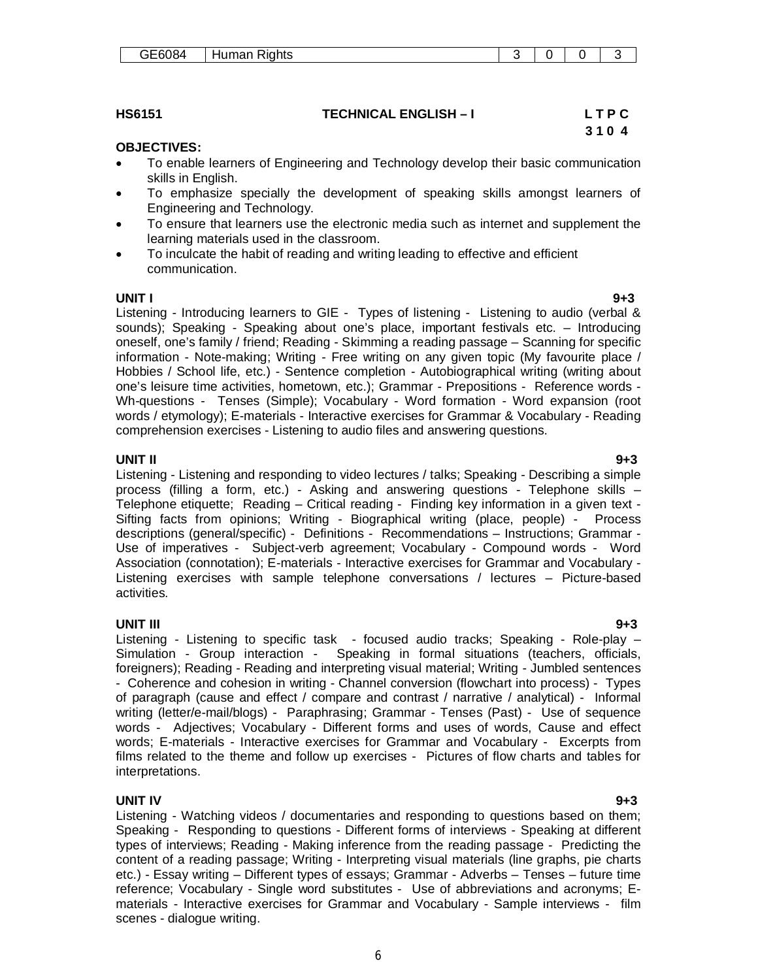- To enable learners of Engineering and Technology develop their basic communication skills in English.
- To emphasize specially the development of speaking skills amongst learners of Engineering and Technology.
- To ensure that learners use the electronic media such as internet and supplement the learning materials used in the classroom.
- To inculcate the habit of reading and writing leading to effective and efficient communication.

### **UNIT I 9+3**

**OBJECTIVES:** 

Listening - Introducing learners to GIE - Types of listening - Listening to audio (verbal & sounds); Speaking - Speaking about one's place, important festivals etc. – Introducing oneself, one's family / friend; Reading - Skimming a reading passage – Scanning for specific information - Note-making; Writing - Free writing on any given topic (My favourite place / Hobbies / School life, etc.) - Sentence completion - Autobiographical writing (writing about one's leisure time activities, hometown, etc.); Grammar - Prepositions - Reference words - Wh-questions - Tenses (Simple); Vocabulary - Word formation - Word expansion (root words / etymology); E-materials - Interactive exercises for Grammar & Vocabulary - Reading comprehension exercises - Listening to audio files and answering questions.

### **UNIT II 9+3**

Listening - Listening and responding to video lectures / talks; Speaking - Describing a simple process (filling a form, etc.) - Asking and answering questions - Telephone skills – Telephone etiquette; Reading – Critical reading - Finding key information in a given text - Sifting facts from opinions; Writing - Biographical writing (place, people) - Process descriptions (general/specific) - Definitions - Recommendations – Instructions; Grammar - Use of imperatives - Subject-verb agreement; Vocabulary - Compound words - Word Association (connotation); E-materials - Interactive exercises for Grammar and Vocabulary - Listening exercises with sample telephone conversations / lectures – Picture-based activities.

### **UNIT III 9+3**

Listening - Listening to specific task - focused audio tracks; Speaking - Role-play – Simulation - Group interaction - Speaking in formal situations (teachers, officials, foreigners); Reading - Reading and interpreting visual material; Writing - Jumbled sentences - Coherence and cohesion in writing - Channel conversion (flowchart into process) - Types of paragraph (cause and effect / compare and contrast / narrative / analytical) - Informal writing (letter/e-mail/blogs) - Paraphrasing; Grammar - Tenses (Past) - Use of sequence words - Adjectives; Vocabulary - Different forms and uses of words, Cause and effect words; E-materials - Interactive exercises for Grammar and Vocabulary - Excerpts from films related to the theme and follow up exercises - Pictures of flow charts and tables for interpretations.

### **UNIT IV 9+3**

Listening - Watching videos / documentaries and responding to questions based on them; Speaking - Responding to questions - Different forms of interviews - Speaking at different types of interviews; Reading - Making inference from the reading passage - Predicting the content of a reading passage; Writing - Interpreting visual materials (line graphs, pie charts etc.) - Essay writing – Different types of essays; Grammar - Adverbs – Tenses – future time reference; Vocabulary - Single word substitutes - Use of abbreviations and acronyms; Ematerials - Interactive exercises for Grammar and Vocabulary - Sample interviews - film scenes - dialogue writing.

# **HS6151 TECHNICAL ENGLISH – I L T P C**

# **3 1 0 4**

| GE6084 | Human Rights |  |  |
|--------|--------------|--|--|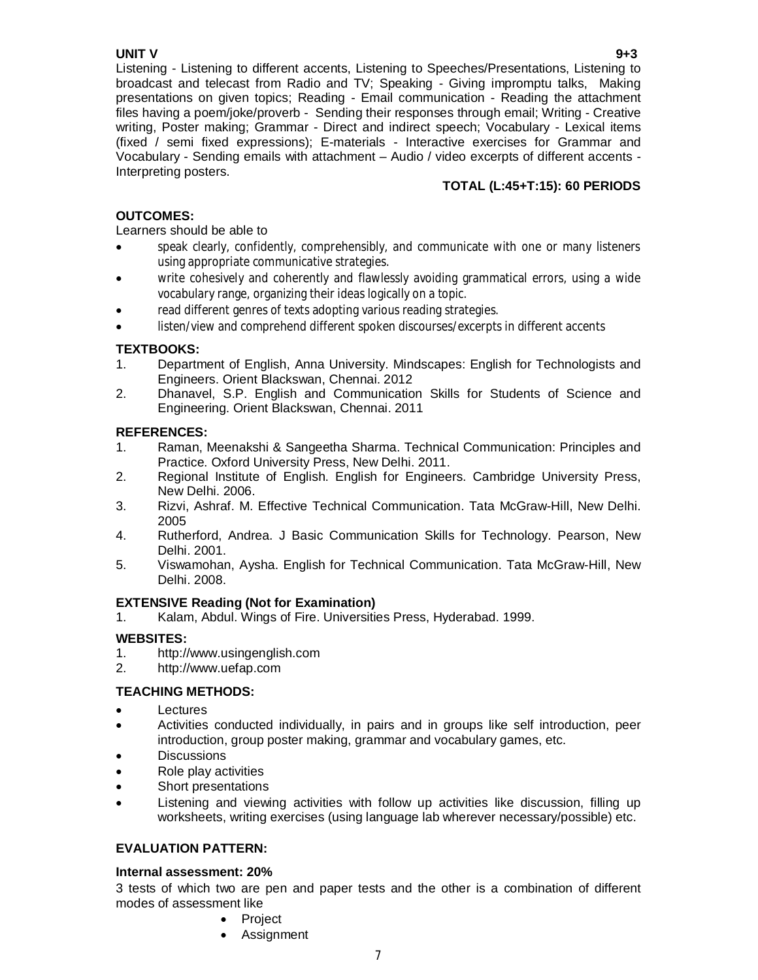# **UNIT V 9+3**

Listening - Listening to different accents, Listening to Speeches/Presentations, Listening to broadcast and telecast from Radio and TV; Speaking - Giving impromptu talks, Making presentations on given topics; Reading - Email communication - Reading the attachment files having a poem/joke/proverb - Sending their responses through email; Writing - Creative writing, Poster making; Grammar - Direct and indirect speech; Vocabulary - Lexical items (fixed / semi fixed expressions); E-materials - Interactive exercises for Grammar and Vocabulary - Sending emails with attachment – Audio / video excerpts of different accents - Interpreting posters.

# **TOTAL (L:45+T:15): 60 PERIODS**

# **OUTCOMES:**

# Learners should be able to

- speak clearly, confidently, comprehensibly, and communicate with one or many listeners using appropriate communicative strategies.
- write cohesively and coherently and flawlessly avoiding grammatical errors, using a wide vocabulary range, organizing their ideas logically on a topic.
- read different genres of texts adopting various reading strategies.
- listen/view and comprehend different spoken discourses/excerpts in different accents

# **TEXTBOOKS:**

- 1. Department of English, Anna University. Mindscapes: English for Technologists and Engineers. Orient Blackswan, Chennai. 2012
- 2. Dhanavel, S.P. English and Communication Skills for Students of Science and Engineering. Orient Blackswan, Chennai. 2011

# **REFERENCES:**

- 1. Raman, Meenakshi & Sangeetha Sharma. Technical Communication: Principles and Practice. Oxford University Press, New Delhi. 2011.
- 2. Regional Institute of English. English for Engineers. Cambridge University Press, New Delhi. 2006.
- 3. Rizvi, Ashraf. M. Effective Technical Communication. Tata McGraw-Hill, New Delhi. 2005
- 4. Rutherford, Andrea. J Basic Communication Skills for Technology. Pearson, New Delhi. 2001.
- 5. Viswamohan, Aysha. English for Technical Communication. Tata McGraw-Hill, New Delhi. 2008.

# **EXTENSIVE Reading (Not for Examination)**

1. Kalam, Abdul. Wings of Fire. Universities Press, Hyderabad. 1999.

# **WEBSITES:**

- 1. http://www.usingenglish.com
- 2. http://www.uefap.com

# **TEACHING METHODS:**

- Lectures
- Activities conducted individually, in pairs and in groups like self introduction, peer introduction, group poster making, grammar and vocabulary games, etc.
- **Discussions**
- Role play activities
- Short presentations
- Listening and viewing activities with follow up activities like discussion, filling up worksheets, writing exercises (using language lab wherever necessary/possible) etc.

# **EVALUATION PATTERN:**

# **Internal assessment: 20%**

3 tests of which two are pen and paper tests and the other is a combination of different modes of assessment like

- Project
- Assignment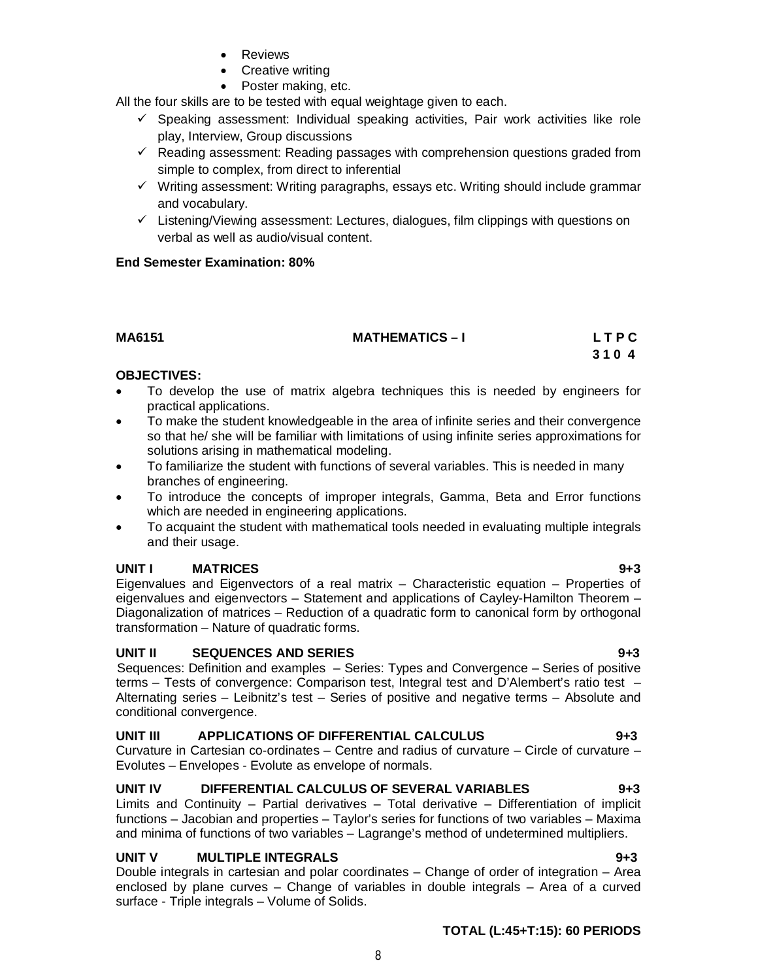- Reviews
- Creative writing
- Poster making, etc.

All the four skills are to be tested with equal weightage given to each.

- $\checkmark$  Speaking assessment: Individual speaking activities, Pair work activities like role play, Interview, Group discussions
- $\checkmark$  Reading assessment: Reading passages with comprehension questions graded from simple to complex, from direct to inferential
- $\checkmark$  Writing assessment: Writing paragraphs, essays etc. Writing should include grammar and vocabulary.
- $\checkmark$  Listening/Viewing assessment: Lectures, dialogues, film clippings with questions on verbal as well as audio/visual content.

# **End Semester Examination: 80%**

| MA6151 | <b>MATHEMATICS-I</b> | LTPC |
|--------|----------------------|------|
|        |                      | 3104 |

# **OBJECTIVES:**

- To develop the use of matrix algebra techniques this is needed by engineers for practical applications.
- To make the student knowledgeable in the area of infinite series and their convergence so that he/ she will be familiar with limitations of using infinite series approximations for solutions arising in mathematical modeling.
- To familiarize the student with functions of several variables. This is needed in many branches of engineering.
- To introduce the concepts of improper integrals, Gamma, Beta and Error functions which are needed in engineering applications.
- To acquaint the student with mathematical tools needed in evaluating multiple integrals and their usage.

# **UNIT I MATRICES 9+3**

Eigenvalues and Eigenvectors of a real matrix – Characteristic equation – Properties of eigenvalues and eigenvectors – Statement and applications of Cayley-Hamilton Theorem – Diagonalization of matrices – Reduction of a quadratic form to canonical form by orthogonal transformation – Nature of quadratic forms.

# **UNIT II SEQUENCES AND SERIES 9+3**

Sequences: Definition and examples – Series: Types and Convergence – Series of positive terms – Tests of convergence: Comparison test, Integral test and D'Alembert's ratio test – Alternating series – Leibnitz's test – Series of positive and negative terms – Absolute and conditional convergence.

# **UNIT III APPLICATIONS OF DIFFERENTIAL CALCULUS 9+3**

Curvature in Cartesian co-ordinates – Centre and radius of curvature – Circle of curvature – Evolutes – Envelopes - Evolute as envelope of normals.

# **UNIT IV DIFFERENTIAL CALCULUS OF SEVERAL VARIABLES 9+3**

Limits and Continuity – Partial derivatives – Total derivative – Differentiation of implicit functions – Jacobian and properties – Taylor's series for functions of two variables – Maxima and minima of functions of two variables – Lagrange's method of undetermined multipliers.

# **UNIT V MULTIPLE INTEGRALS 9+3**

Double integrals in cartesian and polar coordinates – Change of order of integration – Area enclosed by plane curves – Change of variables in double integrals – Area of a curved surface - Triple integrals – Volume of Solids.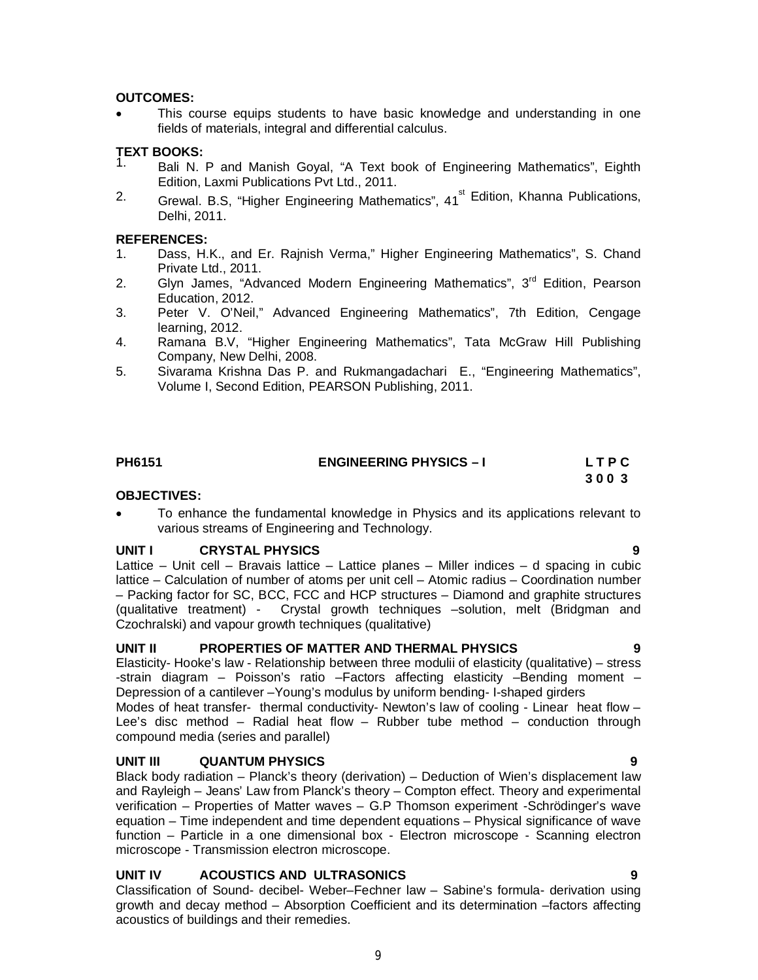# **OUTCOMES:**

 This course equips students to have basic knowledge and understanding in one fields of materials, integral and differential calculus.

# **TEXT BOOKS:**

- 1. Bali N. P and Manish Goyal, "A Text book of Engineering Mathematics", Eighth Edition, Laxmi Publications Pvt Ltd., 2011.
- <sup>2.</sup> Grewal. B.S, "Higher Engineering Mathematics", 41<sup>st</sup> Edition, Khanna Publications, Delhi, 2011.

# **REFERENCES:**

- 1. Dass, H.K., and Er. Rajnish Verma," Higher Engineering Mathematics", S. Chand Private Ltd., 2011.
- 2. Glyn James, "Advanced Modern Engineering Mathematics", 3<sup>rd</sup> Edition, Pearson Education, 2012.
- 3. Peter V. O'Neil," Advanced Engineering Mathematics", 7th Edition, Cengage learning, 2012.
- 4. Ramana B.V, "Higher Engineering Mathematics", Tata McGraw Hill Publishing Company, New Delhi, 2008.
- 5. Sivarama Krishna Das P. and Rukmangadachari E., "Engineering Mathematics", Volume I, Second Edition, PEARSON Publishing, 2011.

# **PH6151** ENGINEERING PHYSICS – I LTPC

# **3 0 0 3**

# **OBJECTIVES:**

 To enhance the fundamental knowledge in Physics and its applications relevant to various streams of Engineering and Technology.

# **UNIT I CRYSTAL PHYSICS 9**

Lattice – Unit cell – Bravais lattice – Lattice planes – Miller indices – d spacing in cubic lattice – Calculation of number of atoms per unit cell – Atomic radius – Coordination number – Packing factor for SC, BCC, FCC and HCP structures – Diamond and graphite structures (qualitative treatment) - Crystal growth techniques –solution, melt (Bridgman and Czochralski) and vapour growth techniques (qualitative)

# UNIT II PROPERTIES OF MATTER AND THERMAL PHYSICS

Elasticity- Hooke's law - Relationship between three modulii of elasticity (qualitative) – stress -strain diagram – Poisson's ratio –Factors affecting elasticity –Bending moment – Depression of a cantilever –Young's modulus by uniform bending- I-shaped girders

Modes of heat transfer- thermal conductivity- Newton's law of cooling - Linear heat flow – Lee's disc method – Radial heat flow – Rubber tube method – conduction through compound media (series and parallel)

# **UNIT III QUANTUM PHYSICS 9**

Black body radiation – Planck's theory (derivation) – Deduction of Wien's displacement law and Rayleigh – Jeans' Law from Planck's theory – Compton effect. Theory and experimental verification – Properties of Matter waves – G.P Thomson experiment -Schrödinger's wave equation – Time independent and time dependent equations – Physical significance of wave function – Particle in a one dimensional box - Electron microscope - Scanning electron microscope - Transmission electron microscope.

# **UNIT IV ACOUSTICS AND ULTRASONICS 9**

Classification of Sound- decibel- Weber–Fechner law – Sabine's formula- derivation using growth and decay method – Absorption Coefficient and its determination –factors affecting acoustics of buildings and their remedies.

9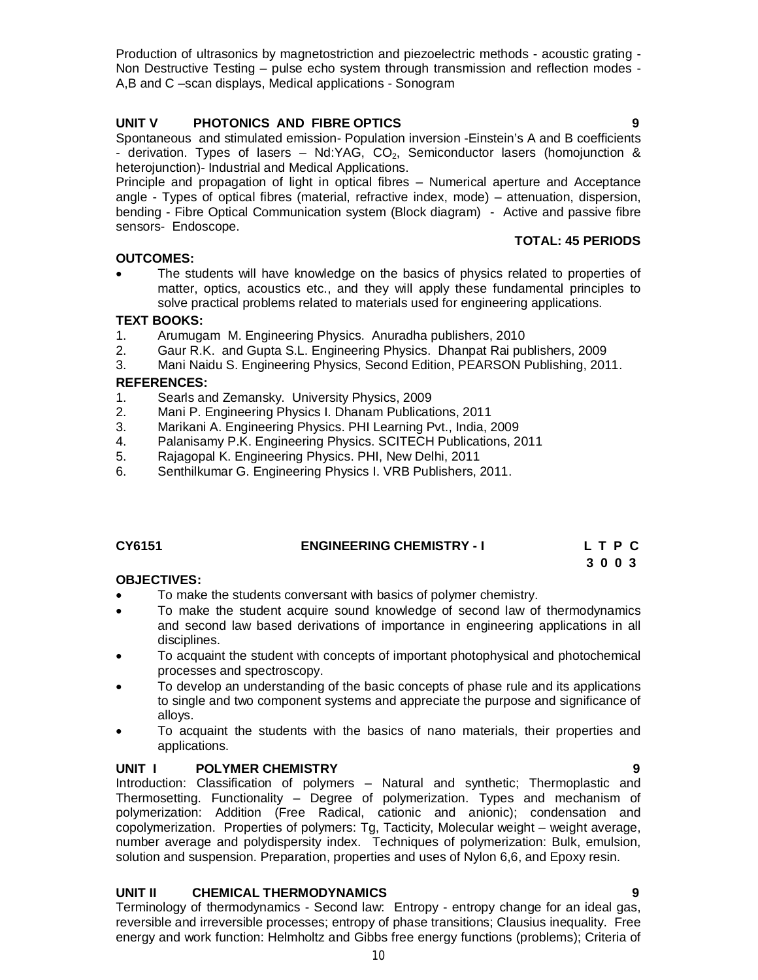Production of ultrasonics by magnetostriction and piezoelectric methods - acoustic grating - Non Destructive Testing – pulse echo system through transmission and reflection modes - A,B and C –scan displays, Medical applications - Sonogram

# **UNIT V PHOTONICS AND FIBRE OPTICS 9**

Spontaneous and stimulated emission- Population inversion -Einstein's A and B coefficients - derivation. Types of lasers – Nd:YAG,  $CO<sub>2</sub>$ , Semiconductor lasers (homojunction & heterojunction)- Industrial and Medical Applications.

Principle and propagation of light in optical fibres – Numerical aperture and Acceptance angle - Types of optical fibres (material, refractive index, mode) – attenuation, dispersion, bending - Fibre Optical Communication system (Block diagram) - Active and passive fibre sensors- Endoscope.

# **OUTCOMES:**

 The students will have knowledge on the basics of physics related to properties of matter, optics, acoustics etc., and they will apply these fundamental principles to solve practical problems related to materials used for engineering applications.

# **TEXT BOOKS:**

- 1. Arumugam M. Engineering Physics. Anuradha publishers, 2010
- 2. Gaur R.K. and Gupta S.L. Engineering Physics. Dhanpat Rai publishers, 2009
- 3. Mani Naidu S. Engineering Physics, Second Edition, PEARSON Publishing, 2011.

# **REFERENCES:**

- 1. Searls and Zemansky. University Physics, 2009
- 2. Mani P. Engineering Physics I. Dhanam Publications, 2011
- 3. Marikani A. Engineering Physics. PHI Learning Pvt., India, 2009
- 4. Palanisamy P.K. Engineering Physics. SCITECH Publications, 2011
- 5. Rajagopal K. Engineering Physics. PHI, New Delhi, 2011
- 6. Senthilkumar G. Engineering Physics I. VRB Publishers, 2011.

# **CY6151 ENGINEERING CHEMISTRY - I L T P C**

**3 0 0 3 3 0 0 3** 

# **OBJECTIVES:**

- To make the students conversant with basics of polymer chemistry.
- To make the student acquire sound knowledge of second law of thermodynamics and second law based derivations of importance in engineering applications in all disciplines.
- To acquaint the student with concepts of important photophysical and photochemical processes and spectroscopy.
- To develop an understanding of the basic concepts of phase rule and its applications to single and two component systems and appreciate the purpose and significance of alloys.
- To acquaint the students with the basics of nano materials, their properties and applications.

# **UNIT I POLYMER CHEMISTRY 9**

Introduction: Classification of polymers – Natural and synthetic; Thermoplastic and Thermosetting. Functionality – Degree of polymerization. Types and mechanism of polymerization: Addition (Free Radical, cationic and anionic); condensation and copolymerization. Properties of polymers: Tg, Tacticity, Molecular weight – weight average, number average and polydispersity index. Techniques of polymerization: Bulk, emulsion, solution and suspension. Preparation, properties and uses of Nylon 6,6, and Epoxy resin.

# **UNIT II CHEMICAL THERMODYNAMICS 9**

Terminology of thermodynamics - Second law: Entropy - entropy change for an ideal gas, reversible and irreversible processes; entropy of phase transitions; Clausius inequality. Free energy and work function: Helmholtz and Gibbs free energy functions (problems); Criteria of

**TOTAL: 45 PERIODS**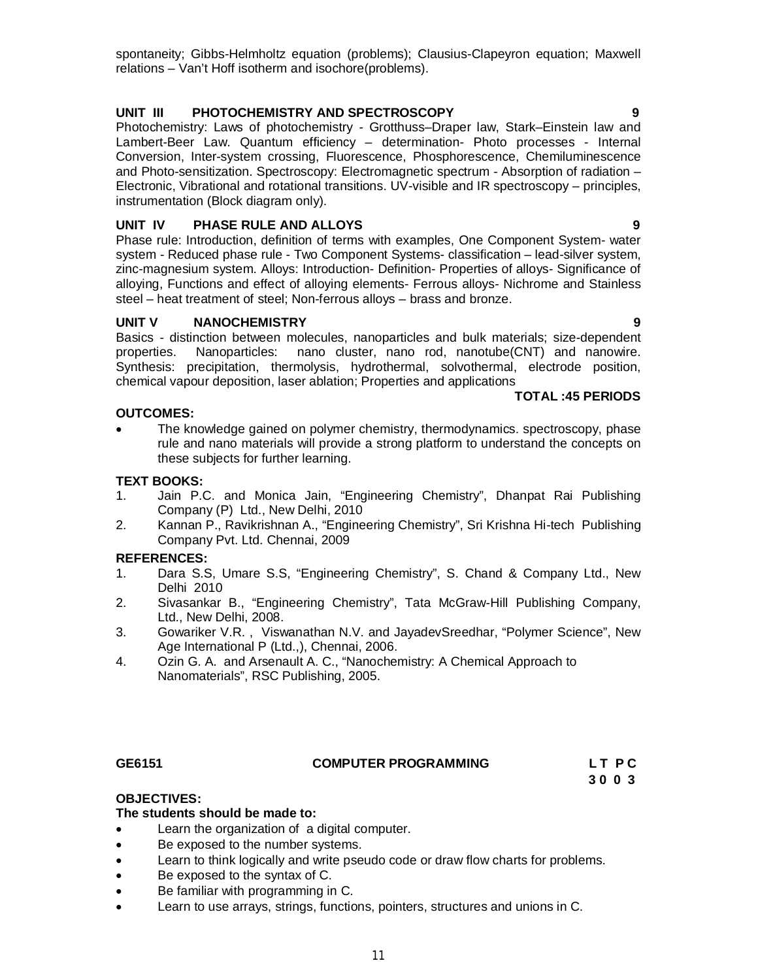spontaneity; Gibbs-Helmholtz equation (problems); Clausius-Clapeyron equation; Maxwell relations – Van't Hoff isotherm and isochore(problems).

# **UNIT III PHOTOCHEMISTRY AND SPECTROSCOPY 9**

Photochemistry: Laws of photochemistry - Grotthuss–Draper law, Stark–Einstein law and Lambert-Beer Law. Quantum efficiency – determination- Photo processes - Internal Conversion, Inter-system crossing, Fluorescence, Phosphorescence, Chemiluminescence and Photo-sensitization. Spectroscopy: Electromagnetic spectrum - Absorption of radiation – Electronic, Vibrational and rotational transitions. UV-visible and IR spectroscopy – principles, instrumentation (Block diagram only).

# **UNIT IV PHASE RULE AND ALLOYS 9**

Phase rule: Introduction, definition of terms with examples, One Component System- water system - Reduced phase rule - Two Component Systems- classification – lead-silver system, zinc-magnesium system. Alloys: Introduction- Definition- Properties of alloys- Significance of alloying, Functions and effect of alloying elements- Ferrous alloys- Nichrome and Stainless steel – heat treatment of steel; Non-ferrous alloys – brass and bronze.

# **UNIT V NANOCHEMISTRY 9**

Basics - distinction between molecules, nanoparticles and bulk materials; size-dependent properties. Nanoparticles: nano cluster, nano rod, nanotube(CNT) and nanowire. Synthesis: precipitation, thermolysis, hydrothermal, solvothermal, electrode position, chemical vapour deposition, laser ablation; Properties and applications

# **TOTAL :45 PERIODS**

# **OUTCOMES:**

 The knowledge gained on polymer chemistry, thermodynamics. spectroscopy, phase rule and nano materials will provide a strong platform to understand the concepts on these subjects for further learning.

# **TEXT BOOKS:**

- 1. Jain P.C. and Monica Jain, "Engineering Chemistry", Dhanpat Rai Publishing Company (P) Ltd., New Delhi, 2010
- 2. Kannan P., Ravikrishnan A., "Engineering Chemistry", Sri Krishna Hi-tech Publishing Company Pvt. Ltd. Chennai, 2009

# **REFERENCES:**

- 1. Dara S.S, Umare S.S, "Engineering Chemistry", S. Chand & Company Ltd., New Delhi 2010
- 2. Sivasankar B., "Engineering Chemistry", Tata McGraw-Hill Publishing Company, Ltd., New Delhi, 2008.
- 3. Gowariker V.R. , Viswanathan N.V. and JayadevSreedhar, "Polymer Science", New Age International P (Ltd.,), Chennai, 2006.
- 4. Ozin G. A. and Arsenault A. C., "Nanochemistry: A Chemical Approach to Nanomaterials", RSC Publishing, 2005.

# **GE6151 COMPUTER PROGRAMMING L T P C**

 **3 0 0 3** 

# **OBJECTIVES:**

# **The students should be made to:**

- Learn the organization of a digital computer.
- Be exposed to the number systems.
- Learn to think logically and write pseudo code or draw flow charts for problems.
- Be exposed to the syntax of C.
- Be familiar with programming in C.
- Learn to use arrays, strings, functions, pointers, structures and unions in C.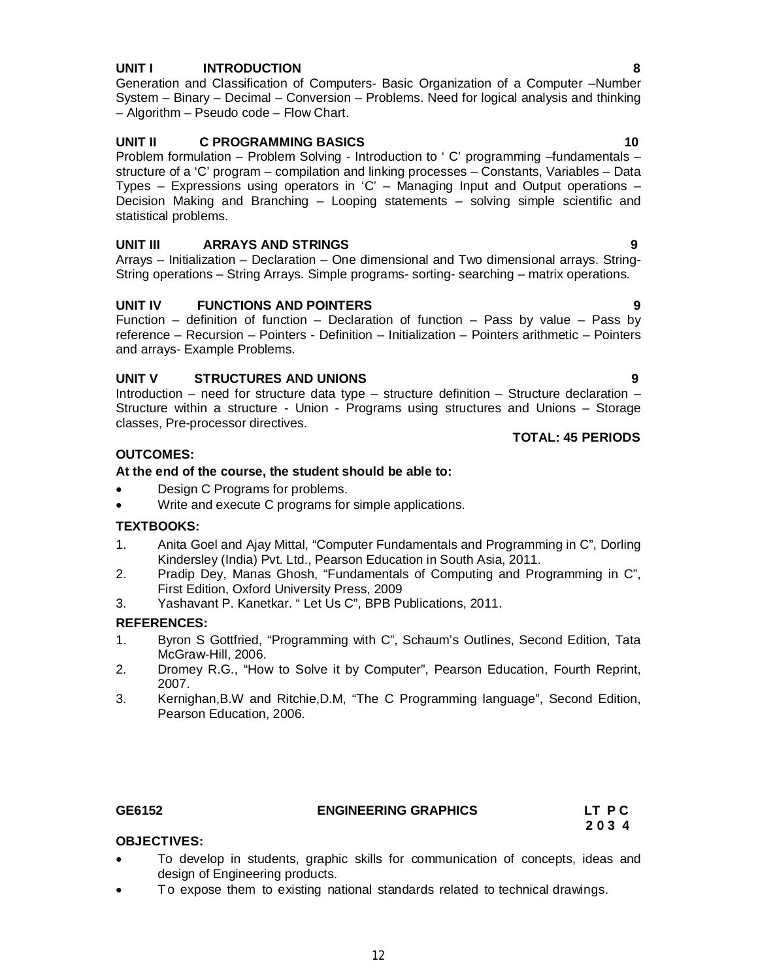# 12

# **UNIT I INTRODUCTION 8**

Generation and Classification of Computers- Basic Organization of a Computer –Number System – Binary – Decimal – Conversion – Problems. Need for logical analysis and thinking – Algorithm – Pseudo code – Flow Chart.

# **UNIT II C PROGRAMMING BASICS** 10

Problem formulation – Problem Solving - Introduction to ' C' programming –fundamentals – structure of a 'C' program – compilation and linking processes – Constants, Variables – Data Types – Expressions using operators in 'C' – Managing Input and Output operations – Decision Making and Branching – Looping statements – solving simple scientific and statistical problems.

# **UNIT III ARRAYS AND STRINGS 9**

Arrays – Initialization – Declaration – One dimensional and Two dimensional arrays. String-String operations – String Arrays. Simple programs- sorting- searching – matrix operations.

# **UNIT IV FUNCTIONS AND POINTERS 9**

Function – definition of function – Declaration of function – Pass by value – Pass by reference – Recursion – Pointers - Definition – Initialization – Pointers arithmetic – Pointers and arrays- Example Problems.

# **UNIT V STRUCTURES AND UNIONS 9**

Introduction – need for structure data type – structure definition – Structure declaration – Structure within a structure - Union - Programs using structures and Unions – Storage classes, Pre-processor directives. **TOTAL: 45 PERIODS**

# **OUTCOMES:**

# **At the end of the course, the student should be able to:**

• Design C Programs for problems.

design of Engineering products.

• Write and execute C programs for simple applications.

# **TEXTBOOKS:**

- 1. Anita Goel and Ajay Mittal, "Computer Fundamentals and Programming in C", Dorling Kindersley (India) Pvt. Ltd., Pearson Education in South Asia, 2011.
- 2. Pradip Dey, Manas Ghosh, "Fundamentals of Computing and Programming in C", First Edition, Oxford University Press, 2009
- 3. Yashavant P. Kanetkar. " Let Us C", BPB Publications, 2011.

# **REFERENCES:**

- 1. Byron S Gottfried, "Programming with C", Schaum's Outlines, Second Edition, Tata McGraw-Hill, 2006.
- 2. Dromey R.G., "How to Solve it by Computer", Pearson Education, Fourth Reprint, 2007.
- 3. Kernighan,B.W and Ritchie,D.M, "The C Programming language", Second Edition, Pearson Education, 2006.

**OBJECTIVES:**

# **GE6152 ENGINEERING GRAPHICS LT P C**

To develop in students, graphic skills for communication of concepts, ideas and

To expose them to existing national standards related to technical drawings.

 **2 0 3 4**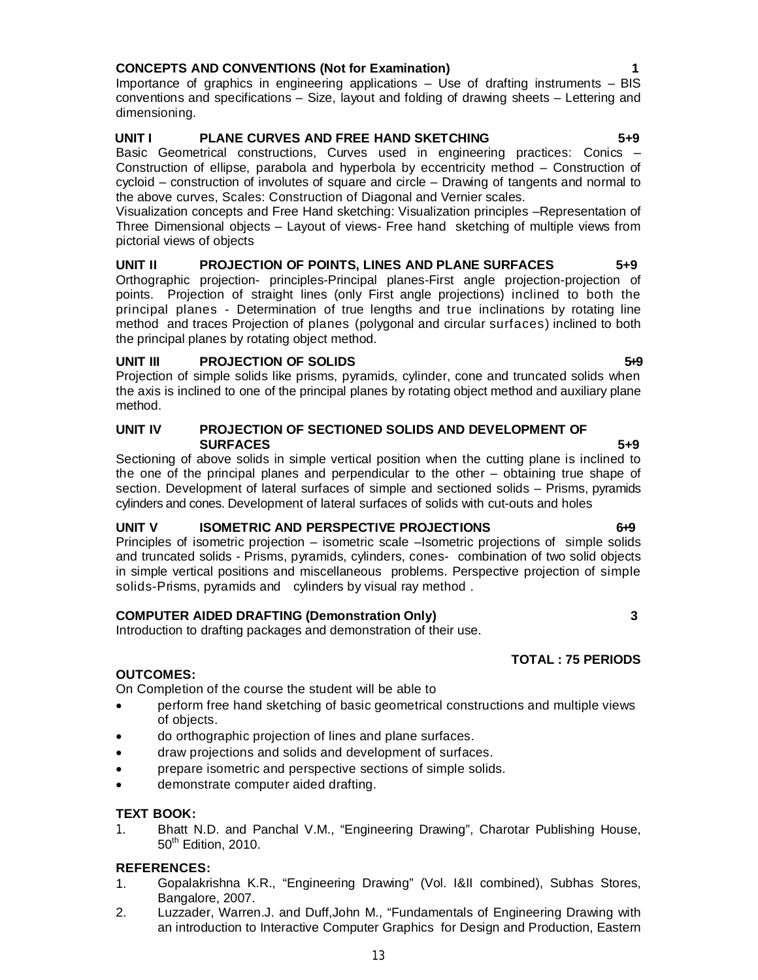# **CONCEPTS AND CONVENTIONS (Not for Examination) 1**

Importance of graphics in engineering applications – Use of drafting instruments – BIS conventions and specifications – Size, layout and folding of drawing sheets – Lettering and dimensioning.

# **UNIT I PLANE CURVES AND FREE HAND SKETCHING 5+9**

Basic Geometrical constructions, Curves used in engineering practices: Conics – Construction of ellipse, parabola and hyperbola by eccentricity method – Construction of cycloid – construction of involutes of square and circle – Drawing of tangents and normal to the above curves, Scales: Construction of Diagonal and Vernier scales.

Visualization concepts and Free Hand sketching: Visualization principles –Representation of Three Dimensional objects – Layout of views- Free hand sketching of multiple views from pictorial views of objects

### **UNIT II PROJECTION OF POINTS, LINES AND PLANE SURFACES 5+9** Orthographic projection- principles-Principal planes-First angle projection-projection of points. Projection of straight lines (only First angle projections) inclined to both the principal planes - Determination of true lengths and true inclinations by rotating line method and traces Projection of planes (polygonal and circular surfaces) inclined to both the principal planes by rotating object method.

# **UNIT III** PROJECTION OF SOLIDS **549**

Projection of simple solids like prisms, pyramids, cylinder, cone and truncated solids when the axis is inclined to one of the principal planes by rotating object method and auxiliary plane method.

### **UNIT IV PROJECTION OF SECTIONED SOLIDS AND DEVELOPMENT OF SURFACES** 5+9

Sectioning of above solids in simple vertical position when the cutting plane is inclined to the one of the principal planes and perpendicular to the other – obtaining true shape of section. Development of lateral surfaces of simple and sectioned solids – Prisms, pyramids cylinders and cones. Development of lateral surfaces of solids with cut-outs and holes

# **UNIT V ISOMETRIC AND PERSPECTIVE PROJECTIONS** 6-9

Principles of isometric projection – isometric scale –Isometric projections of simple solids and truncated solids - Prisms, pyramids, cylinders, cones- combination of two solid objects in simple vertical positions and miscellaneous problems. Perspective projection of simple solids-Prisms, pyramids and cylinders by visual ray method .

# **COMPUTER AIDED DRAFTING (Demonstration Only) 3**

Introduction to drafting packages and demonstration of their use.

# **OUTCOMES:**

On Completion of the course the student will be able to

- perform free hand sketching of basic geometrical constructions and multiple views of objects.
- do orthographic projection of lines and plane surfaces.
- draw projections and solids and development of surfaces.
- prepare isometric and perspective sections of simple solids.
- demonstrate computer aided drafting.

# **TEXT BOOK:**

1. Bhatt N.D. and Panchal V.M., "Engineering Drawing", Charotar Publishing House, 50<sup>th</sup> Edition, 2010.

# **REFERENCES:**

- 1. Gopalakrishna K.R., "Engineering Drawing" (Vol. I&II combined), Subhas Stores, Bangalore, 2007.
- 2. Luzzader, Warren.J. and Duff,John M., "Fundamentals of Engineering Drawing with an introduction to Interactive Computer Graphics for Design and Production, Eastern

**TOTAL : 75 PERIODS**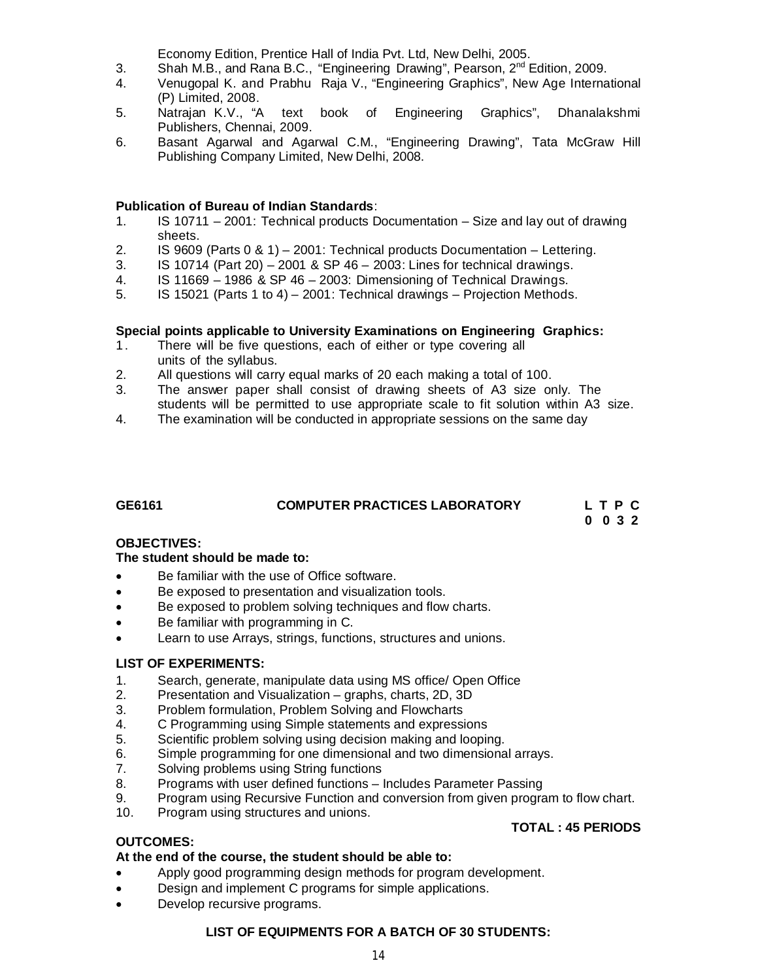Economy Edition, Prentice Hall of India Pvt. Ltd, New Delhi, 2005.

- 3. Shah M.B., and Rana B.C., "Engineering Drawing", Pearson, 2nd Edition, 2009.
- 4. Venugopal K. and Prabhu Raja V., "Engineering Graphics", New Age International (P) Limited, 2008.
- 5. Natrajan K.V., "A text book of Engineering Graphics", Dhanalakshmi Publishers, Chennai, 2009.
- 6. Basant Agarwal and Agarwal C.M., "Engineering Drawing", Tata McGraw Hill Publishing Company Limited, New Delhi, 2008.

### **Publication of Bureau of Indian Standards**:

- 1. IS 10711 2001: Technical products Documentation Size and lay out of drawing sheets.
- 2. IS 9609 (Parts 0 & 1) 2001: Technical products Documentation Lettering.
- 3. IS 10714 (Part 20) 2001 & SP 46 2003: Lines for technical drawings.
- 4. IS 11669 1986 & SP 46 2003: Dimensioning of Technical Drawings.
- 5. IS 15021 (Parts 1 to 4) 2001: Technical drawings Projection Methods.

### **Special points applicable to University Examinations on Engineering Graphics:**

- 1. There will be five questions, each of either or type covering all units of the syllabus.
- 2. All questions will carry equal marks of 20 each making a total of 100.
- 3. The answer paper shall consist of drawing sheets of A3 size only. The students will be permitted to use appropriate scale to fit solution within A3 size.
- 4. The examination will be conducted in appropriate sessions on the same day

# **GE6161 COMPUTER PRACTICES LABORATORY L T P C**

**0 0 3 2** 

### **OBJECTIVES:**

### **The student should be made to:**

- Be familiar with the use of Office software.
- Be exposed to presentation and visualization tools.
- Be exposed to problem solving techniques and flow charts.
- Be familiar with programming in C.
- Learn to use Arrays, strings, functions, structures and unions.

### **LIST OF EXPERIMENTS:**

- 1. Search, generate, manipulate data using MS office/ Open Office
- 2. Presentation and Visualization graphs, charts, 2D, 3D
- 3. Problem formulation, Problem Solving and Flowcharts
- 4. C Programming using Simple statements and expressions
- 5. Scientific problem solving using decision making and looping.
- 6. Simple programming for one dimensional and two dimensional arrays.<br>7. Solving problems using String functions
- 7. Solving problems using String functions<br>8. Programs with user defined functions -
- 8. Programs with user defined functions Includes Parameter Passing
- 9. Program using Recursive Function and conversion from given program to flow chart.
- 10. Program using structures and unions.

### **TOTAL : 45 PERIODS**

# **OUTCOMES:**

### **At the end of the course, the student should be able to:**

- Apply good programming design methods for program development.
- Design and implement C programs for simple applications.
- Develop recursive programs.

### **LIST OF EQUIPMENTS FOR A BATCH OF 30 STUDENTS:**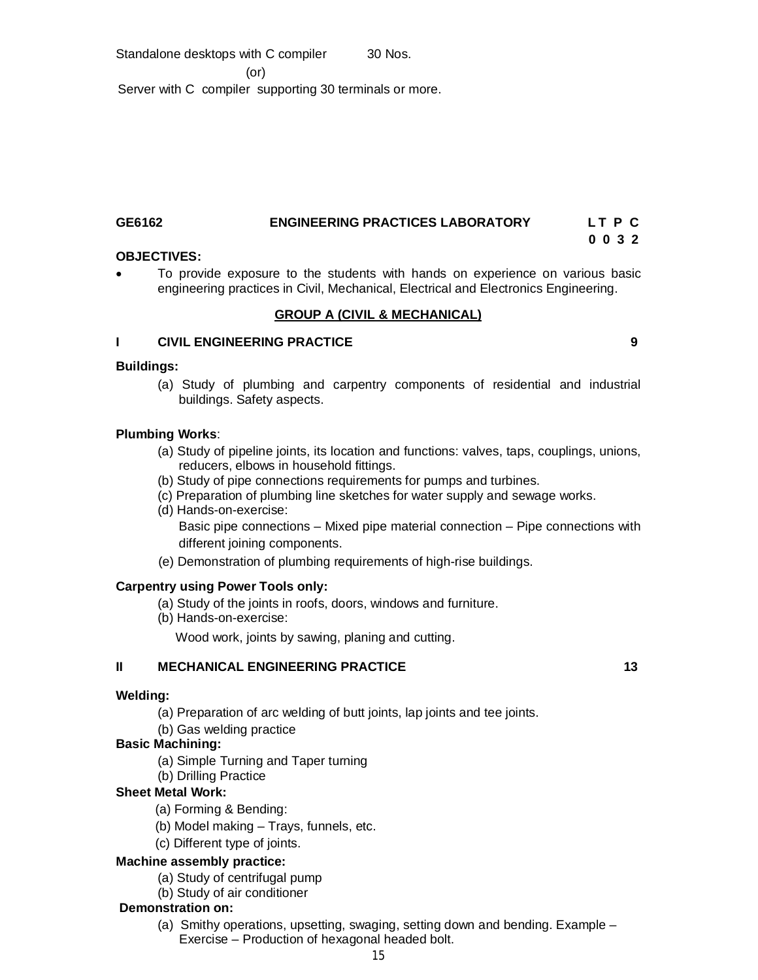Standalone desktops with C compiler 30 Nos. (or) Server with C compiler supporting 30 terminals or more.

# **GE6162 ENGINEERING PRACTICES LABORATORY L T P C**

# **0 0 3 2**

# **OBJECTIVES:**

 To provide exposure to the students with hands on experience on various basic engineering practices in Civil, Mechanical, Electrical and Electronics Engineering.

# **GROUP A (CIVIL & MECHANICAL)**

# **I CIVIL ENGINEERING PRACTICE 9**

# **Buildings:**

(a) Study of plumbing and carpentry components of residential and industrial buildings. Safety aspects.

# **Plumbing Works**:

- (a) Study of pipeline joints, its location and functions: valves, taps, couplings, unions, reducers, elbows in household fittings.
- (b) Study of pipe connections requirements for pumps and turbines.
- (c) Preparation of plumbing line sketches for water supply and sewage works.
- (d) Hands-on-exercise: Basic pipe connections – Mixed pipe material connection – Pipe connections with different joining components.
- (e) Demonstration of plumbing requirements of high-rise buildings.

# **Carpentry using Power Tools only:**

- (a) Study of the joints in roofs, doors, windows and furniture.
- (b) Hands-on-exercise:

Wood work, joints by sawing, planing and cutting.

# **II MECHANICAL ENGINEERING PRACTICE 13 13**

# **Welding:**

(a) Preparation of arc welding of butt joints, lap joints and tee joints.

(b) Gas welding practice

# **Basic Machining:**

- (a) Simple Turning and Taper turning
- (b) Drilling Practice

# **Sheet Metal Work:**

- (a) Forming & Bending:
- (b) Model making Trays, funnels, etc.
- (c) Different type of joints.

# **Machine assembly practice:**

- (a) Study of centrifugal pump
- (b) Study of air conditioner

# **Demonstration on:**

(a) Smithy operations, upsetting, swaging, setting down and bending. Example – Exercise – Production of hexagonal headed bolt.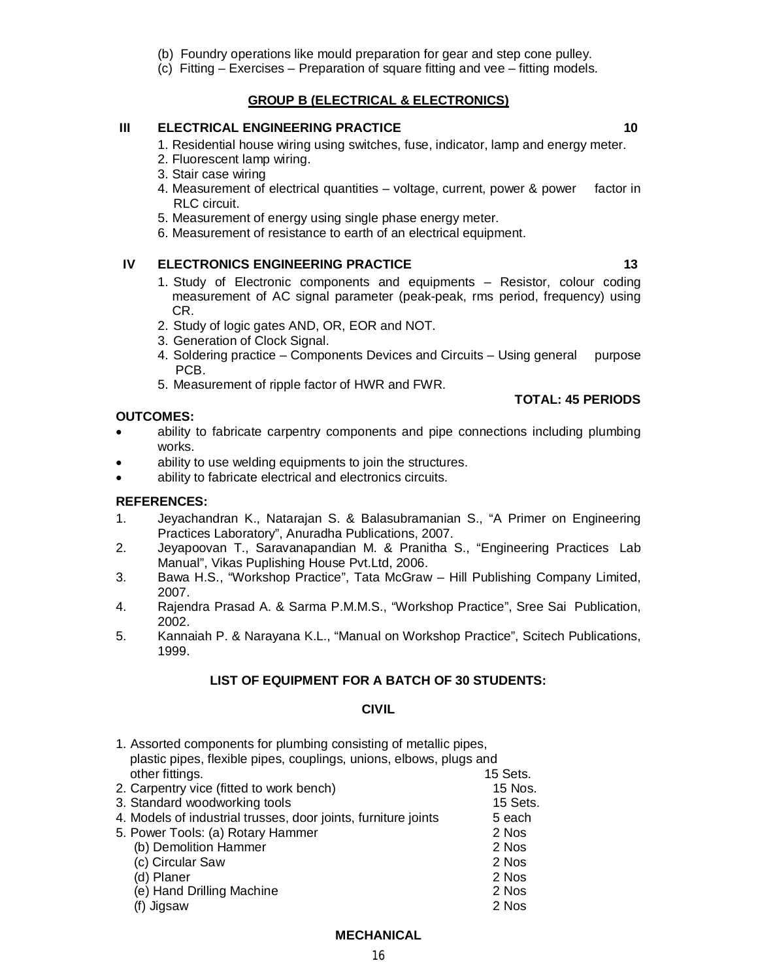- (b) Foundry operations like mould preparation for gear and step cone pulley.
- (c) Fitting Exercises Preparation of square fitting and vee fitting models.

# **GROUP B (ELECTRICAL & ELECTRONICS)**

# **III ELECTRICAL ENGINEERING PRACTICE 10 10**

1. Residential house wiring using switches, fuse, indicator, lamp and energy meter.

- 2. Fluorescent lamp wiring.
- 3. Stair case wiring
- 4. Measurement of electrical quantities voltage, current, power & power factor in RLC circuit.
- 5. Measurement of energy using single phase energy meter.
- 6. Measurement of resistance to earth of an electrical equipment.

# **IV ELECTRONICS ENGINEERING PRACTICE 13 13**

- 1. Study of Electronic components and equipments Resistor, colour coding measurement of AC signal parameter (peak-peak, rms period, frequency) using CR.
- 2. Study of logic gates AND, OR, EOR and NOT.
- 3. Generation of Clock Signal.
- 4. Soldering practice Components Devices and Circuits Using general purpose PCB.
- 5. Measurement of ripple factor of HWR and FWR.

# **OUTCOMES:**

- ability to fabricate carpentry components and pipe connections including plumbing works.
- ability to use welding equipments to join the structures.
- ability to fabricate electrical and electronics circuits.

# **REFERENCES:**

- 1. Jeyachandran K., Natarajan S. & Balasubramanian S., "A Primer on Engineering Practices Laboratory", Anuradha Publications, 2007.
- 2. Jeyapoovan T., Saravanapandian M. & Pranitha S., "Engineering Practices Lab Manual", Vikas Puplishing House Pvt.Ltd, 2006.
- 3. Bawa H.S., "Workshop Practice", Tata McGraw Hill Publishing Company Limited, 2007.
- 4. Rajendra Prasad A. & Sarma P.M.M.S., "Workshop Practice", Sree Sai Publication, 2002.
- 5. Kannaiah P. & Narayana K.L., "Manual on Workshop Practice", Scitech Publications, 1999.

# **LIST OF EQUIPMENT FOR A BATCH OF 30 STUDENTS:**

# **CIVIL**

| 1. Assorted components for plumbing consisting of metallic pipes,   |          |
|---------------------------------------------------------------------|----------|
| plastic pipes, flexible pipes, couplings, unions, elbows, plugs and |          |
| other fittings.                                                     | 15 Sets. |
| 2. Carpentry vice (fitted to work bench)                            | 15 Nos.  |
| 3. Standard woodworking tools                                       | 15 Sets. |
| 4. Models of industrial trusses, door joints, furniture joints      | 5 each   |
| 5. Power Tools: (a) Rotary Hammer                                   | 2 Nos    |
| (b) Demolition Hammer                                               | 2 Nos    |
| (c) Circular Saw                                                    | 2 Nos    |
| (d) Planer                                                          | 2 Nos    |
| (e) Hand Drilling Machine                                           | 2 Nos    |
| Jigsaw                                                              | 2 Nos    |

# **MECHANICAL**

**TOTAL: 45 PERIODS**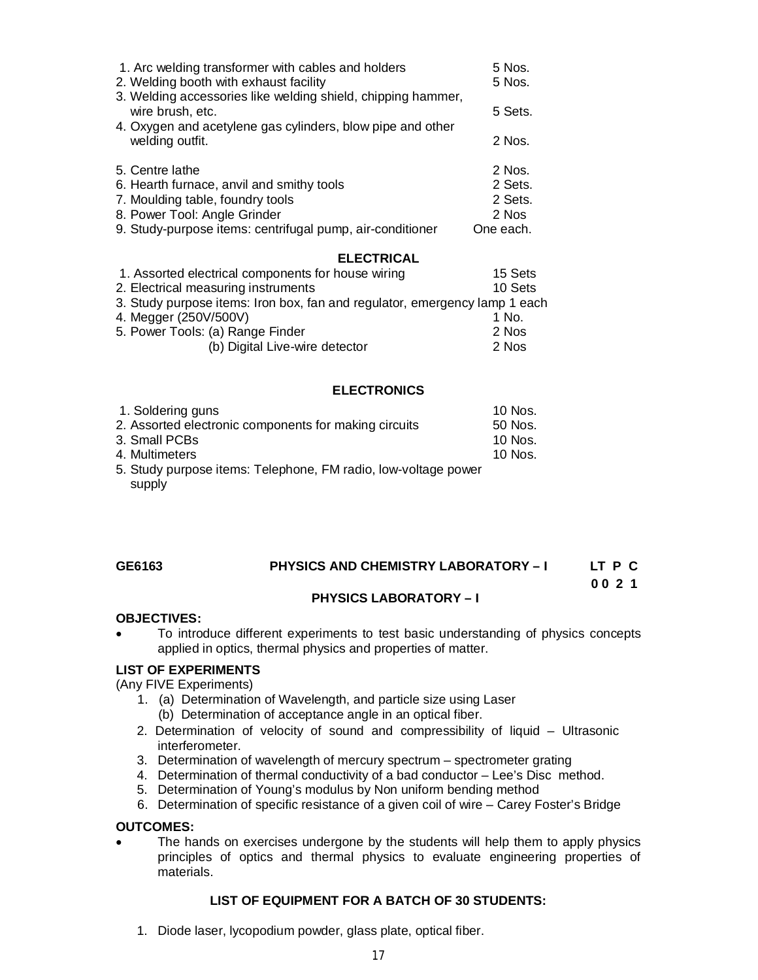| 1. Arc welding transformer with cables and holders<br>2. Welding booth with exhaust facility | $5$ Nos.<br>5 Nos. |
|----------------------------------------------------------------------------------------------|--------------------|
| 3. Welding accessories like welding shield, chipping hammer,<br>wire brush, etc.             | 5 Sets.            |
| 4. Oxygen and acetylene gas cylinders, blow pipe and other<br>welding outfit.                | 2 Nos.             |
| 5. Centre lathe                                                                              | 2 Nos.             |
| 6. Hearth furnace, anvil and smithy tools                                                    | 2 Sets.            |
| 7. Moulding table, foundry tools                                                             | 2 Sets.            |
| 8. Power Tool: Angle Grinder                                                                 | 2 Nos              |
| 9. Study-purpose items: centrifugal pump, air-conditioner                                    | One each.          |
| <b>ELECTRICAL</b>                                                                            |                    |

| 1. Assorted electrical components for house wiring                         | 15 Sets |
|----------------------------------------------------------------------------|---------|
| 2. Electrical measuring instruments                                        | 10 Sets |
| 3. Study purpose items: Iron box, fan and regulator, emergency lamp 1 each |         |
| 4. Megger (250V/500V)                                                      | 1 No.   |
| 5. Power Tools: (a) Range Finder                                           | 2 Nos   |
| (b) Digital Live-wire detector                                             | 2 Nos   |

### **ELECTRONICS**

| 1. Soldering guns                                              | 10 Nos.   |
|----------------------------------------------------------------|-----------|
| 2. Assorted electronic components for making circuits          | 50 Nos.   |
| 3. Small PCBs                                                  | 10 Nos.   |
| 4. Multimeters                                                 | $10$ Nos. |
| 5. Study purpose items: Telephone, FM radio, low-voltage power |           |
| supply                                                         |           |

### **GE6163 PHYSICS AND CHEMISTRY LABORATORY – I LT P C**

**0 0 2 1**

### **PHYSICS LABORATORY – I**

### **OBJECTIVES:**

 To introduce different experiments to test basic understanding of physics concepts applied in optics, thermal physics and properties of matter. 

### **LIST OF EXPERIMENTS**

(Any FIVE Experiments)

- 1. (a) Determination of Wavelength, and particle size using Laser (b) Determination of acceptance angle in an optical fiber.
- 2. Determination of velocity of sound and compressibility of liquid Ultrasonic interferometer.
- 3. Determination of wavelength of mercury spectrum spectrometer grating
- 4. Determination of thermal conductivity of a bad conductor Lee's Disc method.
- 5. Determination of Young's modulus by Non uniform bending method
- 6. Determination of specific resistance of a given coil of wire Carey Foster's Bridge

### **OUTCOMES:**

• The hands on exercises undergone by the students will help them to apply physics principles of optics and thermal physics to evaluate engineering properties of materials.

# **LIST OF EQUIPMENT FOR A BATCH OF 30 STUDENTS:**

1. Diode laser, lycopodium powder, glass plate, optical fiber.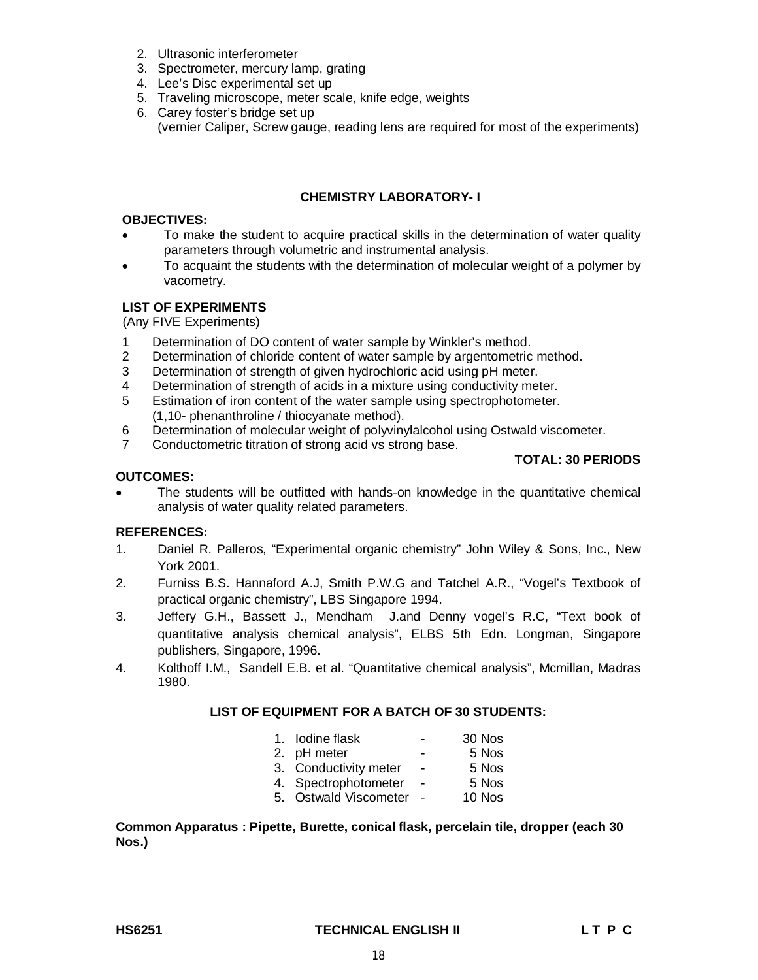- 2. Ultrasonic interferometer
- 3. Spectrometer, mercury lamp, grating
- 4. Lee's Disc experimental set up
- 5. Traveling microscope, meter scale, knife edge, weights
- 6. Carey foster's bridge set up (vernier Caliper, Screw gauge, reading lens are required for most of the experiments)

# **CHEMISTRY LABORATORY- I**

### **OBJECTIVES:**

- To make the student to acquire practical skills in the determination of water quality parameters through volumetric and instrumental analysis.
- To acquaint the students with the determination of molecular weight of a polymer by vacometry.

# **LIST OF EXPERIMENTS**

(Any FIVE Experiments)

- 1 Determination of DO content of water sample by Winkler's method.
- 2 Determination of chloride content of water sample by argentometric method.
- 3 Determination of strength of given hydrochloric acid using pH meter.
- 4 Determination of strength of acids in a mixture using conductivity meter.
- 5 Estimation of iron content of the water sample using spectrophotometer. (1,10- phenanthroline / thiocyanate method).
- 6 Determination of molecular weight of polyvinylalcohol using Ostwald viscometer.
- 7 Conductometric titration of strong acid vs strong base.

# **TOTAL: 30 PERIODS**

### **OUTCOMES:**

 The students will be outfitted with hands-on knowledge in the quantitative chemical analysis of water quality related parameters.

# **REFERENCES:**

- 1. Daniel R. Palleros, "Experimental organic chemistry" John Wiley & Sons, Inc., New York 2001.
- 2. Furniss B.S. Hannaford A.J, Smith P.W.G and Tatchel A.R., "Vogel's Textbook of practical organic chemistry", LBS Singapore 1994.
- 3. Jeffery G.H., Bassett J., Mendham J.and Denny vogel's R.C, "Text book of quantitative analysis chemical analysis", ELBS 5th Edn. Longman, Singapore publishers, Singapore, 1996.
- 4. Kolthoff I.M., Sandell E.B. et al. "Quantitative chemical analysis", Mcmillan, Madras 1980.

# **LIST OF EQUIPMENT FOR A BATCH OF 30 STUDENTS:**

| 1. Iodine flask       | $\blacksquare$           | 30 Nos |
|-----------------------|--------------------------|--------|
| 2. pH meter           | ۰                        | 5 Nos  |
| 3. Conductivity meter | $\blacksquare$           | 5 Nos  |
| 4. Spectrophotometer  | $\overline{\phantom{a}}$ | 5 Nos  |
| 5. Ostwald Viscometer |                          | 10 Nos |

### **Common Apparatus : Pipette, Burette, conical flask, percelain tile, dropper (each 30 Nos.)**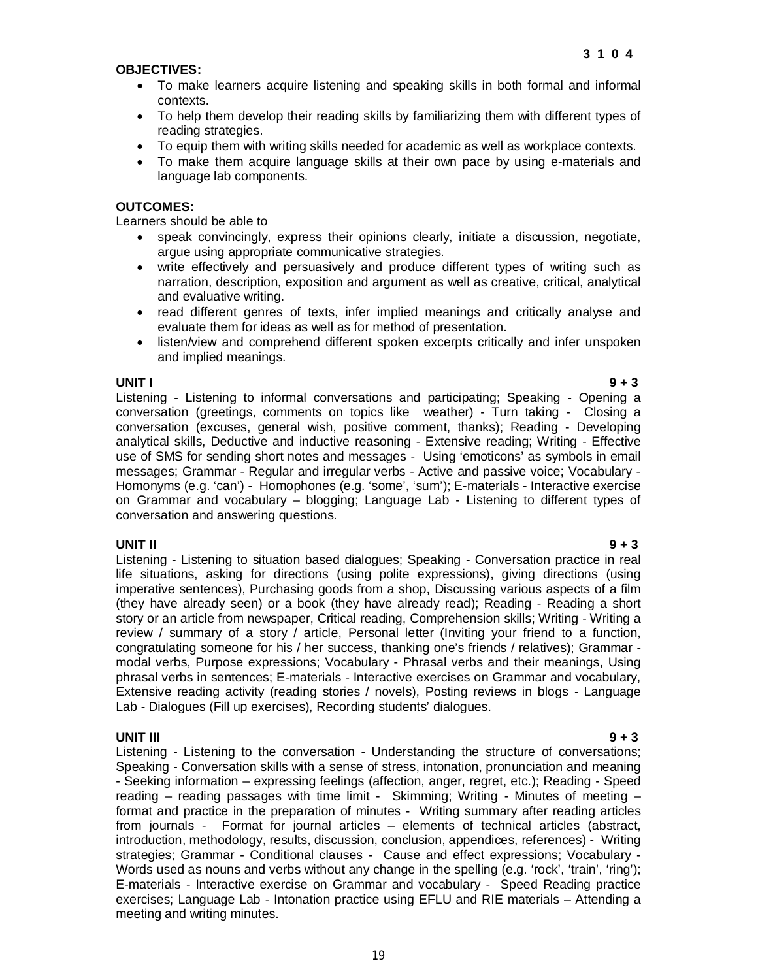### **OBJECTIVES:**

- To make learners acquire listening and speaking skills in both formal and informal contexts.
- To help them develop their reading skills by familiarizing them with different types of reading strategies.
- To equip them with writing skills needed for academic as well as workplace contexts.
- To make them acquire language skills at their own pace by using e-materials and language lab components.

### **OUTCOMES:**

Learners should be able to

- speak convincingly, express their opinions clearly, initiate a discussion, negotiate, argue using appropriate communicative strategies.
- write effectively and persuasively and produce different types of writing such as narration, description, exposition and argument as well as creative, critical, analytical and evaluative writing.
- read different genres of texts, infer implied meanings and critically analyse and evaluate them for ideas as well as for method of presentation.
- listen/view and comprehend different spoken excerpts critically and infer unspoken and implied meanings.

### **UNIT I 9 + 3**

Listening - Listening to informal conversations and participating; Speaking - Opening a conversation (greetings, comments on topics like weather) - Turn taking - Closing a conversation (excuses, general wish, positive comment, thanks); Reading - Developing analytical skills, Deductive and inductive reasoning - Extensive reading; Writing - Effective use of SMS for sending short notes and messages - Using 'emoticons' as symbols in email messages; Grammar - Regular and irregular verbs - Active and passive voice; Vocabulary - Homonyms (e.g. 'can') - Homophones (e.g. 'some', 'sum'); E-materials - Interactive exercise on Grammar and vocabulary – blogging; Language Lab - Listening to different types of conversation and answering questions.

**UNIT II 9 + 3** Listening - Listening to situation based dialogues; Speaking - Conversation practice in real life situations, asking for directions (using polite expressions), giving directions (using imperative sentences), Purchasing goods from a shop, Discussing various aspects of a film (they have already seen) or a book (they have already read); Reading - Reading a short story or an article from newspaper, Critical reading, Comprehension skills; Writing - Writing a review / summary of a story / article, Personal letter (Inviting your friend to a function, congratulating someone for his / her success, thanking one's friends / relatives); Grammar modal verbs, Purpose expressions; Vocabulary - Phrasal verbs and their meanings, Using phrasal verbs in sentences; E-materials - Interactive exercises on Grammar and vocabulary, Extensive reading activity (reading stories / novels), Posting reviews in blogs - Language Lab - Dialogues (Fill up exercises), Recording students' dialogues.

**UNIT III 9 + 3** Listening - Listening to the conversation - Understanding the structure of conversations; Speaking - Conversation skills with a sense of stress, intonation, pronunciation and meaning - Seeking information – expressing feelings (affection, anger, regret, etc.); Reading - Speed reading – reading passages with time limit - Skimming; Writing - Minutes of meeting – format and practice in the preparation of minutes - Writing summary after reading articles from journals - Format for journal articles – elements of technical articles (abstract, introduction, methodology, results, discussion, conclusion, appendices, references) - Writing strategies; Grammar - Conditional clauses - Cause and effect expressions; Vocabulary - Words used as nouns and verbs without any change in the spelling (e.g. 'rock', 'train', 'ring'); E-materials - Interactive exercise on Grammar and vocabulary - Speed Reading practice exercises; Language Lab - Intonation practice using EFLU and RIE materials – Attending a meeting and writing minutes.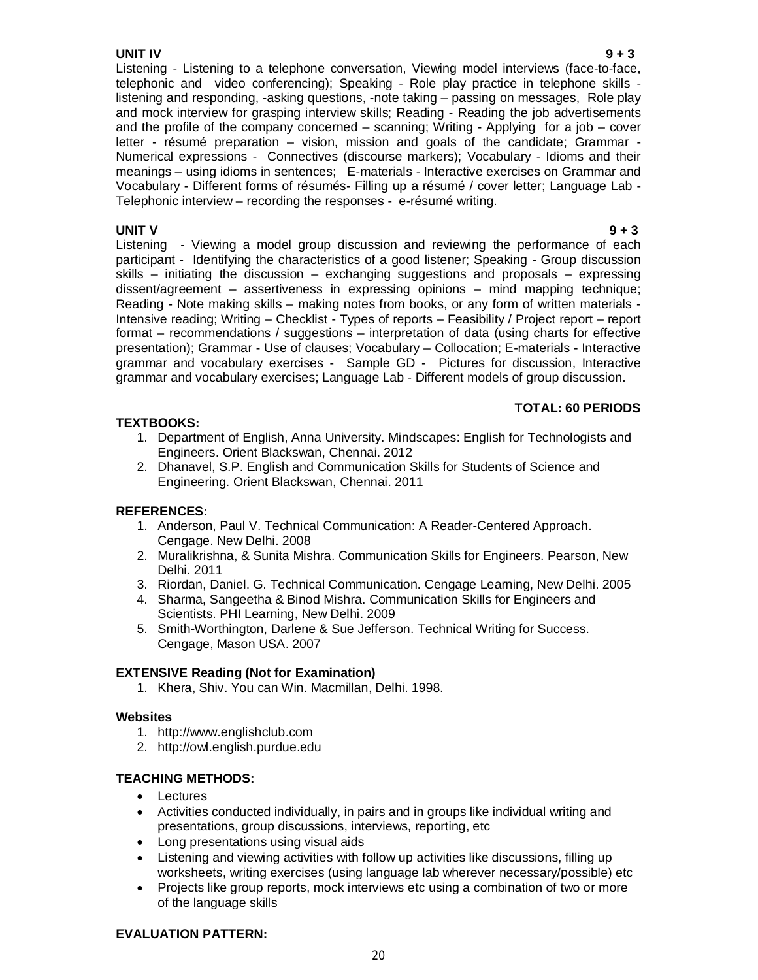# **UNIT IV 9 + 3**

Listening - Listening to a telephone conversation, Viewing model interviews (face-to-face, telephonic and video conferencing); Speaking - Role play practice in telephone skills listening and responding, -asking questions, -note taking – passing on messages, Role play and mock interview for grasping interview skills; Reading - Reading the job advertisements and the profile of the company concerned – scanning; Writing - Applying for a job – cover letter - résumé preparation – vision, mission and goals of the candidate; Grammar - Numerical expressions - Connectives (discourse markers); Vocabulary - Idioms and their meanings – using idioms in sentences; E-materials - Interactive exercises on Grammar and Vocabulary - Different forms of résumés- Filling up a résumé / cover letter; Language Lab - Telephonic interview – recording the responses - e-résumé writing.

**UNIT V 9 + 3**  Listening - Viewing a model group discussion and reviewing the performance of each participant - Identifying the characteristics of a good listener; Speaking - Group discussion skills – initiating the discussion – exchanging suggestions and proposals – expressing dissent/agreement – assertiveness in expressing opinions – mind mapping technique; Reading - Note making skills – making notes from books, or any form of written materials - Intensive reading; Writing – Checklist - Types of reports – Feasibility / Project report – report format – recommendations / suggestions – interpretation of data (using charts for effective presentation); Grammar - Use of clauses; Vocabulary – Collocation; E-materials - Interactive grammar and vocabulary exercises - Sample GD - Pictures for discussion, Interactive grammar and vocabulary exercises; Language Lab - Different models of group discussion.

# **TEXTBOOKS:**

# **TOTAL: 60 PERIODS**

- 1. Department of English, Anna University. Mindscapes: English for Technologists and Engineers. Orient Blackswan, Chennai. 2012
- 2. Dhanavel, S.P. English and Communication Skills for Students of Science and Engineering. Orient Blackswan, Chennai. 2011

# **REFERENCES:**

- 1. Anderson, Paul V. Technical Communication: A Reader-Centered Approach. Cengage. New Delhi. 2008
- 2. Muralikrishna, & Sunita Mishra. Communication Skills for Engineers. Pearson, New Delhi. 2011
- 3. Riordan, Daniel. G. Technical Communication. Cengage Learning, New Delhi. 2005
- 4. Sharma, Sangeetha & Binod Mishra. Communication Skills for Engineers and Scientists. PHI Learning, New Delhi. 2009
- 5. Smith-Worthington, Darlene & Sue Jefferson. Technical Writing for Success. Cengage, Mason USA. 2007

# **EXTENSIVE Reading (Not for Examination)**

1. Khera, Shiv. You can Win. Macmillan, Delhi. 1998.

# **Websites**

- 1. http://www.englishclub.com
- 2. http://owl.english.purdue.edu

# **TEACHING METHODS:**

- Lectures
- Activities conducted individually, in pairs and in groups like individual writing and presentations, group discussions, interviews, reporting, etc
- Long presentations using visual aids
- Listening and viewing activities with follow up activities like discussions, filling up worksheets, writing exercises (using language lab wherever necessary/possible) etc
- Projects like group reports, mock interviews etc using a combination of two or more of the language skills

# **EVALUATION PATTERN:**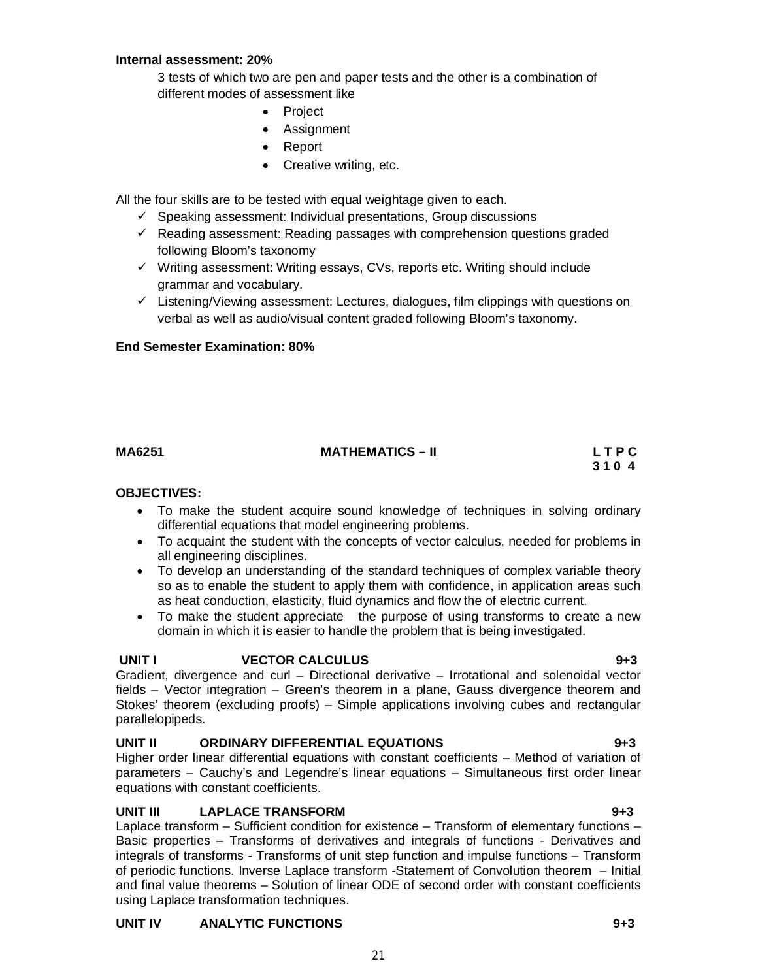# **Internal assessment: 20%**

3 tests of which two are pen and paper tests and the other is a combination of different modes of assessment like

- Project
- Assignment
- Report
- Creative writing, etc.

All the four skills are to be tested with equal weightage given to each.

- $\checkmark$  Speaking assessment: Individual presentations, Group discussions
- $\checkmark$  Reading assessment: Reading passages with comprehension questions graded following Bloom's taxonomy
- $\checkmark$  Writing assessment: Writing essays, CVs, reports etc. Writing should include grammar and vocabulary.
- $\checkmark$  Listening/Viewing assessment: Lectures, dialogues, film clippings with questions on verbal as well as audio/visual content graded following Bloom's taxonomy.

### **End Semester Examination: 80%**

# **MA6251 MATHEMATICS – II L T P C**

# **3 1 0 4**

# **OBJECTIVES:**

- To make the student acquire sound knowledge of techniques in solving ordinary differential equations that model engineering problems.
- To acquaint the student with the concepts of vector calculus, needed for problems in all engineering disciplines.
- To develop an understanding of the standard techniques of complex variable theory so as to enable the student to apply them with confidence, in application areas such as heat conduction, elasticity, fluid dynamics and flow the of electric current.
- To make the student appreciate the purpose of using transforms to create a new domain in which it is easier to handle the problem that is being investigated.

# **UNIT I VECTOR CALCULUS 9+3**

Gradient, divergence and curl – Directional derivative – Irrotational and solenoidal vector fields – Vector integration – Green's theorem in a plane, Gauss divergence theorem and Stokes' theorem (excluding proofs) – Simple applications involving cubes and rectangular parallelopipeds.

# **UNIT II ORDINARY DIFFERENTIAL EQUATIONS 9+3**

Higher order linear differential equations with constant coefficients – Method of variation of parameters – Cauchy's and Legendre's linear equations – Simultaneous first order linear equations with constant coefficients.

# **UNIT III LAPLACE TRANSFORM 9+3**

Laplace transform – Sufficient condition for existence – Transform of elementary functions – Basic properties – Transforms of derivatives and integrals of functions - Derivatives and integrals of transforms - Transforms of unit step function and impulse functions – Transform of periodic functions. Inverse Laplace transform -Statement of Convolution theorem – Initial and final value theorems – Solution of linear ODE of second order with constant coefficients using Laplace transformation techniques.

21

# **UNIT IV ANALYTIC FUNCTIONS 9+3**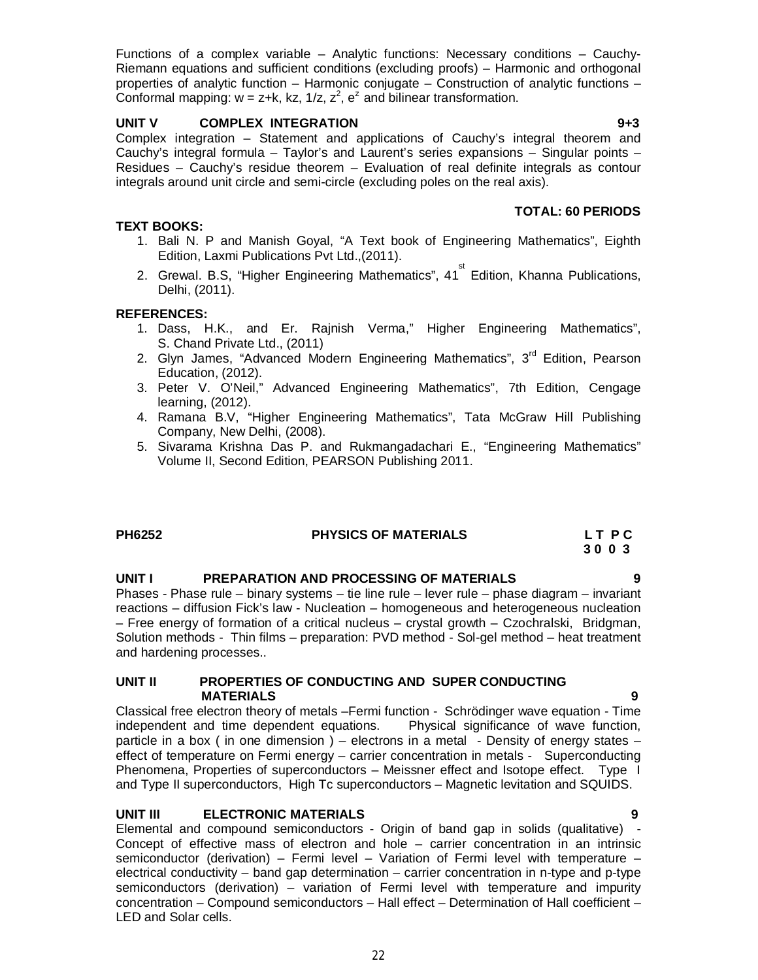Functions of a complex variable – Analytic functions: Necessary conditions – Cauchy-Riemann equations and sufficient conditions (excluding proofs) – Harmonic and orthogonal properties of analytic function – Harmonic conjugate – Construction of analytic functions – Conformal mapping:  $w = z+k$ , kz, 1/z,  $z^2$ ,  $e^z$  and bilinear transformation.

# **UNIT V COMPLEX INTEGRATION 9+3**

Complex integration – Statement and applications of Cauchy's integral theorem and Cauchy's integral formula – Taylor's and Laurent's series expansions – Singular points – Residues – Cauchy's residue theorem – Evaluation of real definite integrals as contour integrals around unit circle and semi-circle (excluding poles on the real axis).

# **TOTAL: 60 PERIODS**

# **TEXT BOOKS:**

- 1. Bali N. P and Manish Goyal, "A Text book of Engineering Mathematics", Eighth Edition, Laxmi Publications Pvt Ltd.,(2011).
- 2. Grewal. B.S, "Higher Engineering Mathematics", 41<sup>st</sup> Edition, Khanna Publications, Delhi, (2011).

# **REFERENCES:**

- 1. Dass, H.K., and Er. Rajnish Verma," Higher Engineering Mathematics", S. Chand Private Ltd., (2011)
- 2. Glyn James, "Advanced Modern Engineering Mathematics", 3<sup>rd</sup> Edition, Pearson Education, (2012).
- 3. Peter V. O'Neil," Advanced Engineering Mathematics", 7th Edition, Cengage learning, (2012).
- 4. Ramana B.V, "Higher Engineering Mathematics", Tata McGraw Hill Publishing Company, New Delhi, (2008).
- 5. Sivarama Krishna Das P. and Rukmangadachari E., "Engineering Mathematics" Volume II, Second Edition, PEARSON Publishing 2011.

| PH6252 | <b>PHYSICS OF MATERIALS</b> | LT PC |
|--------|-----------------------------|-------|
|        |                             | 3003  |

# **UNIT I PREPARATION AND PROCESSING OF MATERIALS 9**

Phases - Phase rule – binary systems – tie line rule – lever rule – phase diagram – invariant reactions – diffusion Fick's law - Nucleation – homogeneous and heterogeneous nucleation – Free energy of formation of a critical nucleus – crystal growth – Czochralski, Bridgman, Solution methods - Thin films – preparation: PVD method - Sol-gel method – heat treatment and hardening processes..

### **UNIT II PROPERTIES OF CONDUCTING AND SUPER CONDUCTING MATERIALS 9**

Classical free electron theory of metals –Fermi function - Schrödinger wave equation - Time independent and time dependent equations. Physical significance of wave function, particle in a box ( in one dimension ) – electrons in a metal - Density of energy states – effect of temperature on Fermi energy – carrier concentration in metals - Superconducting Phenomena, Properties of superconductors – Meissner effect and Isotope effect. Type I and Type II superconductors, High Tc superconductors – Magnetic levitation and SQUIDS.

# **UNIT III ELECTRONIC MATERIALS 9**

Elemental and compound semiconductors - Origin of band gap in solids (qualitative) - Concept of effective mass of electron and hole – carrier concentration in an intrinsic semiconductor (derivation) – Fermi level – Variation of Fermi level with temperature – electrical conductivity – band gap determination – carrier concentration in n-type and p-type semiconductors (derivation) – variation of Fermi level with temperature and impurity concentration – Compound semiconductors – Hall effect – Determination of Hall coefficient – LED and Solar cells.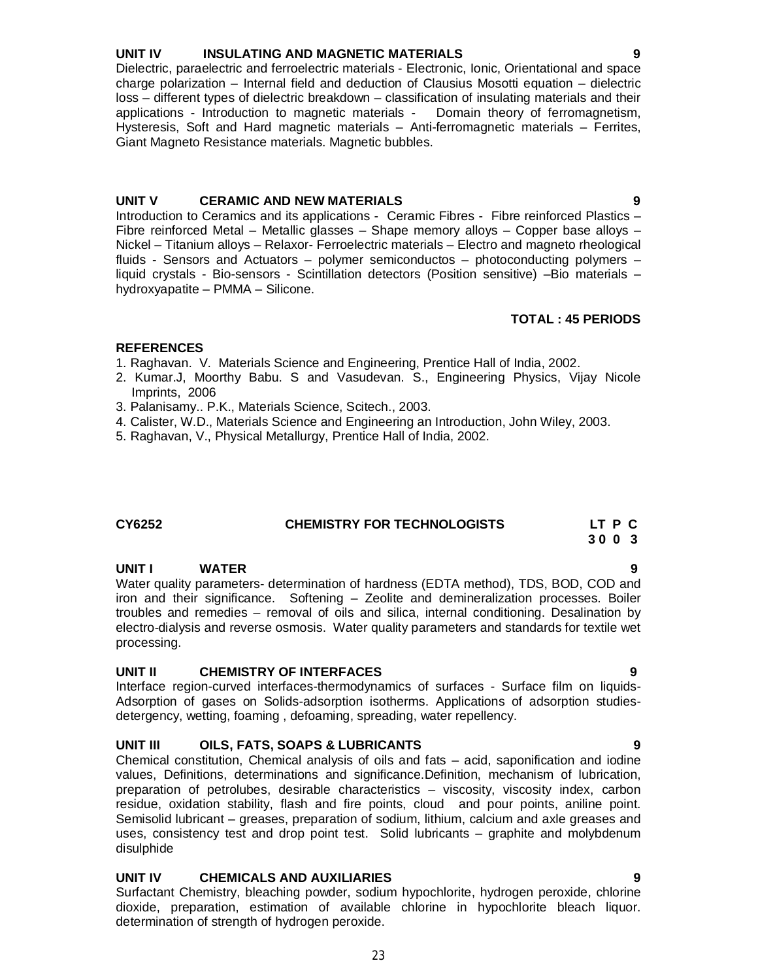# **UNIT IV INSULATING AND MAGNETIC MATERIALS 9**

Dielectric, paraelectric and ferroelectric materials - Electronic, Ionic, Orientational and space charge polarization – Internal field and deduction of Clausius Mosotti equation – dielectric loss – different types of dielectric breakdown – classification of insulating materials and their applications - Introduction to magnetic materials - Domain theory of ferromagnetism, Hysteresis, Soft and Hard magnetic materials – Anti-ferromagnetic materials – Ferrites, Giant Magneto Resistance materials. Magnetic bubbles.

### **UNIT V CERAMIC AND NEW MATERIALS 9**

Introduction to Ceramics and its applications - Ceramic Fibres - Fibre reinforced Plastics – Fibre reinforced Metal – Metallic glasses – Shape memory alloys – Copper base alloys – Nickel – Titanium alloys – Relaxor- Ferroelectric materials – Electro and magneto rheological fluids - Sensors and Actuators – polymer semiconductos – photoconducting polymers – liquid crystals - Bio-sensors - Scintillation detectors (Position sensitive) –Bio materials – hydroxyapatite – PMMA – Silicone.

### **TOTAL : 45 PERIODS**

# **REFERENCES**

- 1. Raghavan. V. Materials Science and Engineering, Prentice Hall of India, 2002.
- 2. Kumar.J, Moorthy Babu. S and Vasudevan. S., Engineering Physics, Vijay Nicole Imprints, 2006
- 3. Palanisamy.. P.K., Materials Science, Scitech., 2003.
- 4. Calister, W.D., Materials Science and Engineering an Introduction, John Wiley, 2003.
- 5. Raghavan, V., Physical Metallurgy, Prentice Hall of India, 2002.

# **CY6252 CHEMISTRY FOR TECHNOLOGISTS LT P C**

 **3 0 0 3**

# **UNIT I WATER 9**

Water quality parameters- determination of hardness (EDTA method), TDS, BOD, COD and iron and their significance. Softening – Zeolite and demineralization processes. Boiler troubles and remedies – removal of oils and silica, internal conditioning. Desalination by electro-dialysis and reverse osmosis. Water quality parameters and standards for textile wet processing.

# **UNIT II CHEMISTRY OF INTERFACES 9**

Interface region-curved interfaces-thermodynamics of surfaces - Surface film on liquids-Adsorption of gases on Solids-adsorption isotherms. Applications of adsorption studiesdetergency, wetting, foaming , defoaming, spreading, water repellency.

# **UNIT III OILS, FATS, SOAPS & LUBRICANTS 9**

Chemical constitution, Chemical analysis of oils and fats – acid, saponification and iodine values, Definitions, determinations and significance.Definition, mechanism of lubrication, preparation of petrolubes, desirable characteristics – viscosity, viscosity index, carbon residue, oxidation stability, flash and fire points, cloud and pour points, aniline point. Semisolid lubricant – greases, preparation of sodium, lithium, calcium and axle greases and uses, consistency test and drop point test. Solid lubricants – graphite and molybdenum disulphide

# **UNIT IV CHEMICALS AND AUXILIARIES 9**

Surfactant Chemistry, bleaching powder, sodium hypochlorite, hydrogen peroxide, chlorine dioxide, preparation, estimation of available chlorine in hypochlorite bleach liquor. determination of strength of hydrogen peroxide.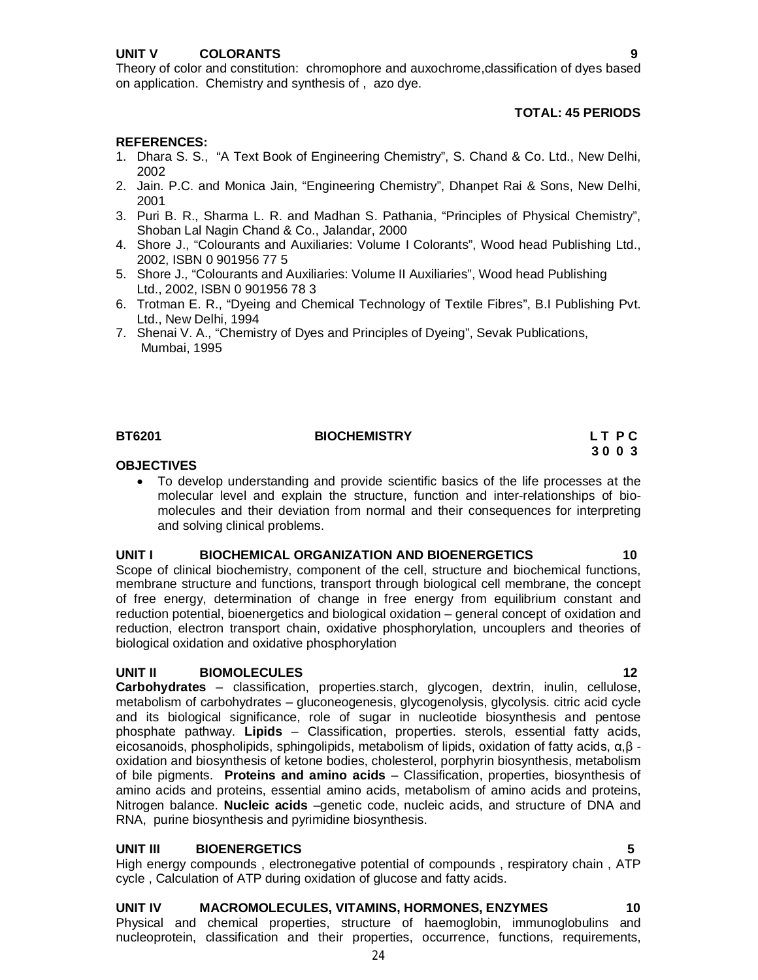# **TOTAL: 45 PERIODS**

# **REFERENCES:**

- 1. Dhara S. S., "A Text Book of Engineering Chemistry", S. Chand & Co. Ltd., New Delhi, 2002
- 2. Jain. P.C. and Monica Jain, "Engineering Chemistry", Dhanpet Rai & Sons, New Delhi, 2001
- 3. Puri B. R., Sharma L. R. and Madhan S. Pathania, "Principles of Physical Chemistry", Shoban Lal Nagin Chand & Co., Jalandar, 2000
- 4. Shore J., "Colourants and Auxiliaries: Volume I Colorants", Wood head Publishing Ltd., 2002, ISBN 0 901956 77 5
- 5. Shore J., "Colourants and Auxiliaries: Volume II Auxiliaries", Wood head Publishing Ltd., 2002, ISBN 0 901956 78 3
- 6. Trotman E. R., "Dyeing and Chemical Technology of Textile Fibres", B.I Publishing Pvt. Ltd., New Delhi, 1994
- 7. Shenai V. A., "Chemistry of Dyes and Principles of Dyeing", Sevak Publications, Mumbai, 1995

### **BT6201** BIOCHEMISTRY **BIOCHEMISTRY** LT PC

# **3 0 0 3**

### **OBJECTIVES**

 To develop understanding and provide scientific basics of the life processes at the molecular level and explain the structure, function and inter-relationships of biomolecules and their deviation from normal and their consequences for interpreting and solving clinical problems.

# **UNIT I BIOCHEMICAL ORGANIZATION AND BIOENERGETICS 10**

Scope of clinical biochemistry, component of the cell, structure and biochemical functions, membrane structure and functions, transport through biological cell membrane, the concept of free energy, determination of change in free energy from equilibrium constant and reduction potential, bioenergetics and biological oxidation – general concept of oxidation and reduction, electron transport chain, oxidative phosphorylation, uncouplers and theories of biological oxidation and oxidative phosphorylation

# **UNIT II BIOMOLECULES 12**

**Carbohydrates** – classification, properties.starch, glycogen, dextrin, inulin, cellulose, metabolism of carbohydrates – gluconeogenesis, glycogenolysis, glycolysis. citric acid cycle and its biological significance, role of sugar in nucleotide biosynthesis and pentose phosphate pathway. **Lipids** – Classification, properties. sterols, essential fatty acids, eicosanoids, phospholipids, sphingolipids, metabolism of lipids, oxidation of fatty acids,  $α,β$  oxidation and biosynthesis of ketone bodies, cholesterol, porphyrin biosynthesis, metabolism of bile pigments. **Proteins and amino acids** – Classification, properties, biosynthesis of amino acids and proteins, essential amino acids, metabolism of amino acids and proteins, Nitrogen balance. **Nucleic acids** –genetic code, nucleic acids, and structure of DNA and RNA, purine biosynthesis and pyrimidine biosynthesis.

# **UNIT III BIOENERGETICS 5**

High energy compounds , electronegative potential of compounds , respiratory chain , ATP cycle , Calculation of ATP during oxidation of glucose and fatty acids.

# **UNIT IV MACROMOLECULES, VITAMINS, HORMONES, ENZYMES 10**

24 Physical and chemical properties, structure of haemoglobin, immunoglobulins and nucleoprotein, classification and their properties, occurrence, functions, requirements,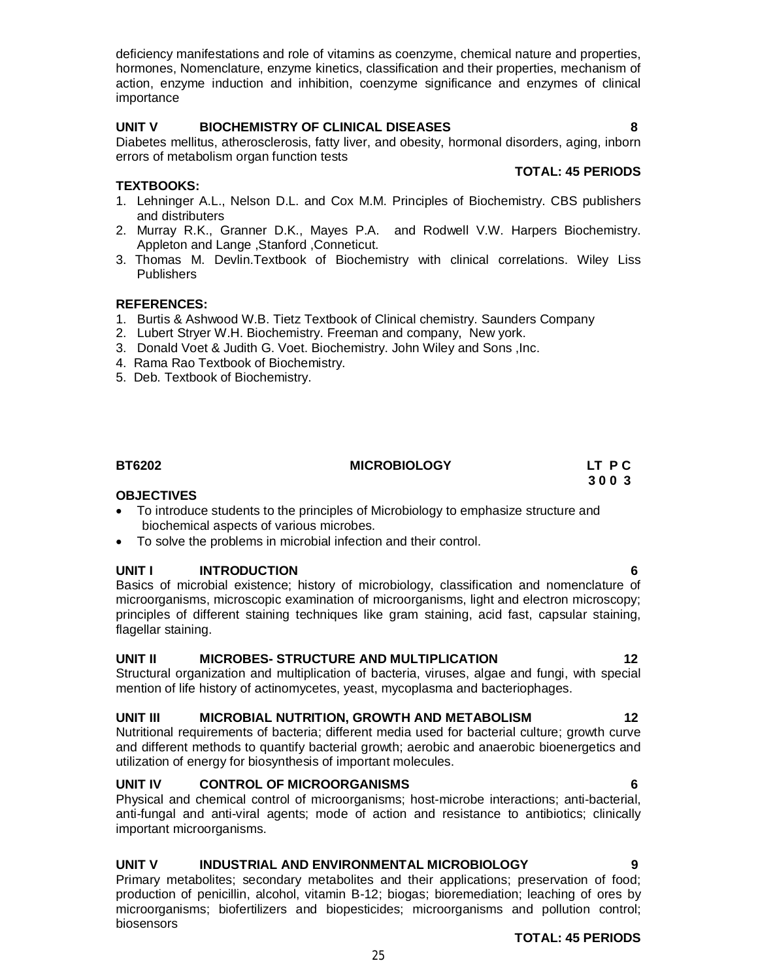deficiency manifestations and role of vitamins as coenzyme, chemical nature and properties, hormones, Nomenclature, enzyme kinetics, classification and their properties, mechanism of action, enzyme induction and inhibition, coenzyme significance and enzymes of clinical importance

# **UNIT V BIOCHEMISTRY OF CLINICAL DISEASES 8**

Diabetes mellitus, atherosclerosis, fatty liver, and obesity, hormonal disorders, aging, inborn errors of metabolism organ function tests

### **TEXTBOOKS:**

- 1. Lehninger A.L., Nelson D.L. and Cox M.M. Principles of Biochemistry. CBS publishers and distributers
- 2. Murray R.K., Granner D.K., Mayes P.A. and Rodwell V.W. Harpers Biochemistry. Appleton and Lange ,Stanford ,Conneticut.
- 3. Thomas M. Devlin.Textbook of Biochemistry with clinical correlations. Wiley Liss **Publishers**

### **REFERENCES:**

- 1. Burtis & Ashwood W.B. Tietz Textbook of Clinical chemistry. Saunders Company
- 2. Lubert Stryer W.H. Biochemistry. Freeman and company, New york.
- 3. Donald Voet & Judith G. Voet. Biochemistry. John Wiley and Sons ,Inc.
- 4. Rama Rao Textbook of Biochemistry.
- 5. Deb. Textbook of Biochemistry.

# **OBJECTIVES**

- To introduce students to the principles of Microbiology to emphasize structure and biochemical aspects of various microbes.
- To solve the problems in microbial infection and their control.

### **UNIT I INTRODUCTION 6**

Basics of microbial existence; history of microbiology, classification and nomenclature of microorganisms, microscopic examination of microorganisms, light and electron microscopy; principles of different staining techniques like gram staining, acid fast, capsular staining, flagellar staining.

### **UNIT II MICROBES- STRUCTURE AND MULTIPLICATION 12**

Structural organization and multiplication of bacteria, viruses, algae and fungi, with special mention of life history of actinomycetes, yeast, mycoplasma and bacteriophages.

### **UNIT III MICROBIAL NUTRITION, GROWTH AND METABOLISM 12**

Nutritional requirements of bacteria; different media used for bacterial culture; growth curve and different methods to quantify bacterial growth; aerobic and anaerobic bioenergetics and utilization of energy for biosynthesis of important molecules.

# **UNIT IV CONTROL OF MICROORGANISMS 6**

Physical and chemical control of microorganisms; host-microbe interactions; anti-bacterial, anti-fungal and anti-viral agents; mode of action and resistance to antibiotics; clinically important microorganisms.

### **UNIT V INDUSTRIAL AND ENVIRONMENTAL MICROBIOLOGY 9**

Primary metabolites; secondary metabolites and their applications; preservation of food; production of penicillin, alcohol, vitamin B-12; biogas; bioremediation; leaching of ores by microorganisms; biofertilizers and biopesticides; microorganisms and pollution control; biosensors

 **TOTAL: 45 PERIODS**

25

**TOTAL: 45 PERIODS**

**BT6202 MICROBIOLOGY LT P C 3 0 0 3 3 0 0 3**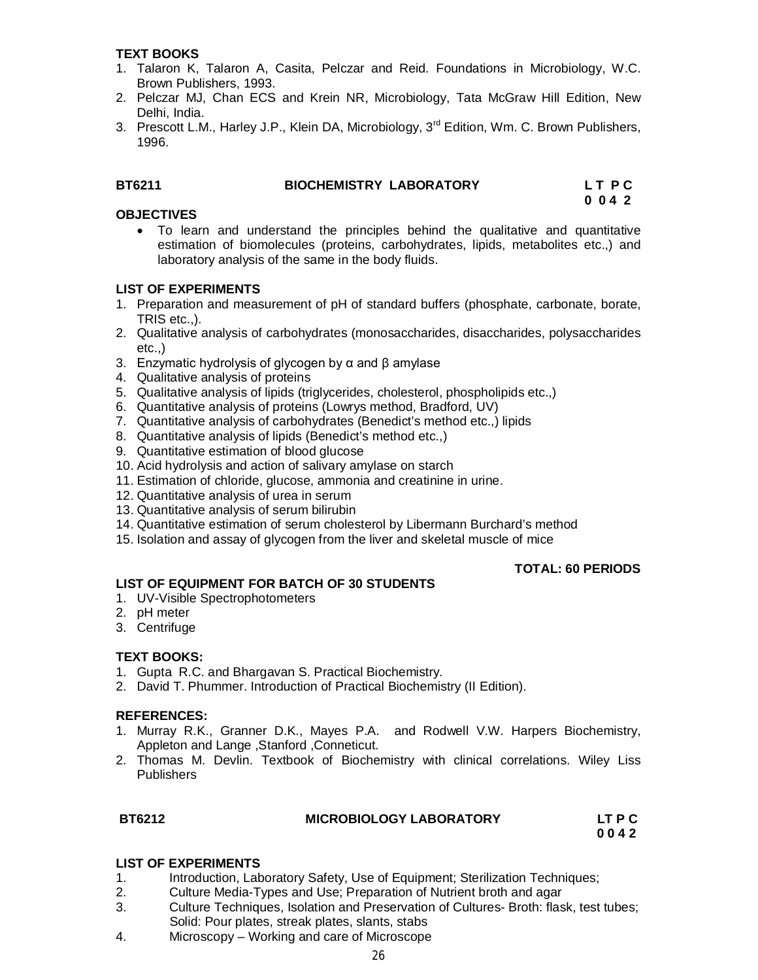# **TEXT BOOKS**

- 1. Talaron K, Talaron A, Casita, Pelczar and Reid. Foundations in Microbiology, W.C. Brown Publishers, 1993.
- 2. Pelczar MJ, Chan ECS and Krein NR, Microbiology, Tata McGraw Hill Edition, New Delhi, India.
- 3. Prescott L.M., Harley J.P., Klein DA, Microbiology, 3<sup>rd</sup> Edition, Wm. C. Brown Publishers, 1996.

### **BT6211 BIOCHEMISTRY LABORATORY LET PC**

 **0 0 4 2**

# **OBJECTIVES**

 To learn and understand the principles behind the qualitative and quantitative estimation of biomolecules (proteins, carbohydrates, lipids, metabolites etc.,) and laboratory analysis of the same in the body fluids.

# **LIST OF EXPERIMENTS**

- 1. Preparation and measurement of pH of standard buffers (phosphate, carbonate, borate, TRIS etc.,).
- 2. Qualitative analysis of carbohydrates (monosaccharides, disaccharides, polysaccharides etc.,)
- 3. Enzymatic hydrolysis of glycogen by α and β amylase
- 4. Qualitative analysis of proteins
- 5. Qualitative analysis of lipids (triglycerides, cholesterol, phospholipids etc.,)
- 6. Quantitative analysis of proteins (Lowrys method, Bradford, UV)
- 7. Quantitative analysis of carbohydrates (Benedict's method etc.,) lipids
- 8. Quantitative analysis of lipids (Benedict's method etc.,)
- 9. Quantitative estimation of blood glucose
- 10. Acid hydrolysis and action of salivary amylase on starch
- 11. Estimation of chloride, glucose, ammonia and creatinine in urine.
- 12. Quantitative analysis of urea in serum
- 13. Quantitative analysis of serum bilirubin
- 14. Quantitative estimation of serum cholesterol by Libermann Burchard's method
- 15. Isolation and assay of glycogen from the liver and skeletal muscle of mice

# **TOTAL: 60 PERIODS**

# **LIST OF EQUIPMENT FOR BATCH OF 30 STUDENTS**

- 1. UV-Visible Spectrophotometers
- 2. pH meter
- 3. Centrifuge

# **TEXT BOOKS:**

- 1. Gupta R.C. and Bhargavan S. Practical Biochemistry.
- 2. David T. Phummer. Introduction of Practical Biochemistry (II Edition).

# **REFERENCES:**

- 1. Murray R.K., Granner D.K., Mayes P.A. and Rodwell V.W. Harpers Biochemistry, Appleton and Lange ,Stanford ,Conneticut.
- 2. Thomas M. Devlin. Textbook of Biochemistry with clinical correlations. Wiley Liss **Publishers**

# **BT6212 MICROBIOLOGY LABORATORY LT P C**

 **0 0 4 2**

# **LIST OF EXPERIMENTS**

- 1. Introduction, Laboratory Safety, Use of Equipment; Sterilization Techniques;
- 2. Culture Media-Types and Use; Preparation of Nutrient broth and agar
- 3. Culture Techniques, Isolation and Preservation of Cultures- Broth: flask, test tubes; Solid: Pour plates, streak plates, slants, stabs
- 4. Microscopy Working and care of Microscope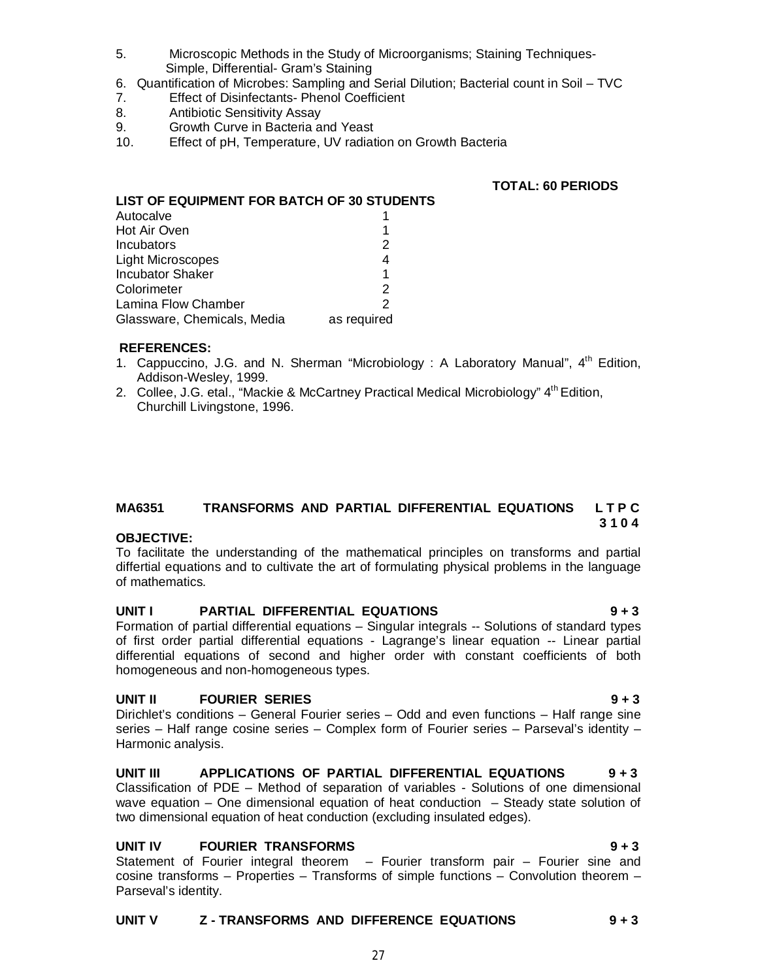- 5. Microscopic Methods in the Study of Microorganisms; Staining Techniques- Simple, Differential- Gram's Staining
- 6. Quantification of Microbes: Sampling and Serial Dilution; Bacterial count in Soil TVC
- 7. Effect of Disinfectants- Phenol Coefficient
- 8. Antibiotic Sensitivity Assay
- 9. Growth Curve in Bacteria and Yeast<br>10. Effect of pH. Temperature, UV radiat
- Effect of pH, Temperature, UV radiation on Growth Bacteria

### **TOTAL: 60 PERIODS**

| LIST OF EQUIPMENT FOR BATCH OF 30 STUDENTS |             |
|--------------------------------------------|-------------|
| Autocalve                                  |             |
| Hot Air Oven                               |             |
| Incubators                                 | 2           |
| <b>Light Microscopes</b>                   | 4           |
| <b>Incubator Shaker</b>                    | 1           |
| Colorimeter                                | 2           |
| Lamina Flow Chamber                        |             |
| Glassware, Chemicals, Media                | as required |

### **REFERENCES:**

- 1. Cappuccino, J.G. and N. Sherman "Microbiology : A Laboratory Manual",  $4<sup>th</sup>$  Edition, Addison-Wesley, 1999.
- 2. Collee, J.G. etal., "Mackie & McCartney Practical Medical Microbiology" 4<sup>th</sup> Edition, Churchill Livingstone, 1996.

# **MA6351 TRANSFORMS AND PARTIAL DIFFERENTIAL EQUATIONS L T P C 3 1 0 4**

# **OBJECTIVE:**

To facilitate the understanding of the mathematical principles on transforms and partial differtial equations and to cultivate the art of formulating physical problems in the language of mathematics.

# **UNIT I PARTIAL DIFFERENTIAL EQUATIONS 9 + 3**

Formation of partial differential equations – Singular integrals -- Solutions of standard types of first order partial differential equations - Lagrange's linear equation -- Linear partial differential equations of second and higher order with constant coefficients of both homogeneous and non-homogeneous types.

# **UNIT II FOURIER SERIES 9 + 3**

Dirichlet's conditions – General Fourier series – Odd and even functions – Half range sine series – Half range cosine series – Complex form of Fourier series – Parseval's identity – Harmonic analysis.

**UNIT III APPLICATIONS OF PARTIAL DIFFERENTIAL EQUATIONS 9 + 3** Classification of PDE – Method of separation of variables - Solutions of one dimensional wave equation – One dimensional equation of heat conduction – Steady state solution of two dimensional equation of heat conduction (excluding insulated edges).

# **UNIT IV FOURIER TRANSFORMS 9 + 3**

Statement of Fourier integral theorem – Fourier transform pair – Fourier sine and cosine transforms – Properties – Transforms of simple functions – Convolution theorem – Parseval's identity.

# **UNIT V Z - TRANSFORMS AND DIFFERENCE EQUATIONS 9 + 3**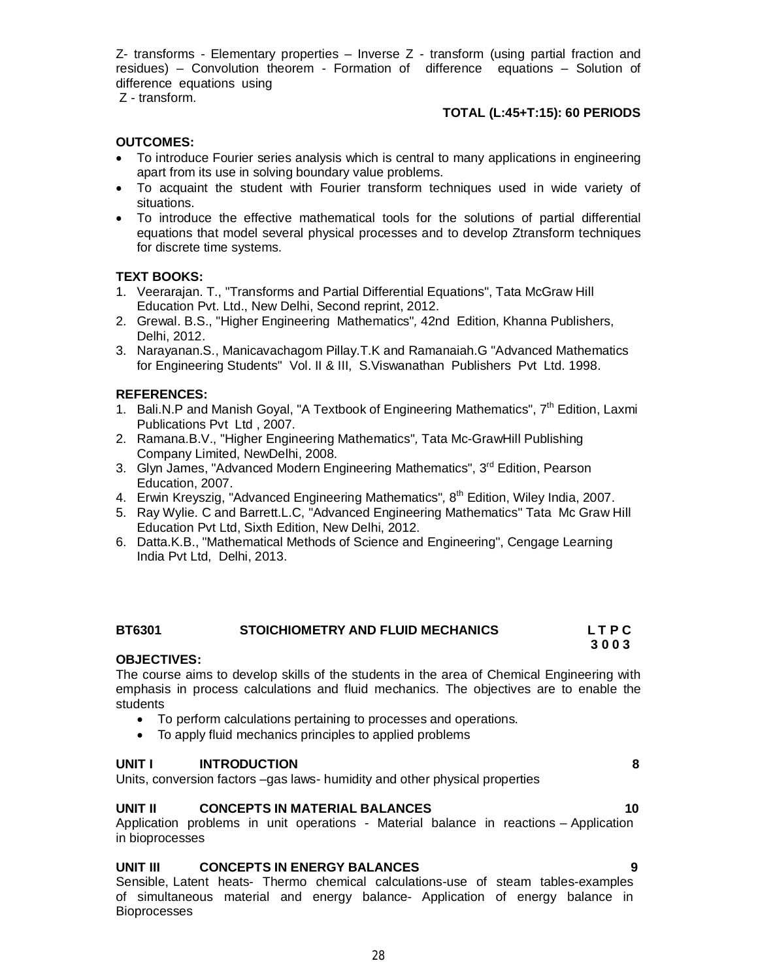Z- transforms - Elementary properties – Inverse Z - transform (using partial fraction and residues) – Convolution theorem - Formation of difference equations – Solution of difference equations using

Z - transform.

# **TOTAL (L:45+T:15): 60 PERIODS**

# **OUTCOMES:**

- To introduce Fourier series analysis which is central to many applications in engineering apart from its use in solving boundary value problems.
- To acquaint the student with Fourier transform techniques used in wide variety of situations.
- To introduce the effective mathematical tools for the solutions of partial differential equations that model several physical processes and to develop Ztransform techniques for discrete time systems.

# **TEXT BOOKS:**

- 1. Veerarajan. T., "Transforms and Partial Differential Equations", Tata McGraw Hill Education Pvt. Ltd., New Delhi, Second reprint, 2012.
- 2. Grewal. B.S., "Higher Engineering Mathematics"*,* 42nd Edition, Khanna Publishers, Delhi, 2012.
- 3. Narayanan.S., Manicavachagom Pillay.T.K and Ramanaiah.G "Advanced Mathematics for Engineering Students" Vol. II & III, S.Viswanathan Publishers Pvt Ltd. 1998.

# **REFERENCES:**

- 1. Bali.N.P and Manish Goyal, "A Textbook of Engineering Mathematics", 7<sup>th</sup> Edition, Laxmi Publications Pvt Ltd , 2007.
- 2. Ramana.B.V., "Higher Engineering Mathematics"*,* Tata Mc-GrawHill Publishing Company Limited, NewDelhi, 2008.
- 3. Glyn James, "Advanced Modern Engineering Mathematics", 3<sup>rd</sup> Edition, Pearson Education, 2007.
- 4. Erwin Kreyszig, "Advanced Engineering Mathematics"*,* 8 th Edition, Wiley India, 2007.
- 5. Ray Wylie. C and Barrett.L.C, "Advanced Engineering Mathematics" Tata Mc Graw Hill Education Pvt Ltd, Sixth Edition, New Delhi, 2012.
- 6. Datta.K.B., "Mathematical Methods of Science and Engineering", Cengage Learning India Pvt Ltd, Delhi, 2013.

### **BT6301 STOICHIOMETRY AND FLUID MECHANICS L T P C 3 0 0 3**

### **OBJECTIVES:**

The course aims to develop skills of the students in the area of Chemical Engineering with emphasis in process calculations and fluid mechanics. The objectives are to enable the students

- To perform calculations pertaining to processes and operations.
- To apply fluid mechanics principles to applied problems

### **UNIT I INTRODUCTION 8**

Units, conversion factors –gas laws- humidity and other physical properties

### **UNIT II CONCEPTS IN MATERIAL BALANCES** 10

Application problems in unit operations - Material balance in reactions – Application in bioprocesses

### **UNIT III CONCEPTS IN ENERGY BALANCES 9**

Sensible, Latent heats- Thermo chemical calculations-use of steam tables-examples of simultaneous material and energy balance- Application of energy balance in Bioprocesses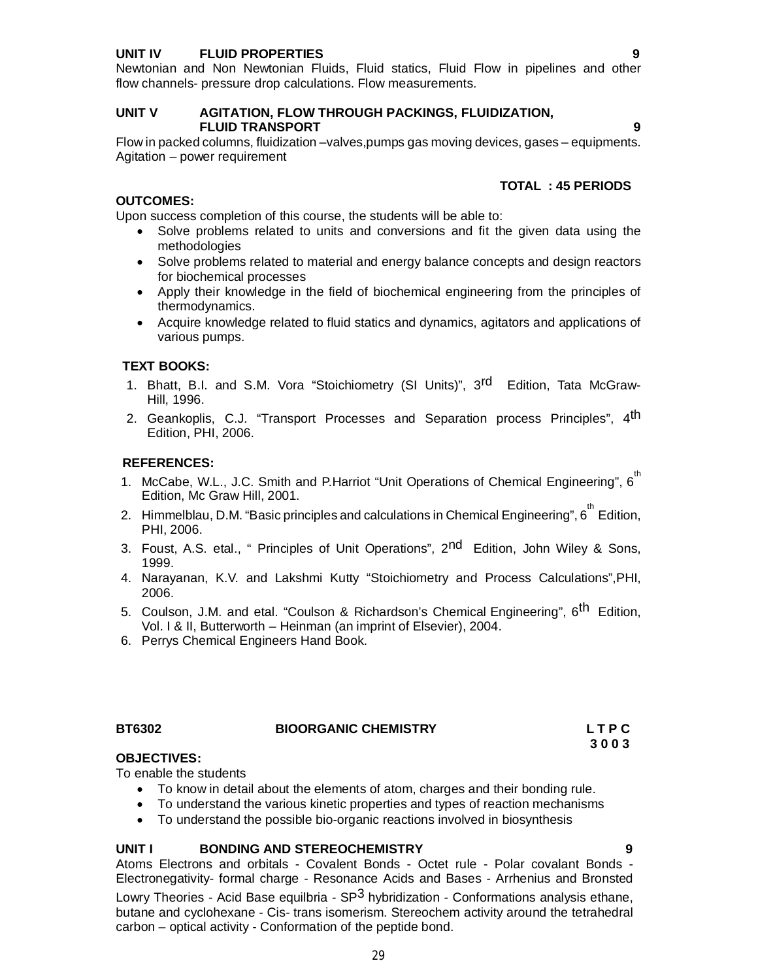# **UNIT IV FLUID PROPERTIES 9**

Newtonian and Non Newtonian Fluids, Fluid statics, Fluid Flow in pipelines and other flow channels- pressure drop calculations. Flow measurements.

### **UNIT V AGITATION, FLOW THROUGH PACKINGS, FLUIDIZATION, FLUID TRANSPORT 9**

Flow in packed columns, fluidization –valves,pumps gas moving devices, gases – equipments. Agitation – power requirement

# **TOTAL : 45 PERIODS**

# **OUTCOMES:**

Upon success completion of this course, the students will be able to:

- Solve problems related to units and conversions and fit the given data using the methodologies
- Solve problems related to material and energy balance concepts and design reactors for biochemical processes
- Apply their knowledge in the field of biochemical engineering from the principles of thermodynamics.
- Acquire knowledge related to fluid statics and dynamics, agitators and applications of various pumps.

# **TEXT BOOKS:**

- 1. Bhatt, B.I. and S.M. Vora "Stoichiometry (SI Units)", 3<sup>rd</sup> Edition, Tata McGraw-Hill, 1996.
- 2. Geankoplis, C.J. "Transport Processes and Separation process Principles", 4<sup>th</sup> Edition, PHI, 2006.

### **REFERENCES:**

- 1. McCabe, W.L., J.C. Smith and P.Harriot "Unit Operations of Chemical Engineering", 6<sup>th</sup> Edition, Mc Graw Hill, 2001.
- 2. Himmelblau, D.M. "Basic principles and calculations in Chemical Engineering",  $6^{\mathsf{th}}$  Edition, PHI, 2006.
- 3. Foust, A.S. etal., " Principles of Unit Operations", 2<sup>nd</sup> Edition, John Wiley & Sons, 1999.
- 4. Narayanan, K.V. and Lakshmi Kutty "Stoichiometry and Process Calculations",PHI, 2006.
- 5. Coulson, J.M. and etal. "Coulson & Richardson's Chemical Engineering", 6<sup>th</sup> Edition, Vol. I & II, Butterworth – Heinman (an imprint of Elsevier), 2004.
- 6. Perrys Chemical Engineers Hand Book.

# BT6302 BIOORGANIC CHEMISTRY LTPC<br>3003 3003

 **3 0 0 3**

# **OBJECTIVES:**

To enable the students

- To know in detail about the elements of atom, charges and their bonding rule.
- To understand the various kinetic properties and types of reaction mechanisms
- To understand the possible bio-organic reactions involved in biosynthesis

### **UNIT I BONDING AND STEREOCHEMISTRY 9**

Atoms Electrons and orbitals - Covalent Bonds - Octet rule - Polar covalant Bonds - Electronegativity- formal charge - Resonance Acids and Bases - Arrhenius and Bronsted Lowry Theories - Acid Base equilbria -  $SP<sup>3</sup>$  hybridization - Conformations analysis ethane, butane and cyclohexane - Cis- trans isomerism. Stereochem activity around the tetrahedral carbon – optical activity - Conformation of the peptide bond.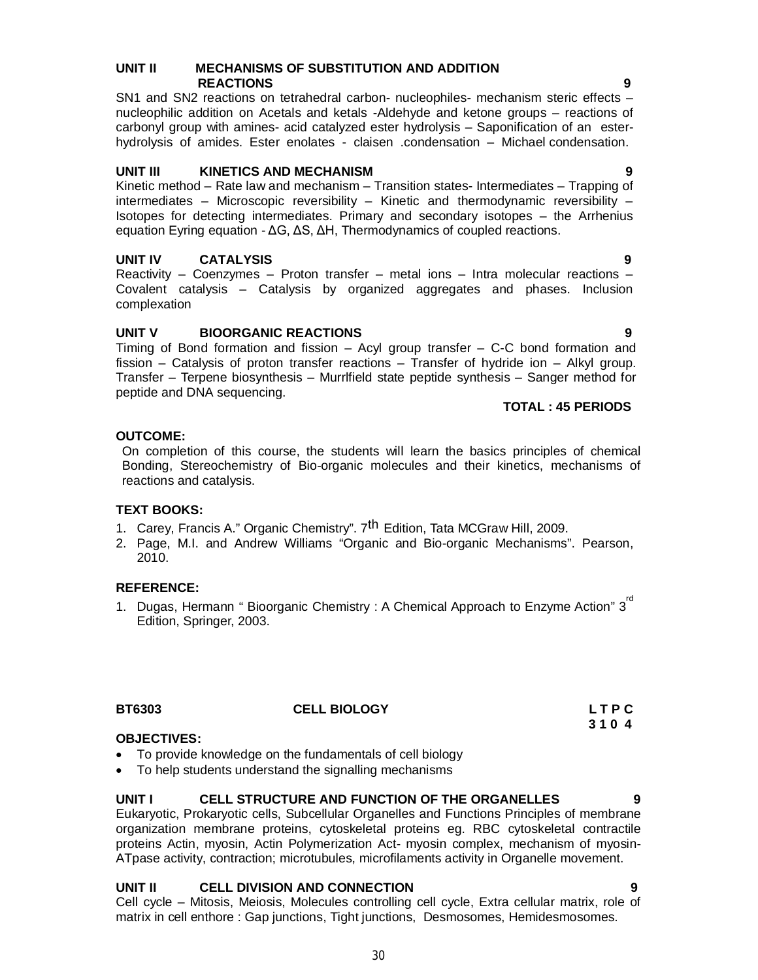### 30

### **UNIT II MECHANISMS OF SUBSTITUTION AND ADDITION REACTIONS 9**

SN1 and SN2 reactions on tetrahedral carbon- nucleophiles- mechanism steric effects – nucleophilic addition on Acetals and ketals -Aldehyde and ketone groups – reactions of carbonyl group with amines- acid catalyzed ester hydrolysis – Saponification of an esterhydrolysis of amides. Ester enolates - claisen .condensation – Michael condensation.

### **UNIT III KINETICS AND MECHANISM 9**

Kinetic method – Rate law and mechanism – Transition states- Intermediates – Trapping of intermediates – Microscopic reversibility – Kinetic and thermodynamic reversibility – Isotopes for detecting intermediates. Primary and secondary isotopes – the Arrhenius equation Eyring equation - ΔG, ΔS, ΔH, Thermodynamics of coupled reactions.

# **UNIT IV CATALYSIS 9**

Reactivity – Coenzymes – Proton transfer – metal ions – Intra molecular reactions – Covalent catalysis – Catalysis by organized aggregates and phases. Inclusion complexation

# **UNIT V BIOORGANIC REACTIONS 9**

Timing of Bond formation and fission – Acyl group transfer – C-C bond formation and fission – Catalysis of proton transfer reactions – Transfer of hydride ion – Alkyl group. Transfer – Terpene biosynthesis – Murrlfield state peptide synthesis – Sanger method for peptide and DNA sequencing.

### **TOTAL : 45 PERIODS**

### **OUTCOME:**

On completion of this course, the students will learn the basics principles of chemical Bonding, Stereochemistry of Bio-organic molecules and their kinetics, mechanisms of reactions and catalysis.

# **TEXT BOOKS:**

- 1. Carey, Francis A." Organic Chemistry". 7<sup>th</sup> Edition, Tata MCGraw Hill, 2009.
- 2. Page, M.I. and Andrew Williams "Organic and Bio-organic Mechanisms". Pearson, 2010.

# **REFERENCE:**

1. Dugas, Hermann " Bioorganic Chemistry : A Chemical Approach to Enzyme Action" 3<sup>rd</sup> Edition, Springer, 2003.

| <b>BT6303</b> | <b>CELL BIOLOGY</b> | LTPC |
|---------------|---------------------|------|
|               |                     | 3104 |

# **CELL BIOLOGY** LTPC<br>3104

# **OBJECTIVES:**

- To provide knowledge on the fundamentals of cell biology
- To help students understand the signalling mechanisms

# **UNIT I CELL STRUCTURE AND FUNCTION OF THE ORGANELLES 9**

Eukaryotic, Prokaryotic cells, Subcellular Organelles and Functions Principles of membrane organization membrane proteins, cytoskeletal proteins eg. RBC cytoskeletal contractile proteins Actin, myosin, Actin Polymerization Act- myosin complex, mechanism of myosin-ATpase activity, contraction; microtubules, microfilaments activity in Organelle movement.

# **UNIT II CELL DIVISION AND CONNECTION 9**

Cell cycle – Mitosis, Meiosis, Molecules controlling cell cycle, Extra cellular matrix, role of matrix in cell enthore : Gap junctions, Tight junctions, Desmosomes, Hemidesmosomes.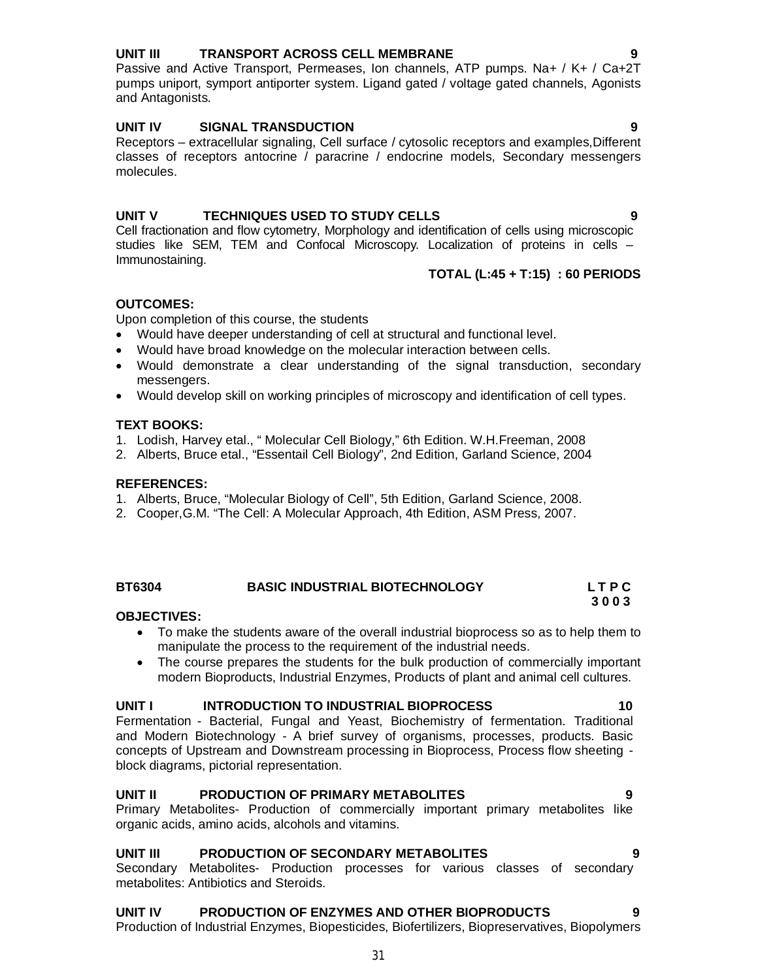# **UNIT III TRANSPORT ACROSS CELL MEMBRANE 9**

Passive and Active Transport, Permeases, Ion channels, ATP pumps. Na+ / K+ / Ca+2T pumps uniport, symport antiporter system. Ligand gated / voltage gated channels, Agonists and Antagonists.

# **UNIT IV SIGNAL TRANSDUCTION 9**

Receptors – extracellular signaling, Cell surface / cytosolic receptors and examples,Different classes of receptors antocrine / paracrine / endocrine models, Secondary messengers molecules.

# **UNIT V TECHNIQUES USED TO STUDY CELLS 9**

Cell fractionation and flow cytometry, Morphology and identification of cells using microscopic studies like SEM, TEM and Confocal Microscopy. Localization of proteins in cells – Immunostaining.

### **TOTAL (L:45 + T:15) : 60 PERIODS**

# **OUTCOMES:**

Upon completion of this course, the students

- Would have deeper understanding of cell at structural and functional level.
- Would have broad knowledge on the molecular interaction between cells.
- Would demonstrate a clear understanding of the signal transduction, secondary messengers.
- Would develop skill on working principles of microscopy and identification of cell types.

### **TEXT BOOKS:**

- 1. Lodish, Harvey etal., " Molecular Cell Biology," 6th Edition. W.H.Freeman, 2008
- 2. Alberts, Bruce etal., "Essentail Cell Biology", 2nd Edition, Garland Science, 2004

### **REFERENCES:**

- 1. Alberts, Bruce, "Molecular Biology of Cell", 5th Edition, Garland Science, 2008.
- 2. Cooper,G.M. "The Cell: A Molecular Approach, 4th Edition, ASM Press, 2007.

# **BT6304 BASIC INDUSTRIAL BIOTECHNOLOGY L T P C**

### **OBJECTIVES:**

- To make the students aware of the overall industrial bioprocess so as to help them to manipulate the process to the requirement of the industrial needs.
- The course prepares the students for the bulk production of commercially important modern Bioproducts, Industrial Enzymes, Products of plant and animal cell cultures.

### **UNIT I** INTRODUCTION TO INDUSTRIAL BIOPROCESS 10

Fermentation - Bacterial, Fungal and Yeast, Biochemistry of fermentation. Traditional and Modern Biotechnology - A brief survey of organisms, processes, products. Basic concepts of Upstream and Downstream processing in Bioprocess, Process flow sheeting block diagrams, pictorial representation.

### **UNIT II PRODUCTION OF PRIMARY METABOLITES 9**

Primary Metabolites- Production of commercially important primary metabolites like organic acids, amino acids, alcohols and vitamins.

### **UNIT III PRODUCTION OF SECONDARY METABOLITES 9**

Secondary Metabolites- Production processes for various classes of secondary metabolites: Antibiotics and Steroids.

# **UNIT IV PRODUCTION OF ENZYMES AND OTHER BIOPRODUCTS 9**

Production of Industrial Enzymes, Biopesticides, Biofertilizers, Biopreservatives, Biopolymers

 **3 0 0 3**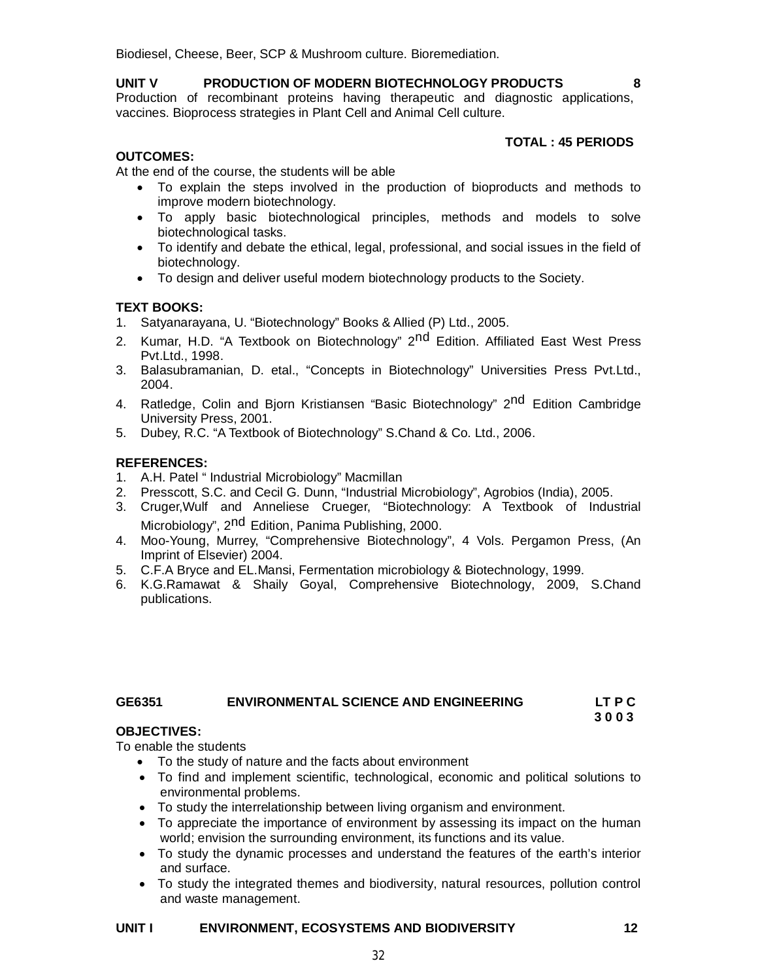Biodiesel, Cheese, Beer, SCP & Mushroom culture. Bioremediation.

# **UNIT V PRODUCTION OF MODERN BIOTECHNOLOGY PRODUCTS 8**

Production of recombinant proteins having therapeutic and diagnostic applications, vaccines. Bioprocess strategies in Plant Cell and Animal Cell culture.

# **TOTAL : 45 PERIODS**

# **OUTCOMES:**

At the end of the course, the students will be able

- To explain the steps involved in the production of bioproducts and methods to improve modern biotechnology.
- To apply basic biotechnological principles, methods and models to solve biotechnological tasks.
- To identify and debate the ethical, legal, professional, and social issues in the field of biotechnology.
- To design and deliver useful modern biotechnology products to the Society.

# **TEXT BOOKS:**

1. Satyanarayana, U. "Biotechnology" Books & Allied (P) Ltd., 2005.

- 2. Kumar, H.D. "A Textbook on Biotechnology" 2<sup>nd</sup> Edition. Affiliated East West Press Pvt.Ltd., 1998.
- 3. Balasubramanian, D. etal., "Concepts in Biotechnology" Universities Press Pvt.Ltd., 2004.
- 4. Ratledge, Colin and Bjorn Kristiansen "Basic Biotechnology" 2<sup>nd</sup> Edition Cambridge University Press, 2001.
- 5. Dubey, R.C. "A Textbook of Biotechnology" S.Chand & Co. Ltd., 2006.

# **REFERENCES:**

- 1. A.H. Patel " Industrial Microbiology" Macmillan
- 2. Presscott, S.C. and Cecil G. Dunn, "Industrial Microbiology", Agrobios (India), 2005.
- 3. Cruger,Wulf and Anneliese Crueger, "Biotechnology: A Textbook of Industrial Microbiology", 2<sup>nd</sup> Edition, Panima Publishing, 2000.
- 4. Moo-Young, Murrey, "Comprehensive Biotechnology", 4 Vols. Pergamon Press, (An Imprint of Elsevier) 2004.
- 5. C.F.A Bryce and EL.Mansi, Fermentation microbiology & Biotechnology, 1999.
- 6. K.G.Ramawat & Shaily Goyal, Comprehensive Biotechnology, 2009, S.Chand publications.

### **GE6351 ENVIRONMENTAL SCIENCE AND ENGINEERING LT P C 3 0 0 3**

# **OBJECTIVES:**

To enable the students

- To the study of nature and the facts about environment
- To find and implement scientific, technological, economic and political solutions to environmental problems.
- To study the interrelationship between living organism and environment.
- To appreciate the importance of environment by assessing its impact on the human world; envision the surrounding environment, its functions and its value.
- To study the dynamic processes and understand the features of the earth's interior and surface.
- To study the integrated themes and biodiversity, natural resources, pollution control and waste management.

# **UNIT I ENVIRONMENT, ECOSYSTEMS AND BIODIVERSITY 12**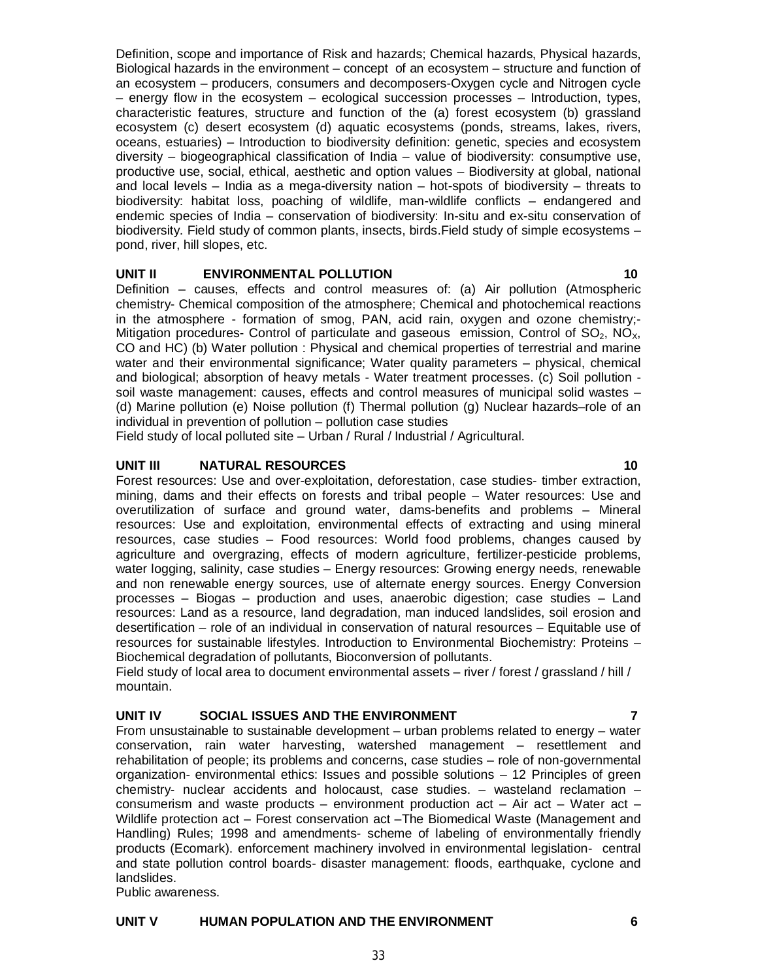Definition, scope and importance of Risk and hazards; Chemical hazards, Physical hazards, Biological hazards in the environment – concept of an ecosystem – structure and function of an ecosystem – producers, consumers and decomposers-Oxygen cycle and Nitrogen cycle – energy flow in the ecosystem – ecological succession processes – Introduction, types, characteristic features, structure and function of the (a) forest ecosystem (b) grassland ecosystem (c) desert ecosystem (d) aquatic ecosystems (ponds, streams, lakes, rivers, oceans, estuaries) – Introduction to biodiversity definition: genetic, species and ecosystem diversity – biogeographical classification of India – value of biodiversity: consumptive use, productive use, social, ethical, aesthetic and option values – Biodiversity at global, national and local levels – India as a mega-diversity nation – hot-spots of biodiversity – threats to biodiversity: habitat loss, poaching of wildlife, man-wildlife conflicts – endangered and endemic species of India – conservation of biodiversity: In-situ and ex-situ conservation of biodiversity. Field study of common plants, insects, birds.Field study of simple ecosystems – pond, river, hill slopes, etc.

# **UNIT II ENVIRONMENTAL POLLUTION 10**

Definition – causes, effects and control measures of: (a) Air pollution (Atmospheric chemistry- Chemical composition of the atmosphere; Chemical and photochemical reactions in the atmosphere - formation of smog, PAN, acid rain, oxygen and ozone chemistry;- Mitigation procedures- Control of particulate and gaseous emission, Control of  $SO_2$ ,  $NO_{X_1}$ , CO and HC) (b) Water pollution : Physical and chemical properties of terrestrial and marine water and their environmental significance; Water quality parameters – physical, chemical and biological; absorption of heavy metals - Water treatment processes. (c) Soil pollution soil waste management: causes, effects and control measures of municipal solid wastes – (d) Marine pollution (e) Noise pollution (f) Thermal pollution (g) Nuclear hazards–role of an individual in prevention of pollution – pollution case studies

Field study of local polluted site – Urban / Rural / Industrial / Agricultural.

# **UNIT III** NATURAL RESOURCES 10

Forest resources: Use and over-exploitation, deforestation, case studies- timber extraction, mining, dams and their effects on forests and tribal people – Water resources: Use and overutilization of surface and ground water, dams-benefits and problems – Mineral resources: Use and exploitation, environmental effects of extracting and using mineral resources, case studies – Food resources: World food problems, changes caused by agriculture and overgrazing, effects of modern agriculture, fertilizer-pesticide problems, water logging, salinity, case studies – Energy resources: Growing energy needs, renewable and non renewable energy sources, use of alternate energy sources. Energy Conversion processes – Biogas – production and uses, anaerobic digestion; case studies – Land resources: Land as a resource, land degradation, man induced landslides, soil erosion and desertification – role of an individual in conservation of natural resources – Equitable use of resources for sustainable lifestyles. Introduction to Environmental Biochemistry: Proteins – Biochemical degradation of pollutants, Bioconversion of pollutants.

Field study of local area to document environmental assets – river / forest / grassland / hill / mountain.

# **UNIT IV SOCIAL ISSUES AND THE ENVIRONMENT 7**

From unsustainable to sustainable development – urban problems related to energy – water conservation, rain water harvesting, watershed management – resettlement and rehabilitation of people; its problems and concerns, case studies – role of non-governmental organization- environmental ethics: Issues and possible solutions – 12 Principles of green chemistry- nuclear accidents and holocaust, case studies. – wasteland reclamation – consumerism and waste products – environment production act – Air act – Water act – Wildlife protection act – Forest conservation act –The Biomedical Waste (Management and Handling) Rules; 1998 and amendments- scheme of labeling of environmentally friendly products (Ecomark). enforcement machinery involved in environmental legislation- central and state pollution control boards- disaster management: floods, earthquake, cyclone and landslides.

33

Public awareness.

# **UNIT V HUMAN POPULATION AND THE ENVIRONMENT 6**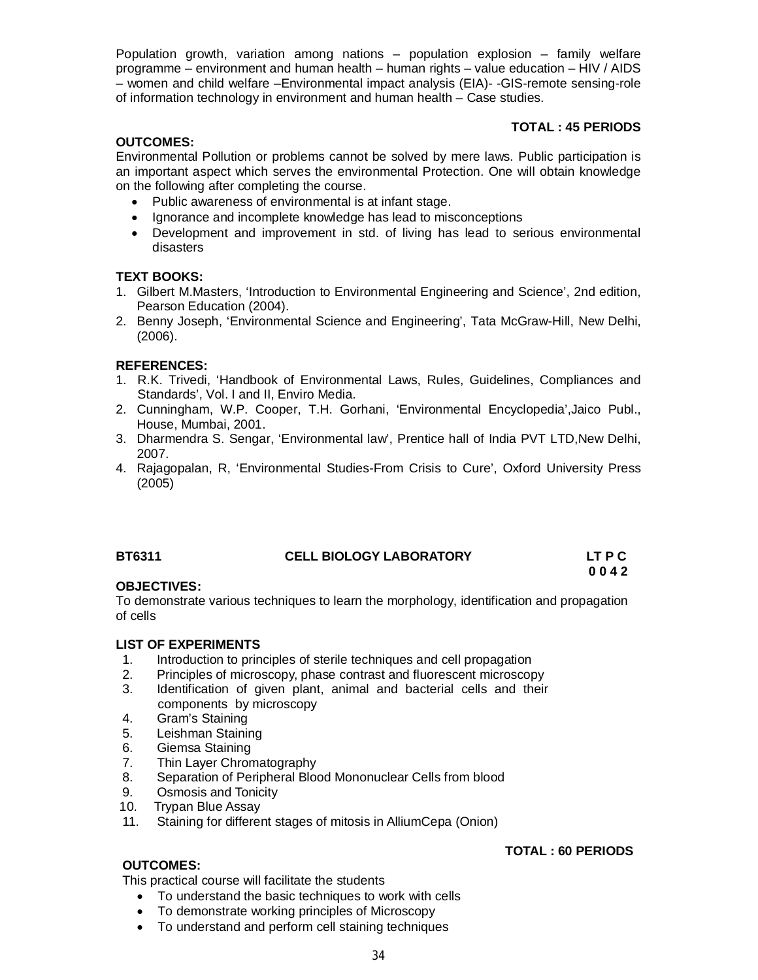Population growth, variation among nations – population explosion – family welfare programme – environment and human health – human rights – value education – HIV / AIDS – women and child welfare –Environmental impact analysis (EIA)- -GIS-remote sensing-role of information technology in environment and human health – Case studies.

# **TOTAL : 45 PERIODS**

# **OUTCOMES:**

Environmental Pollution or problems cannot be solved by mere laws. Public participation is an important aspect which serves the environmental Protection. One will obtain knowledge on the following after completing the course.

- Public awareness of environmental is at infant stage.
- Ignorance and incomplete knowledge has lead to misconceptions
- Development and improvement in std. of living has lead to serious environmental disasters

# **TEXT BOOKS:**

- 1. Gilbert M.Masters, 'Introduction to Environmental Engineering and Science', 2nd edition, Pearson Education (2004).
- 2. Benny Joseph, 'Environmental Science and Engineering', Tata McGraw-Hill, New Delhi, (2006).

# **REFERENCES:**

- 1. R.K. Trivedi, 'Handbook of Environmental Laws, Rules, Guidelines, Compliances and Standards', Vol. I and II, Enviro Media.
- 2. Cunningham, W.P. Cooper, T.H. Gorhani, 'Environmental Encyclopedia',Jaico Publ., House, Mumbai, 2001.
- 3. Dharmendra S. Sengar, 'Environmental law', Prentice hall of India PVT LTD,New Delhi, 2007.
- 4. Rajagopalan, R, 'Environmental Studies-From Crisis to Cure', Oxford University Press (2005)

# **BT6311 CELL BIOLOGY LABORATORY LT P C**

### **0 0 4 2 OBJECTIVES:**

To demonstrate various techniques to learn the morphology, identification and propagation of cells

# **LIST OF EXPERIMENTS**

- 1. Introduction to principles of sterile techniques and cell propagation
- 2. Principles of microscopy, phase contrast and fluorescent microscopy
- 3. Identification of given plant, animal and bacterial cells and their components by microscopy
- 4. Gram's Staining
- 5. Leishman Staining
- 6. Giemsa Staining
- 7. Thin Layer Chromatography
- 8. Separation of Peripheral Blood Mononuclear Cells from blood
- 9. Osmosis and Tonicity
- 10. Trypan Blue Assay
- 11. Staining for different stages of mitosis in AlliumCepa (Onion)

# **TOTAL : 60 PERIODS**

# **OUTCOMES:**

This practical course will facilitate the students

- To understand the basic techniques to work with cells
- To demonstrate working principles of Microscopy
- To understand and perform cell staining techniques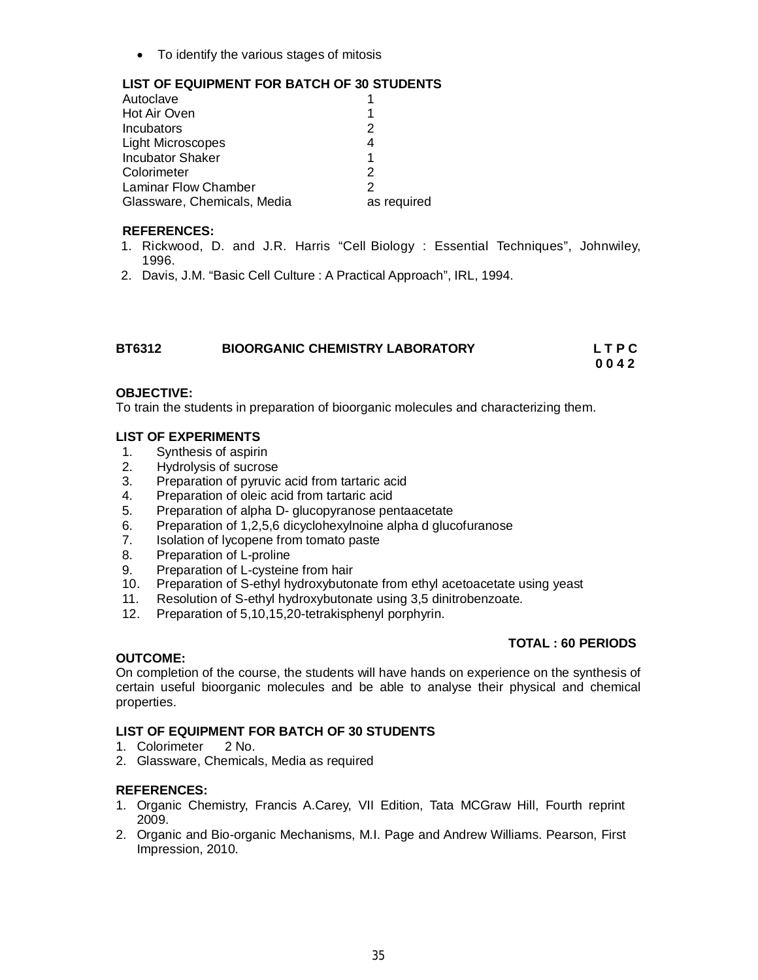To identify the various stages of mitosis

# **LIST OF EQUIPMENT FOR BATCH OF 30 STUDENTS**

| Autoclave                   |             |
|-----------------------------|-------------|
| Hot Air Oven                |             |
| Incubators                  | 2           |
| <b>Light Microscopes</b>    | 4           |
| <b>Incubator Shaker</b>     |             |
| Colorimeter                 | 2           |
| Laminar Flow Chamber        | 2           |
| Glassware, Chemicals, Media | as required |
|                             |             |

### **REFERENCES:**

- 1. Rickwood, D. and J.R. Harris "Cell Biology : Essential Techniques", Johnwiley, 1996.
- 2. Davis, J.M. "Basic Cell Culture : A Practical Approach", IRL, 1994.

| <b>BT6312</b> | <b>BIOORGANIC CHEMISTRY LABORATORY</b> | <b>LTPC</b> |
|---------------|----------------------------------------|-------------|
|               |                                        | 0042        |

### **OBJECTIVE:**

To train the students in preparation of bioorganic molecules and characterizing them.

# **LIST OF EXPERIMENTS**

- 1. Synthesis of aspirin
- 2. Hydrolysis of sucrose
- 3. Preparation of pyruvic acid from tartaric acid
- 4. Preparation of oleic acid from tartaric acid
- 5. Preparation of alpha D- glucopyranose pentaacetate
- 6. Preparation of 1,2,5,6 dicyclohexylnoine alpha d glucofuranose
- Isolation of Iycopene from tomato paste
- 8. Preparation of L-proline
- 9. Preparation of L-cysteine from hair
- 10. Preparation of S-ethyl hydroxybutonate from ethyl acetoacetate using yeast
- 11. Resolution of S-ethyl hydroxybutonate using 3,5 dinitrobenzoate.
- 12. Preparation of 5,10,15,20-tetrakisphenyl porphyrin.

# **TOTAL : 60 PERIODS**

# **OUTCOME:**

On completion of the course, the students will have hands on experience on the synthesis of certain useful bioorganic molecules and be able to analyse their physical and chemical properties.

# **LIST OF EQUIPMENT FOR BATCH OF 30 STUDENTS**

- 1. Colorimeter 2 No.
- 2. Glassware, Chemicals, Media as required

# **REFERENCES:**

- 1. Organic Chemistry, Francis A.Carey, VII Edition, Tata MCGraw Hill, Fourth reprint 2009.
- 2. Organic and Bio-organic Mechanisms, M.I. Page and Andrew Williams. Pearson, First Impression, 2010.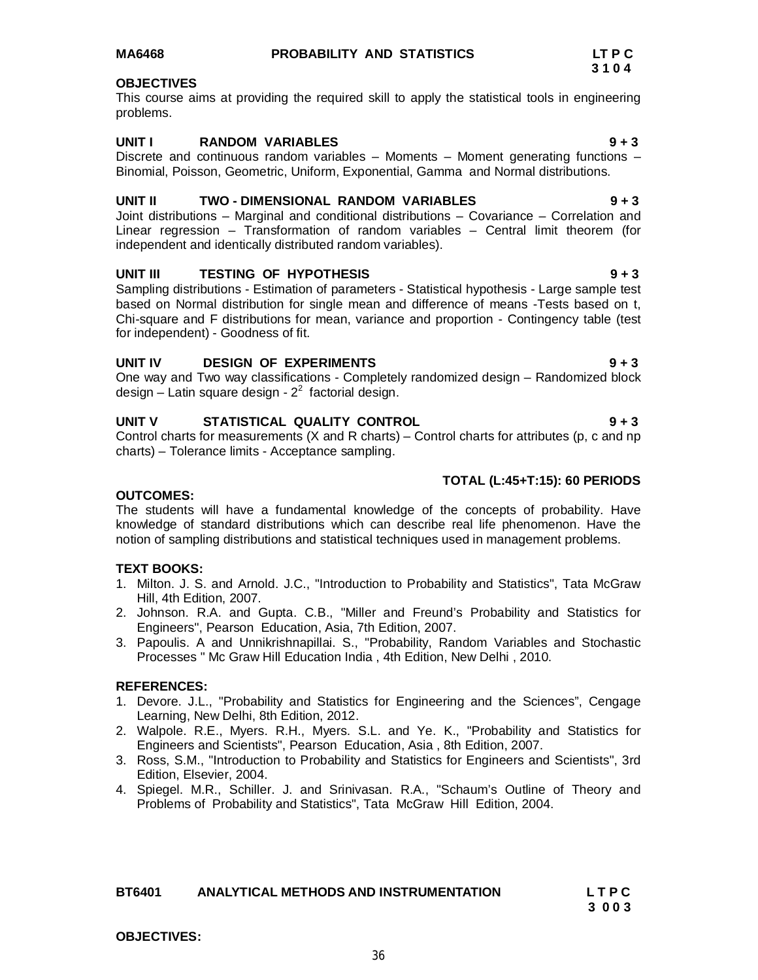# **MA6468 PROBABILITY AND STATISTICS LT P C**

### **OBJECTIVES**

This course aims at providing the required skill to apply the statistical tools in engineering problems.

# **UNIT I RANDOM VARIABLES 9 + 3**

Discrete and continuous random variables  $-$  Moments  $-$  Moment generating functions  $-$ Binomial, Poisson, Geometric, Uniform, Exponential, Gamma and Normal distributions.

### **UNIT II TWO - DIMENSIONAL RANDOM VARIABLES 9 + 3**

Joint distributions – Marginal and conditional distributions – Covariance – Correlation and Linear regression – Transformation of random variables – Central limit theorem (for independent and identically distributed random variables).

### **UNIT III TESTING OF HYPOTHESIS 9 + 3**

Sampling distributions - Estimation of parameters - Statistical hypothesis - Large sample test based on Normal distribution for single mean and difference of means -Tests based on t, Chi-square and F distributions for mean, variance and proportion - Contingency table (test for independent) - Goodness of fit.

# **UNIT IV DESIGN OF EXPERIMENTS 9 + 3**

One way and Two way classifications - Completely randomized design – Randomized block design – Latin square design -  $2^2$  factorial design.

# **UNIT V STATISTICAL QUALITY CONTROL 9 + 3**

Control charts for measurements (X and R charts) – Control charts for attributes (p, c and np charts) – Tolerance limits - Acceptance sampling.

### **TOTAL (L:45+T:15): 60 PERIODS**

# **OUTCOMES:**

The students will have a fundamental knowledge of the concepts of probability. Have knowledge of standard distributions which can describe real life phenomenon. Have the notion of sampling distributions and statistical techniques used in management problems.

### **TEXT BOOKS:**

- 1. Milton. J. S. and Arnold. J.C., "Introduction to Probability and Statistics", Tata McGraw Hill, 4th Edition, 2007.
- 2. Johnson. R.A. and Gupta. C.B., "Miller and Freund's Probability and Statistics for Engineers", Pearson Education, Asia, 7th Edition, 2007.
- 3. Papoulis. A and Unnikrishnapillai. S., "Probability, Random Variables and Stochastic Processes " Mc Graw Hill Education India , 4th Edition, New Delhi , 2010.

# **REFERENCES:**

- 1. Devore. J.L., "Probability and Statistics for Engineering and the Sciences", Cengage Learning, New Delhi, 8th Edition, 2012.
- 2. Walpole. R.E., Myers. R.H., Myers. S.L. and Ye. K., "Probability and Statistics for Engineers and Scientists", Pearson Education, Asia , 8th Edition, 2007.
- 3. Ross, S.M., "Introduction to Probability and Statistics for Engineers and Scientists", 3rd Edition, Elsevier, 2004.
- 4. Spiegel. M.R., Schiller. J. and Srinivasan. R.A., "Schaum's Outline of Theory and Problems of Probability and Statistics", Tata McGraw Hill Edition, 2004.

| <b>BT6401</b> | <b>ANALYTICAL METHODS AND INSTRUMENTATION</b> | <b>LTPC</b> |
|---------------|-----------------------------------------------|-------------|
|               |                                               | 3003        |

# **OBJECTIVES:**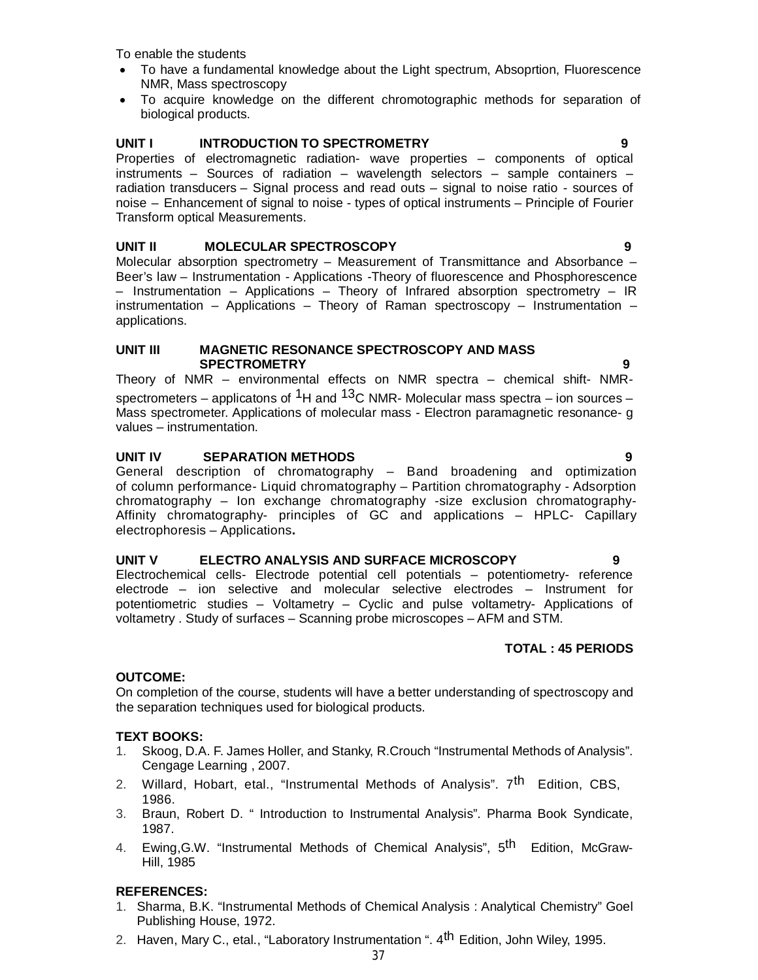To enable the students

- To have a fundamental knowledge about the Light spectrum, Absoprtion, Fluorescence NMR, Mass spectroscopy
- To acquire knowledge on the different chromotographic methods for separation of biological products.

# **UNIT I INTRODUCTION TO SPECTROMETRY 9**

Properties of electromagnetic radiation- wave properties – components of optical instruments – Sources of radiation – wavelength selectors – sample containers – radiation transducers – Signal process and read outs – signal to noise ratio - sources of noise – Enhancement of signal to noise - types of optical instruments – Principle of Fourier Transform optical Measurements.

## **UNIT II MOLECULAR SPECTROSCOPY 9**

Molecular absorption spectrometry – Measurement of Transmittance and Absorbance – Beer's law – Instrumentation - Applications -Theory of fluorescence and Phosphorescence – Instrumentation – Applications – Theory of Infrared absorption spectrometry – IR instrumentation – Applications – Theory of Raman spectroscopy – Instrumentation – applications.

#### **UNIT III MAGNETIC RESONANCE SPECTROSCOPY AND MASS SPECTROMETRY 9**

Theory of NMR – environmental effects on NMR spectra – chemical shift- NMRspectrometers – applicatons of <sup>1</sup>H and <sup>13</sup>C NMR- Molecular mass spectra – ion sources – Mass spectrometer. Applications of molecular mass - Electron paramagnetic resonance- g values – instrumentation.

## **UNIT IV SEPARATION METHODS 9**

General description of chromatography – Band broadening and optimization of column performance- Liquid chromatography – Partition chromatography - Adsorption chromatography – Ion exchange chromatography -size exclusion chromatography-Affinity chromatography- principles of GC and applications – HPLC- Capillary electrophoresis – Applications**.**

# **UNIT V ELECTRO ANALYSIS AND SURFACE MICROSCOPY 9**

Electrochemical cells- Electrode potential cell potentials – potentiometry- reference electrode – ion selective and molecular selective electrodes – Instrument for potentiometric studies – Voltametry – Cyclic and pulse voltametry- Applications of voltametry . Study of surfaces – Scanning probe microscopes – AFM and STM.

# **TOTAL : 45 PERIODS**

# **OUTCOME:**

On completion of the course, students will have a better understanding of spectroscopy and the separation techniques used for biological products.

# **TEXT BOOKS:**

- 1. Skoog, D.A. F. James Holler, and Stanky, R.Crouch "Instrumental Methods of Analysis". Cengage Learning , 2007.
- 2. Willard, Hobart, etal., "Instrumental Methods of Analysis". 7<sup>th</sup> Edition, CBS, 1986.
- 3. Braun, Robert D. " Introduction to Instrumental Analysis". Pharma Book Syndicate, 1987.
- 4. Ewing,G.W. "Instrumental Methods of Chemical Analysis", 5<sup>th</sup> Edition, McGraw-Hill, 1985

# **REFERENCES:**

- 1. Sharma, B.K. "Instrumental Methods of Chemical Analysis : Analytical Chemistry" Goel Publishing House, 1972.
- 2. Haven, Mary C., etal., "Laboratory Instrumentation ". 4th Edition, John Wiley, 1995.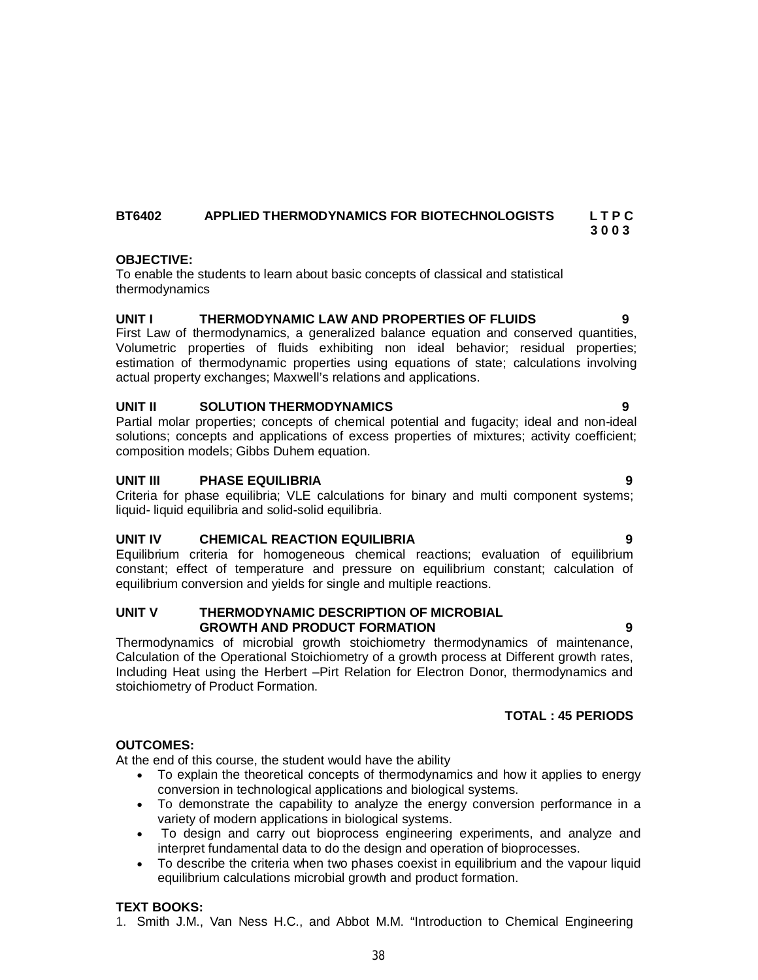# **BT6402 APPLIED THERMODYNAMICS FOR BIOTECHNOLOGISTS L T P C 3 0 0 3**

# **OBJECTIVE:**

To enable the students to learn about basic concepts of classical and statistical thermodynamics

# **UNIT I THERMODYNAMIC LAW AND PROPERTIES OF FLUIDS 9**

First Law of thermodynamics, a generalized balance equation and conserved quantities, Volumetric properties of fluids exhibiting non ideal behavior; residual properties; estimation of thermodynamic properties using equations of state; calculations involving actual property exchanges; Maxwell's relations and applications.

# **UNIT II SOLUTION THERMODYNAMICS 9**

Partial molar properties; concepts of chemical potential and fugacity; ideal and non-ideal solutions; concepts and applications of excess properties of mixtures; activity coefficient; composition models; Gibbs Duhem equation.

# **UNIT III PHASE EQUILIBRIA 9**

Criteria for phase equilibria; VLE calculations for binary and multi component systems; liquid- liquid equilibria and solid-solid equilibria.

# **UNIT IV CHEMICAL REACTION EQUILIBRIA 9**

Equilibrium criteria for homogeneous chemical reactions; evaluation of equilibrium constant; effect of temperature and pressure on equilibrium constant; calculation of equilibrium conversion and yields for single and multiple reactions.

# **UNIT V THERMODYNAMIC DESCRIPTION OF MICROBIAL GROWTH AND PRODUCT FORMATION 9**

Thermodynamics of microbial growth stoichiometry thermodynamics of maintenance, Calculation of the Operational Stoichiometry of a growth process at Different growth rates, Including Heat using the Herbert –Pirt Relation for Electron Donor, thermodynamics and stoichiometry of Product Formation.

# **TOTAL : 45 PERIODS**

# **OUTCOMES:**

At the end of this course, the student would have the ability

- To explain the theoretical concepts of thermodynamics and how it applies to energy conversion in technological applications and biological systems.
- To demonstrate the capability to analyze the energy conversion performance in a variety of modern applications in biological systems.
- To design and carry out bioprocess engineering experiments, and analyze and interpret fundamental data to do the design and operation of bioprocesses.
- To describe the criteria when two phases coexist in equilibrium and the vapour liquid equilibrium calculations microbial growth and product formation.

# **TEXT BOOKS:**

1. Smith J.M., Van Ness H.C., and Abbot M.M. "Introduction to Chemical Engineering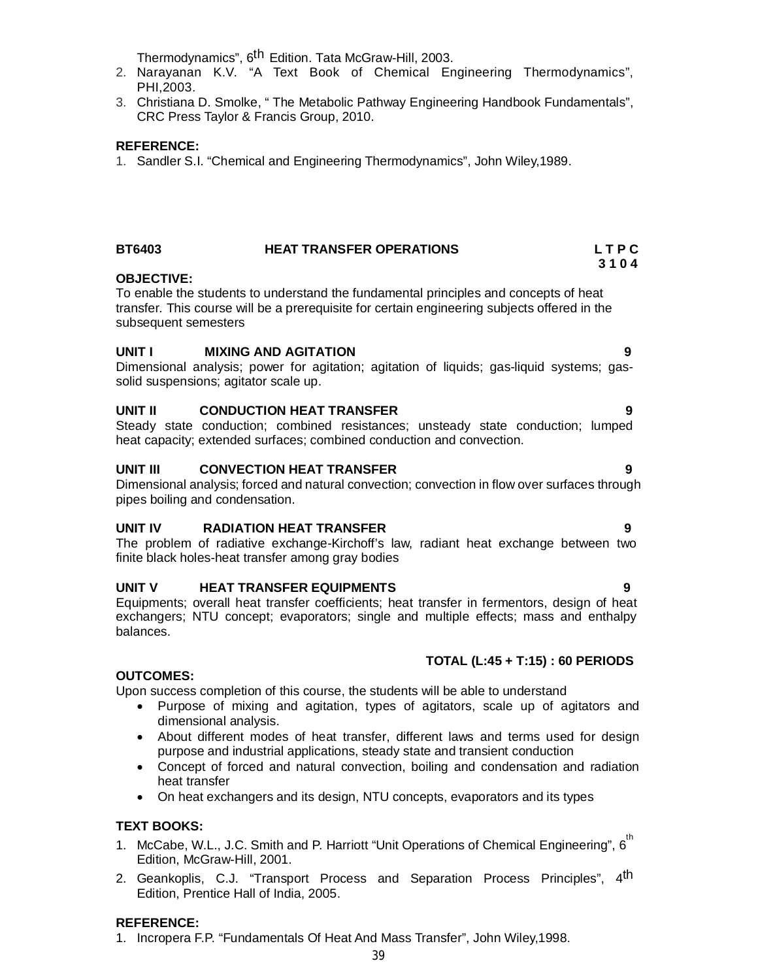Thermodynamics", 6<sup>th</sup> Edition. Tata McGraw-Hill, 2003.

- 2. Narayanan K.V. "A Text Book of Chemical Engineering Thermodynamics", PHI,2003.
- 3. Christiana D. Smolke, " The Metabolic Pathway Engineering Handbook Fundamentals", CRC Press Taylor & Francis Group, 2010.

# **REFERENCE:**

1. Sandler S.I. "Chemical and Engineering Thermodynamics", John Wiley,1989.

# **BT6403 HEAT TRANSFER OPERATIONS L T P C**

#### **3 1 0 4 OBJECTIVE:**

To enable the students to understand the fundamental principles and concepts of heat transfer*.* This course will be a prerequisite for certain engineering subjects offered in the subsequent semesters

## **UNIT I MIXING AND AGITATION 9**

Dimensional analysis; power for agitation; agitation of liquids; gas-liquid systems; gassolid suspensions; agitator scale up.

## **UNIT II CONDUCTION HEAT TRANSFER 9**

Steady state conduction; combined resistances; unsteady state conduction; lumped heat capacity; extended surfaces; combined conduction and convection.

## **UNIT III CONVECTION HEAT TRANSFER 9**

Dimensional analysis; forced and natural convection; convection in flow over surfaces through pipes boiling and condensation.

#### **UNIT IV RADIATION HEAT TRANSFER 9**

The problem of radiative exchange-Kirchoff's law, radiant heat exchange between two finite black holes-heat transfer among gray bodies

# **UNIT V HEAT TRANSFER EQUIPMENTS 9**

Equipments; overall heat transfer coefficients; heat transfer in fermentors, design of heat exchangers; NTU concept; evaporators; single and multiple effects; mass and enthalpy balances.

# **TOTAL (L:45 + T:15) : 60 PERIODS**

#### **OUTCOMES:**

Upon success completion of this course, the students will be able to understand

- Purpose of mixing and agitation, types of agitators, scale up of agitators and dimensional analysis.
- About different modes of heat transfer, different laws and terms used for design purpose and industrial applications, steady state and transient conduction
- Concept of forced and natural convection, boiling and condensation and radiation heat transfer
- On heat exchangers and its design, NTU concepts, evaporators and its types

# **TEXT BOOKS:**

- 1. McCabe, W.L., J.C. Smith and P. Harriott "Unit Operations of Chemical Engineering", 6<sup>th</sup> Edition, McGraw-Hill, 2001.
- 2. Geankoplis, C.J. "Transport Process and Separation Process Principles", 4<sup>th</sup> Edition, Prentice Hall of India, 2005.

#### **REFERENCE:**

1. Incropera F.P. "Fundamentals Of Heat And Mass Transfer", John Wiley,1998.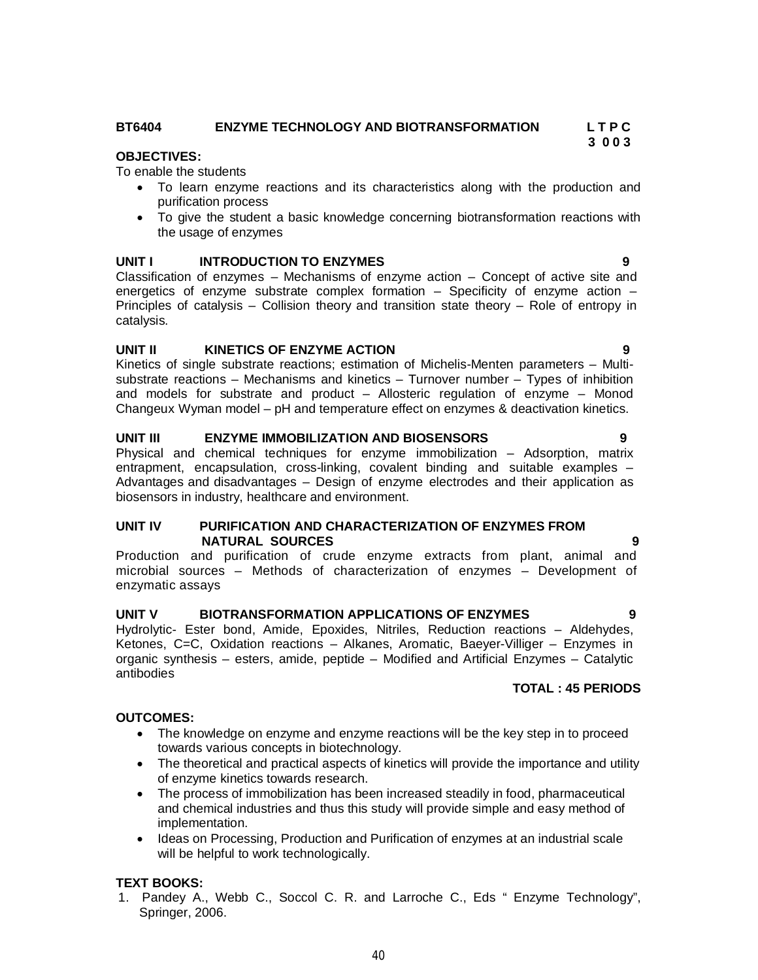# **BT6404 ENZYME TECHNOLOGY AND BIOTRANSFORMATION L T P C**

# **OBJECTIVES:**

To enable the students

- To learn enzyme reactions and its characteristics along with the production and purification process
- To give the student a basic knowledge concerning biotransformation reactions with the usage of enzymes

# **UNIT I INTRODUCTION TO ENZYMES 9**

Classification of enzymes – Mechanisms of enzyme action – Concept of active site and energetics of enzyme substrate complex formation  $-$  Specificity of enzyme action  $-$ Principles of catalysis – Collision theory and transition state theory – Role of entropy in catalysis.

# **UNIT II KINETICS OF ENZYME ACTION 9**

Kinetics of single substrate reactions; estimation of Michelis-Menten parameters – Multisubstrate reactions – Mechanisms and kinetics – Turnover number – Types of inhibition and models for substrate and product – Allosteric regulation of enzyme – Monod Changeux Wyman model – pH and temperature effect on enzymes & deactivation kinetics.

# UNIT III **ENZYME IMMOBILIZATION AND BIOSENSORS**

Physical and chemical techniques for enzyme immobilization – Adsorption, matrix entrapment, encapsulation, cross-linking, covalent binding and suitable examples – Advantages and disadvantages – Design of enzyme electrodes and their application as biosensors in industry, healthcare and environment.

# **UNIT IV PURIFICATION AND CHARACTERIZATION OF ENZYMES FROM NATURAL SOURCES 9**

Production and purification of crude enzyme extracts from plant, animal and microbial sources – Methods of characterization of enzymes – Development of enzymatic assays

# **UNIT V BIOTRANSFORMATION APPLICATIONS OF ENZYMES 9**

Hydrolytic- Ester bond, Amide, Epoxides, Nitriles, Reduction reactions – Aldehydes, Ketones, C=C, Oxidation reactions – Alkanes, Aromatic, Baeyer-Villiger – Enzymes in organic synthesis – esters, amide, peptide – Modified and Artificial Enzymes – Catalytic antibodies

# **TOTAL : 45 PERIODS**

# **OUTCOMES:**

- The knowledge on enzyme and enzyme reactions will be the key step in to proceed towards various concepts in biotechnology.
- The theoretical and practical aspects of kinetics will provide the importance and utility of enzyme kinetics towards research.
- The process of immobilization has been increased steadily in food, pharmaceutical and chemical industries and thus this study will provide simple and easy method of implementation.
- Ideas on Processing, Production and Purification of enzymes at an industrial scale will be helpful to work technologically.

# **TEXT BOOKS:**

1. Pandey A., Webb C., Soccol C. R. and Larroche C., Eds " Enzyme Technology", Springer, 2006.

 **3 0 0 3**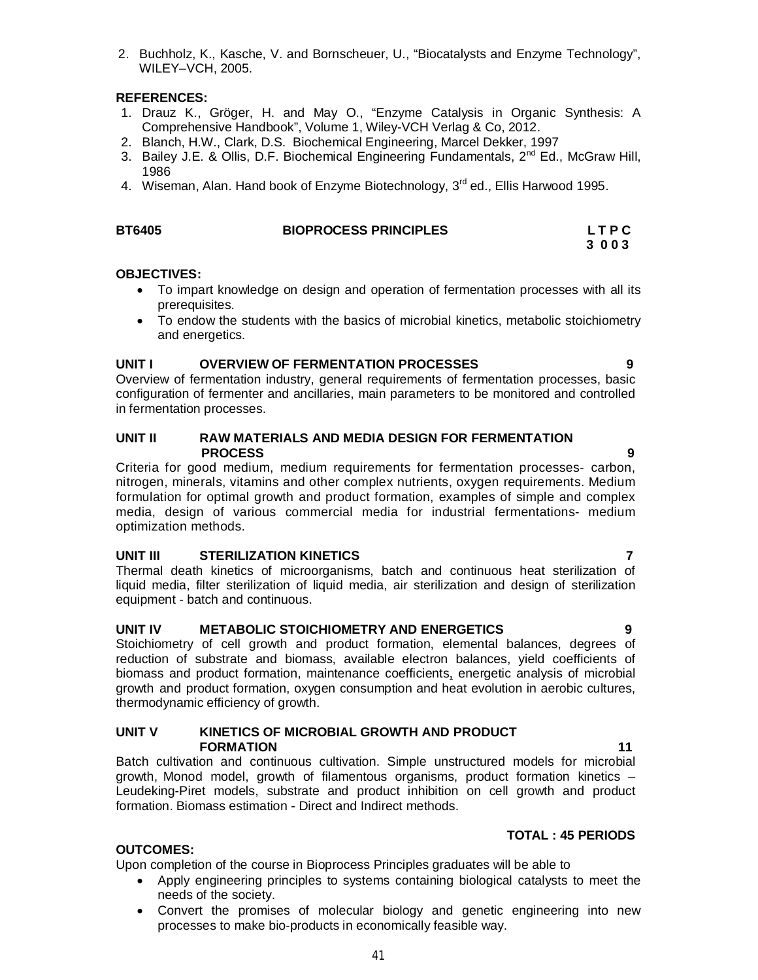41

2. Buchholz, K., Kasche, V. and Bornscheuer, U., "Biocatalysts and Enzyme Technology", WILEY–VCH, 2005.

# **REFERENCES:**

- 1. Drauz K., Gröger, H. and May O., "Enzyme Catalysis in Organic Synthesis: A Comprehensive Handbook", Volume 1, Wiley-VCH Verlag & Co, 2012.
- 2. Blanch, H.W., Clark, D.S. Biochemical Engineering, Marcel Dekker, 1997
- 3. Bailey J.E. & Ollis, D.F. Biochemical Engineering Fundamentals, 2<sup>nd</sup> Ed., McGraw Hill, 1986
- 4. Wiseman, Alan. Hand book of Enzyme Biotechnology, 3<sup>rd</sup> ed., Ellis Harwood 1995.

| <b>BT6405</b> | <b>BIOPROCESS PRINCIPLES</b> | <b>LTPC</b> |
|---------------|------------------------------|-------------|
|               |                              | 3 0 0 3     |

# **OBJECTIVES:**

- To impart knowledge on design and operation of fermentation processes with all its prerequisites.
- To endow the students with the basics of microbial kinetics, metabolic stoichiometry and energetics.

# **UNIT I OVERVIEW OF FERMENTATION PROCESSES 9**

Overview of fermentation industry, general requirements of fermentation processes, basic configuration of fermenter and ancillaries, main parameters to be monitored and controlled in fermentation processes.

#### **UNIT II RAW MATERIALS AND MEDIA DESIGN FOR FERMENTATION PROCESS 9**

Criteria for good medium, medium requirements for fermentation processes- carbon, nitrogen, minerals, vitamins and other complex nutrients, oxygen requirements. Medium formulation for optimal growth and product formation, examples of simple and complex media, design of various commercial media for industrial fermentations- medium optimization methods.

# **UNIT III STERILIZATION KINETICS 7**

Thermal death kinetics of microorganisms, batch and continuous heat sterilization of liquid media, filter sterilization of liquid media, air sterilization and design of sterilization equipment - batch and continuous.

# **UNIT IV METABOLIC STOICHIOMETRY AND ENERGETICS 9**

Stoichiometry of cell growth and product formation, elemental balances, degrees of reduction of substrate and biomass, available electron balances, yield coefficients of biomass and product formation, maintenance coefficients, energetic analysis of microbial growth and product formation, oxygen consumption and heat evolution in aerobic cultures, thermodynamic efficiency of growth.

# **UNIT V KINETICS OF MICROBIAL GROWTH AND PRODUCT FORMATION** 11

Batch cultivation and continuous cultivation. Simple unstructured models for microbial growth, Monod model, growth of filamentous organisms, product formation kinetics – Leudeking-Piret models, substrate and product inhibition on cell growth and product formation. Biomass estimation - Direct and Indirect methods.

# **OUTCOMES:**

Upon completion of the course in Bioprocess Principles graduates will be able to

- Apply engineering principles to systems containing biological catalysts to meet the needs of the society.
- Convert the promises of molecular biology and genetic engineering into new processes to make bio-products in economically feasible way.

# **TOTAL : 45 PERIODS**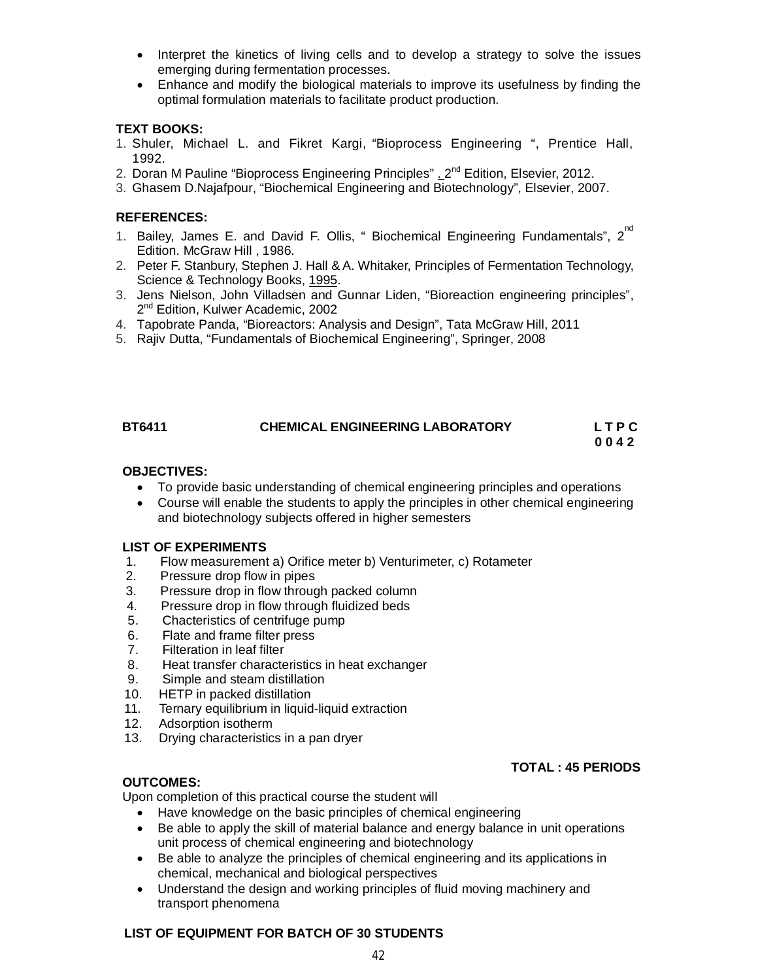- Interpret the kinetics of living cells and to develop a strategy to solve the issues emerging during fermentation processes.
- Enhance and modify the biological materials to improve its usefulness by finding the optimal formulation materials to facilitate product production.

# **TEXT BOOKS:**

- 1. Shuler, Michael L. and Fikret Kargi, "Bioprocess Engineering ", Prentice Hall, 1992.
- 2. Doran M Pauline "Bioprocess Engineering Principles" . 2<sup>nd</sup> Edition, Elsevier, 2012.
- 3. Ghasem D.Najafpour, "Biochemical Engineering and Biotechnology", Elsevier, 2007.

## **REFERENCES:**

- 1. Bailey, James E. and David F. Ollis, " Biochemical Engineering Fundamentals", 2<sup>nd</sup> Edition. McGraw Hill , 1986.
- 2. Peter F. Stanbury, Stephen J. Hall & A. Whitaker, Principles of Fermentation Technology, Science & Technology Books, 1995.
- 3. Jens Nielson, John Villadsen and Gunnar Liden, "Bioreaction engineering principles", 2<sup>nd</sup> Edition, Kulwer Academic, 2002
- 4. Tapobrate Panda, "Bioreactors: Analysis and Design", Tata McGraw Hill, 2011
- 5. Rajiv Dutta, "Fundamentals of Biochemical Engineering", Springer, 2008

# **BT6411 CHEMICAL ENGINEERING LABORATORY L T P C 0 0 4 2**

## **OBJECTIVES:**

- To provide basic understanding of chemical engineering principles and operations
- Course will enable the students to apply the principles in other chemical engineering and biotechnology subjects offered in higher semesters

#### **LIST OF EXPERIMENTS**

- 1. Flow measurement a) Orifice meter b) Venturimeter, c) Rotameter
- 2. Pressure drop flow in pipes
- 3. Pressure drop in flow through packed column
- 4. Pressure drop in flow through fluidized beds
- 5. Chacteristics of centrifuge pump
- 6. Flate and frame filter press
- 7. Filteration in leaf filter
- 8. Heat transfer characteristics in heat exchanger
- 9. Simple and steam distillation
- 10. HETP in packed distillation
- 11. Ternary equilibrium in liquid-liquid extraction
- 12. Adsorption isotherm
- 13. Drying characteristics in a pan dryer

#### **TOTAL : 45 PERIODS**

#### **OUTCOMES:**

Upon completion of this practical course the student will

- Have knowledge on the basic principles of chemical engineering
- Be able to apply the skill of material balance and energy balance in unit operations unit process of chemical engineering and biotechnology
- Be able to analyze the principles of chemical engineering and its applications in chemical, mechanical and biological perspectives
- Understand the design and working principles of fluid moving machinery and transport phenomena

#### **LIST OF EQUIPMENT FOR BATCH OF 30 STUDENTS**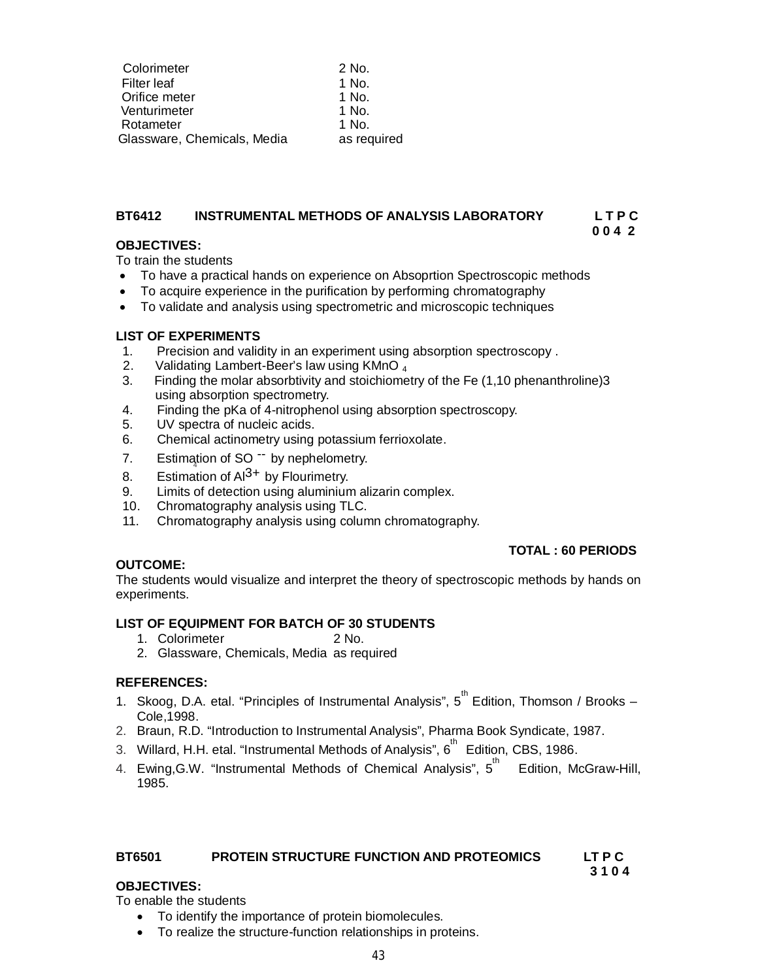| Colorimeter                 | 2 No.       |
|-----------------------------|-------------|
| Filter leaf                 | 1 No.       |
| Orifice meter               | 1 No.       |
| Venturimeter                | 1 No.       |
| Rotameter                   | 1 No.       |
| Glassware, Chemicals, Media | as required |

#### **BT6412 INSTRUMENTAL METHODS OF ANALYSIS LABORATORY L T P C 0 0 4 2**

# **OBJECTIVES:**

To train the students

- To have a practical hands on experience on Absoprtion Spectroscopic methods
- To acquire experience in the purification by performing chromatography
- To validate and analysis using spectrometric and microscopic techniques

## **LIST OF EXPERIMENTS**

- 1. Precision and validity in an experiment using absorption spectroscopy .
- 2. Validating Lambert-Beer's law using KMnO<sub>4</sub>
- 3. Finding the molar absorbtivity and stoichiometry of the Fe (1,10 phenanthroline)3 using absorption spectrometry.
- 4. Finding the pKa of 4-nitrophenol using absorption spectroscopy.
- 5. UV spectra of nucleic acids.
- 6. Chemical actinometry using potassium ferrioxolate.
- 7. Estimation of SO<sup>--</sup> by nephelometry.
- 8. Estimation of  $Al^{3+}$  by Flourimetry.
- 9. Limits of detection using aluminium alizarin complex.
- 10. Chromatography analysis using TLC.
- 11. Chromatography analysis using column chromatography.

# **TOTAL : 60 PERIODS**

# **OUTCOME:**

The students would visualize and interpret the theory of spectroscopic methods by hands on experiments.

# **LIST OF EQUIPMENT FOR BATCH OF 30 STUDENTS**

- 1. Colorimeter 2 No.
- 2. Glassware, Chemicals, Media as required

#### **REFERENCES:**

- 1. Skoog, D.A. etal. "Principles of Instrumental Analysis", 5<sup>th</sup> Edition, Thomson / Brooks -Cole,1998.
- 2. Braun, R.D. "Introduction to Instrumental Analysis", Pharma Book Syndicate, 1987.
- 3. Willard, H.H. etal. "Instrumental Methods of Analysis", 6<sup>th</sup> Edition, CBS, 1986.
- 4. Ewing,G.W. "Instrumental Methods of Chemical Analysis", 5<sup>th</sup> Edition, McGraw-Hill, 1985.

# **BT6501 PROTEIN STRUCTURE FUNCTION AND PROTEOMICS LT P C**

# **3 1 0 4**

#### **OBJECTIVES:**

To enable the students

- To identify the importance of protein biomolecules.
- To realize the structure-function relationships in proteins.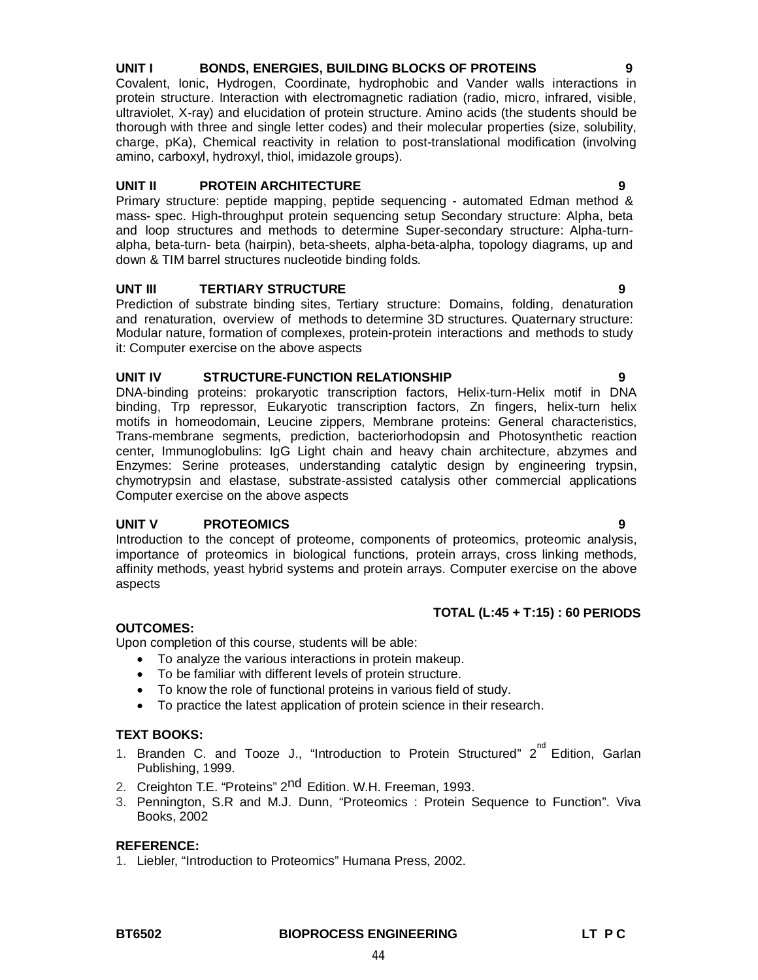# **BT6502 BIOPROCESS ENGINEERING LT P C**

44

# **UNIT I BONDS, ENERGIES, BUILDING BLOCKS OF PROTEINS 9**

Covalent, Ionic, Hydrogen, Coordinate, hydrophobic and Vander walls interactions in protein structure. Interaction with electromagnetic radiation (radio, micro, infrared, visible, ultraviolet, X-ray) and elucidation of protein structure. Amino acids (the students should be thorough with three and single letter codes) and their molecular properties (size, solubility, charge, pKa), Chemical reactivity in relation to post-translational modification (involving amino, carboxyl, hydroxyl, thiol, imidazole groups).

# **UNIT II PROTEIN ARCHITECTURE 9**

Primary structure: peptide mapping, peptide sequencing - automated Edman method & mass- spec. High-throughput protein sequencing setup Secondary structure: Alpha, beta and loop structures and methods to determine Super-secondary structure: Alpha-turnalpha, beta-turn- beta (hairpin), beta-sheets, alpha-beta-alpha, topology diagrams, up and down & TIM barrel structures nucleotide binding folds.

# **UNT III TERTIARY STRUCTURE 9**

Prediction of substrate binding sites, Tertiary structure: Domains, folding, denaturation and renaturation, overview of methods to determine 3D structures. Quaternary structure: Modular nature, formation of complexes, protein-protein interactions and methods to study it: Computer exercise on the above aspects

# **UNIT IV STRUCTURE-FUNCTION RELATIONSHIP 9**

DNA-binding proteins: prokaryotic transcription factors, Helix-turn-Helix motif in DNA binding, Trp repressor, Eukaryotic transcription factors, Zn fingers, helix-turn helix motifs in homeodomain, Leucine zippers, Membrane proteins: General characteristics, Trans-membrane segments, prediction, bacteriorhodopsin and Photosynthetic reaction center, Immunoglobulins: IgG Light chain and heavy chain architecture, abzymes and Enzymes: Serine proteases, understanding catalytic design by engineering trypsin, chymotrypsin and elastase, substrate-assisted catalysis other commercial applications Computer exercise on the above aspects

# **UNIT V PROTEOMICS 9**

Introduction to the concept of proteome, components of proteomics, proteomic analysis, importance of proteomics in biological functions, protein arrays, cross linking methods, affinity methods, yeast hybrid systems and protein arrays. Computer exercise on the above aspects

# **TOTAL (L:45 + T:15) : 60 PERIODS**

# **OUTCOMES:**

Upon completion of this course, students will be able:

- To analyze the various interactions in protein makeup.
- To be familiar with different levels of protein structure.
- To know the role of functional proteins in various field of study.
- To practice the latest application of protein science in their research.

# **TEXT BOOKS:**

- 1. Branden C. and Tooze J., "Introduction to Protein Structured" 2<sup>nd</sup> Edition, Garlan Publishing, 1999.
- 2. Creighton T.E. "Proteins" 2<sup>nd</sup> Edition. W.H. Freeman, 1993.
- 3. Pennington, S.R and M.J. Dunn, "Proteomics : Protein Sequence to Function". Viva Books, 2002

# **REFERENCE:**

1. Liebler, "Introduction to Proteomics" Humana Press, 2002.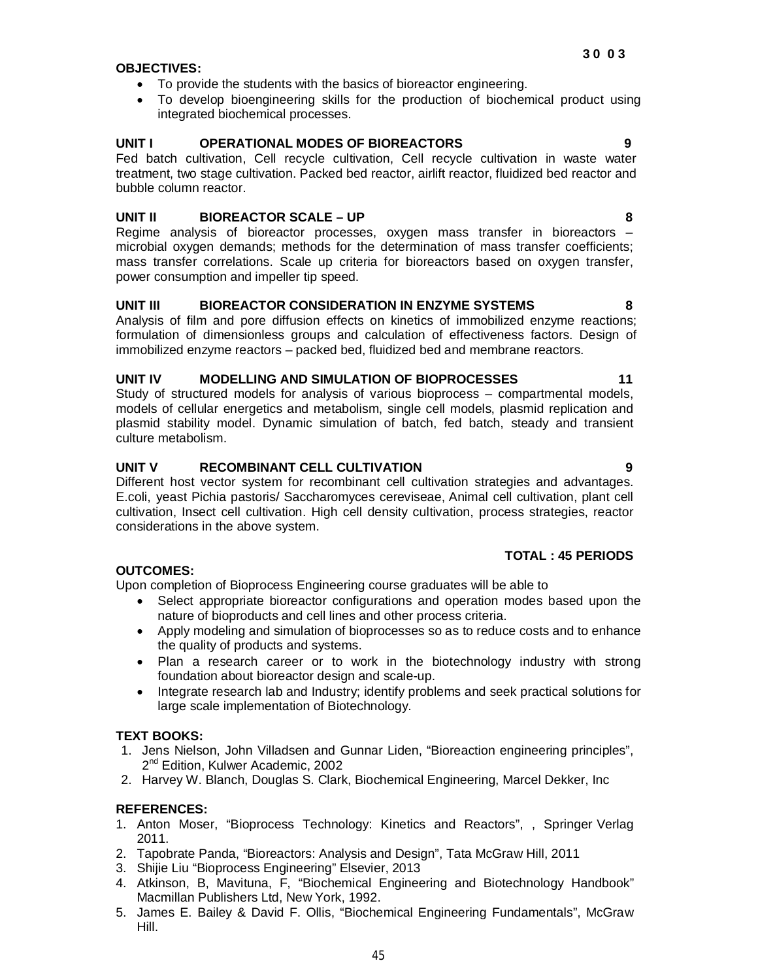# **OBJECTIVES:**

- To provide the students with the basics of bioreactor engineering.
- To develop bioengineering skills for the production of biochemical product using integrated biochemical processes.

# **UNIT I OPERATIONAL MODES OF BIOREACTORS 9**

Fed batch cultivation, Cell recycle cultivation, Cell recycle cultivation in waste water treatment, two stage cultivation. Packed bed reactor, airlift reactor, fluidized bed reactor and bubble column reactor.

# **UNIT II BIOREACTOR SCALE – UP 8**

Regime analysis of bioreactor processes, oxygen mass transfer in bioreactors – microbial oxygen demands; methods for the determination of mass transfer coefficients; mass transfer correlations. Scale up criteria for bioreactors based on oxygen transfer, power consumption and impeller tip speed.

# **UNIT III BIOREACTOR CONSIDERATION IN ENZYME SYSTEMS 8**

Analysis of film and pore diffusion effects on kinetics of immobilized enzyme reactions; formulation of dimensionless groups and calculation of effectiveness factors. Design of immobilized enzyme reactors – packed bed, fluidized bed and membrane reactors.

# **UNIT IV MODELLING AND SIMULATION OF BIOPROCESSES 11**

Study of structured models for analysis of various bioprocess – compartmental models, models of cellular energetics and metabolism, single cell models, plasmid replication and plasmid stability model. Dynamic simulation of batch, fed batch, steady and transient culture metabolism.

# **UNIT V RECOMBINANT CELL CULTIVATION 9**

Different host vector system for recombinant cell cultivation strategies and advantages. E.coli, yeast Pichia pastoris/ Saccharomyces cereviseae, Animal cell cultivation, plant cell cultivation, Insect cell cultivation. High cell density cultivation, process strategies, reactor considerations in the above system.

# **TOTAL : 45 PERIODS**

# **OUTCOMES:**

Upon completion of Bioprocess Engineering course graduates will be able to

- Select appropriate bioreactor configurations and operation modes based upon the nature of bioproducts and cell lines and other process criteria.
- Apply modeling and simulation of bioprocesses so as to reduce costs and to enhance the quality of products and systems.
- Plan a research career or to work in the biotechnology industry with strong foundation about bioreactor design and scale-up.
- Integrate research lab and Industry; identify problems and seek practical solutions for large scale implementation of Biotechnology.

# **TEXT BOOKS:**

- 1. Jens Nielson, John Villadsen and Gunnar Liden, "Bioreaction engineering principles", 2<sup>nd</sup> Edition, Kulwer Academic, 2002
- 2. Harvey W. Blanch, Douglas S. Clark, Biochemical Engineering, Marcel Dekker, Inc

# **REFERENCES:**

- 1. Anton Moser, "Bioprocess Technology: Kinetics and Reactors", , Springer Verlag 2011.
- 2. Tapobrate Panda, "Bioreactors: Analysis and Design", Tata McGraw Hill, 2011
- 3. Shijie Liu "Bioprocess Engineering" Elsevier, 2013
- 4. Atkinson, B, Mavituna, F, "Biochemical Engineering and Biotechnology Handbook" Macmillan Publishers Ltd, New York, 1992.
- 5. James E. Bailey & David F. Ollis, "Biochemical Engineering Fundamentals", McGraw Hill.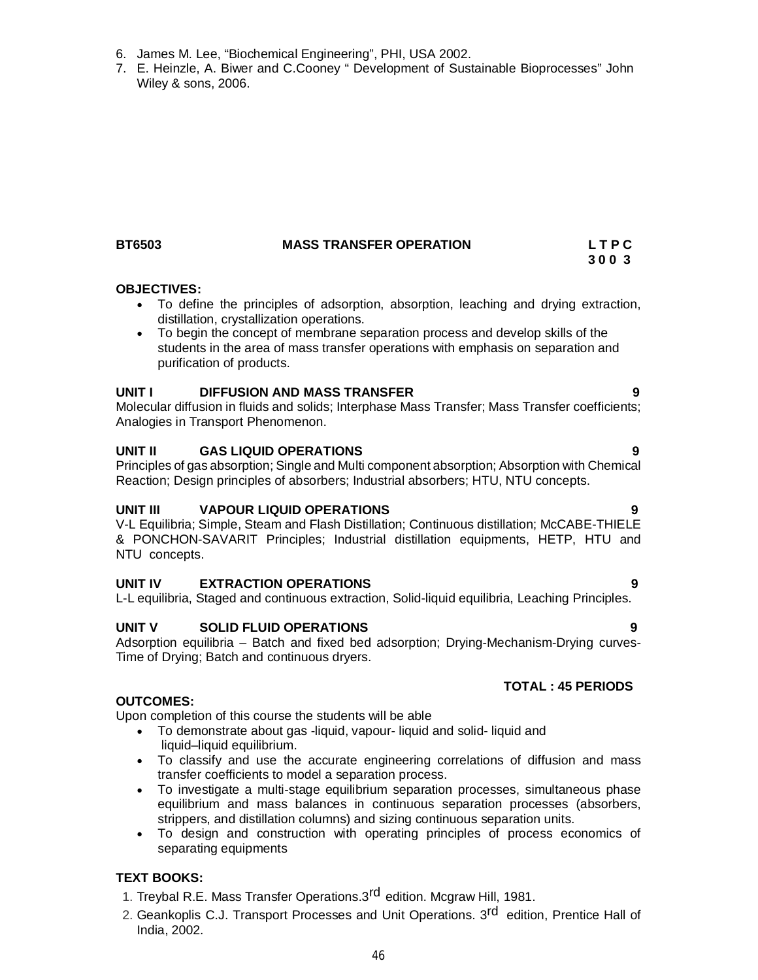6. James M. Lee, "Biochemical Engineering", PHI, USA 2002.

#### **BT6503 MASS TRANSFER OPERATION L T P C**

7. E. Heinzle, A. Biwer and C.Cooney " Development of Sustainable Bioprocesses" John

# **3 0 0 3**

#### **OBJECTIVES:**

Wiley & sons, 2006.

- To define the principles of adsorption, absorption, leaching and drying extraction, distillation, crystallization operations.
- To begin the concept of membrane separation process and develop skills of the students in the area of mass transfer operations with emphasis on separation and purification of products.

#### **UNIT I DIFFUSION AND MASS TRANSFER 9**

Molecular diffusion in fluids and solids; Interphase Mass Transfer; Mass Transfer coefficients; Analogies in Transport Phenomenon.

#### **UNIT II GAS LIQUID OPERATIONS 9**

Principles of gas absorption; Single and Multi component absorption; Absorption with Chemical Reaction; Design principles of absorbers; Industrial absorbers; HTU, NTU concepts.

# **UNIT III VAPOUR LIQUID OPERATIONS 9**

V-L Equilibria; Simple, Steam and Flash Distillation; Continuous distillation; McCABE-THIELE & PONCHON-SAVARIT Principles; Industrial distillation equipments, HETP, HTU and NTU concepts.

#### **UNIT IV EXTRACTION OPERATIONS 9**

L-L equilibria, Staged and continuous extraction, Solid-liquid equilibria, Leaching Principles.

#### **UNIT V SOLID FLUID OPERATIONS 9**

Adsorption equilibria – Batch and fixed bed adsorption; Drying-Mechanism-Drying curves-Time of Drying; Batch and continuous dryers.

#### **TOTAL : 45 PERIODS**

#### **OUTCOMES:**

Upon completion of this course the students will be able

- To demonstrate about gas -liquid, vapour- liquid and solid- liquid and liquid–liquid equilibrium.
- To classify and use the accurate engineering correlations of diffusion and mass transfer coefficients to model a separation process.
- To investigate a multi-stage equilibrium separation processes, simultaneous phase equilibrium and mass balances in continuous separation processes (absorbers, strippers, and distillation columns) and sizing continuous separation units.
- To design and construction with operating principles of process economics of separating equipments

# **TEXT BOOKS:**

- 1. Treybal R.E. Mass Transfer Operations.3<sup>rd</sup> edition. Mcgraw Hill, 1981.
- 2. Geankoplis C.J. Transport Processes and Unit Operations. 3<sup>rd</sup> edition, Prentice Hall of India, 2002*.*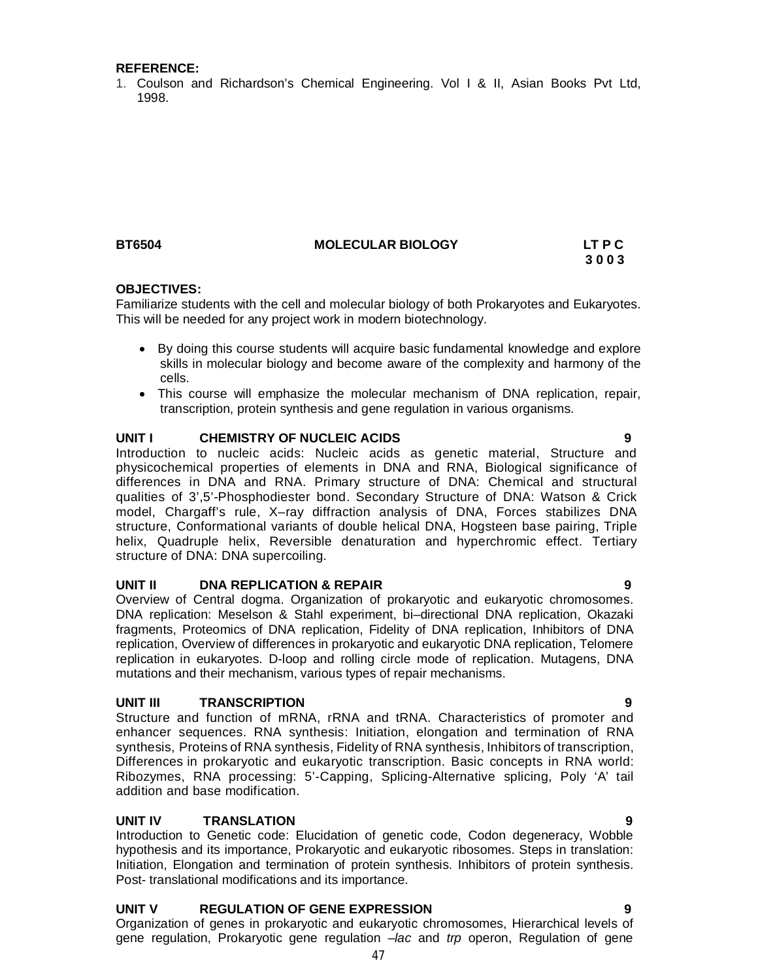#### **REFERENCE:**

1. Coulson and Richardson's Chemical Engineering. Vol I & II, Asian Books Pvt Ltd, 1998.

# **BT6504 MOLECULAR BIOLOGY LT P C**

# **3 0 0 3**

## **OBJECTIVES:**

Familiarize students with the cell and molecular biology of both Prokaryotes and Eukaryotes. This will be needed for any project work in modern biotechnology.

- By doing this course students will acquire basic fundamental knowledge and explore skills in molecular biology and become aware of the complexity and harmony of the cells.
- This course will emphasize the molecular mechanism of DNA replication, repair, transcription, protein synthesis and gene regulation in various organisms.

#### **UNIT I CHEMISTRY OF NUCLEIC ACIDS 9**

Introduction to nucleic acids: Nucleic acids as genetic material, Structure and physicochemical properties of elements in DNA and RNA, Biological significance of differences in DNA and RNA. Primary structure of DNA: Chemical and structural qualities of 3',5'-Phosphodiester bond. Secondary Structure of DNA: Watson & Crick model, Chargaff's rule, X–ray diffraction analysis of DNA, Forces stabilizes DNA structure, Conformational variants of double helical DNA, Hogsteen base pairing, Triple helix, Quadruple helix, Reversible denaturation and hyperchromic effect. Tertiary structure of DNA: DNA supercoiling.

#### **UNIT II DNA REPLICATION & REPAIR 9**

Overview of Central dogma. Organization of prokaryotic and eukaryotic chromosomes. DNA replication: Meselson & Stahl experiment, bi–directional DNA replication, Okazaki fragments, Proteomics of DNA replication, Fidelity of DNA replication, Inhibitors of DNA replication, Overview of differences in prokaryotic and eukaryotic DNA replication, Telomere replication in eukaryotes. D-loop and rolling circle mode of replication. Mutagens, DNA mutations and their mechanism, various types of repair mechanisms.

#### **UNIT III TRANSCRIPTION 9**

Structure and function of mRNA, rRNA and tRNA. Characteristics of promoter and enhancer sequences. RNA synthesis: Initiation, elongation and termination of RNA synthesis, Proteins of RNA synthesis, Fidelity of RNA synthesis, Inhibitors of transcription, Differences in prokaryotic and eukaryotic transcription. Basic concepts in RNA world: Ribozymes, RNA processing: 5'-Capping, Splicing-Alternative splicing, Poly 'A' tail addition and base modification.

# **UNIT IV TRANSLATION 9**

Introduction to Genetic code: Elucidation of genetic code, Codon degeneracy, Wobble hypothesis and its importance, Prokaryotic and eukaryotic ribosomes. Steps in translation: Initiation, Elongation and termination of protein synthesis. Inhibitors of protein synthesis. Post- translational modifications and its importance.

# **UNIT V REGULATION OF GENE EXPRESSION 9**

Organization of genes in prokaryotic and eukaryotic chromosomes, Hierarchical levels of gene regulation, Prokaryotic gene regulation –*lac* and *trp* operon, Regulation of gene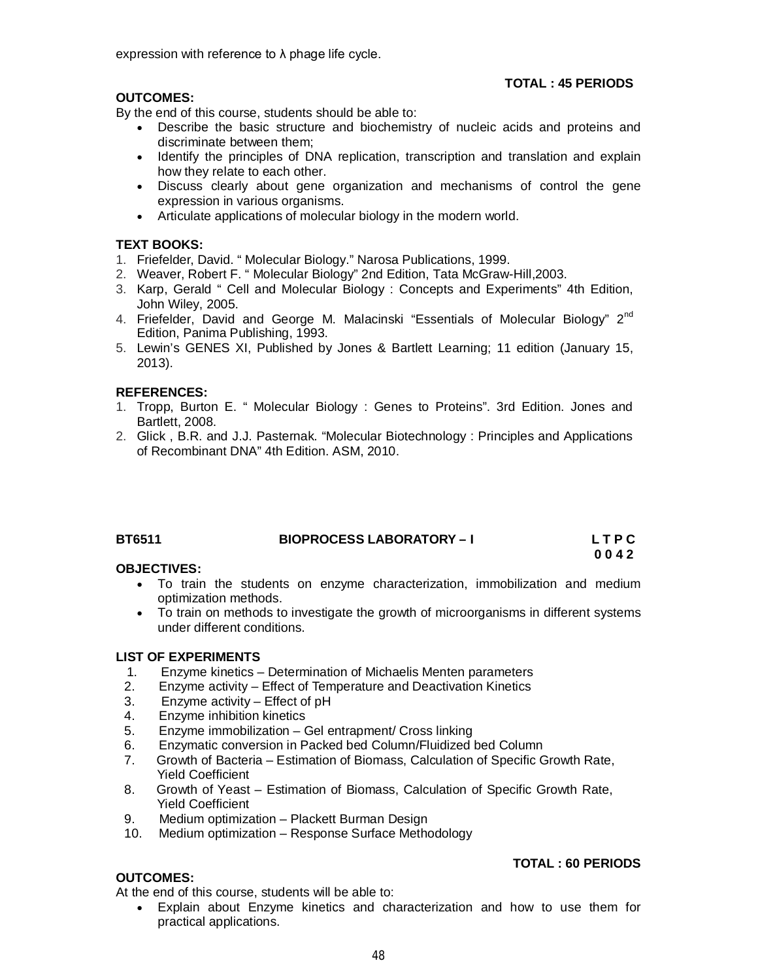expression with reference to λ phage life cycle.

# **OUTCOMES:**

By the end of this course, students should be able to:

 Describe the basic structure and biochemistry of nucleic acids and proteins and discriminate between them;

 **TOTAL : 45 PERIODS**

**TOTAL : 60 PERIODS**

- Identify the principles of DNA replication, transcription and translation and explain how they relate to each other.
- Discuss clearly about gene organization and mechanisms of control the gene expression in various organisms.
- Articulate applications of molecular biology in the modern world.

# **TEXT BOOKS:**

- 1. Friefelder, David. " Molecular Biology." Narosa Publications, 1999.
- 2. Weaver, Robert F. " Molecular Biology" 2nd Edition, Tata McGraw-Hill,2003.
- 3. Karp, Gerald " Cell and Molecular Biology : Concepts and Experiments" 4th Edition, John Wiley, 2005.
- 4. Friefelder, David and George M. Malacinski "Essentials of Molecular Biology" 2<sup>nd</sup> Edition, Panima Publishing, 1993.
- 5. Lewin's GENES XI, Published by Jones & Bartlett Learning; 11 edition (January 15, 2013).

# **REFERENCES:**

- 1. Tropp, Burton E. " Molecular Biology : Genes to Proteins". 3rd Edition. Jones and Bartlett, 2008.
- 2. Glick , B.R. and J.J. Pasternak. "Molecular Biotechnology : Principles and Applications of Recombinant DNA" 4th Edition. ASM, 2010.

| <b>BT6511</b> | <b>BIOPROCESS LABORATORY - I</b> | LTPC |
|---------------|----------------------------------|------|
|               |                                  | 0042 |

# **OBJECTIVES:**

- To train the students on enzyme characterization, immobilization and medium optimization methods.
- To train on methods to investigate the growth of microorganisms in different systems under different conditions.

# **LIST OF EXPERIMENTS**

- 1. Enzyme kinetics Determination of Michaelis Menten parameters
- 2. Enzyme activity Effect of Temperature and Deactivation Kinetics
- 3. Enzyme activity Effect of pH
- 4. Enzyme inhibition kinetics
- 5. Enzyme immobilization Gel entrapment/ Cross linking
- 6. Enzymatic conversion in Packed bed Column/Fluidized bed Column
- 7. Growth of Bacteria Estimation of Biomass, Calculation of Specific Growth Rate, Yield Coefficient
- 8. Growth of Yeast Estimation of Biomass, Calculation of Specific Growth Rate, Yield Coefficient
- 9. Medium optimization Plackett Burman Design
- 10. Medium optimization Response Surface Methodology

# **OUTCOMES:**

At the end of this course, students will be able to:

 Explain about Enzyme kinetics and characterization and how to use them for practical applications.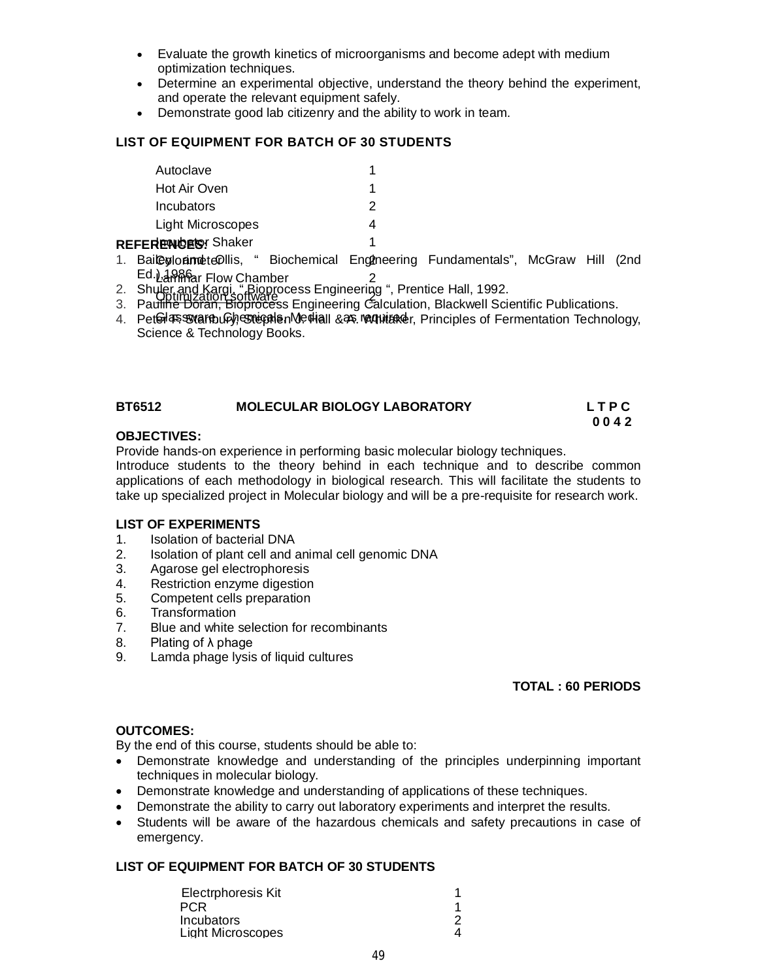- Evaluate the growth kinetics of microorganisms and become adept with medium optimization techniques.
- Determine an experimental objective, understand the theory behind the experiment, and operate the relevant equipment safely.
- Demonstrate good lab citizenry and the ability to work in team.

# **LIST OF EQUIPMENT FOR BATCH OF 30 STUDENTS**

| Autoclave                  |  |
|----------------------------|--|
| Hot Air Oven               |  |
| Incubators                 |  |
| Light Microscopes          |  |
| : <b>dreuhrte</b> r Shokar |  |

# **REFERENCES:** Shaker 1

- 1. BaileylonimeteDllis, " Biochemical Engineering Fundamentals", McGraw Hill (2nd Lammer Flow Chamber 2 Ed.), JAPPPar Flow Chamber
- 2. Shuler and Kargi, "Bioprocess Engineering ", Prentice Hall, 1992.<br>2. Developmed Cotware Engineering Galauletion, Plackwell Sei
- 3. Pau<del>lihe Doran, Bioproce</del>ss Engineering Calculation, Blackwell Scientific Publications.
- 4. Peterla Soware Luby Strephen Mechall & as requirencer, Principles of Fermentation Technology, Science & Technology Books.

# **BT6512 MOLECULAR BIOLOGY LABORATORY L T P C**

#### **0 0 4 2 OBJECTIVES:**

Provide hands-on experience in performing basic molecular biology techniques.

Introduce students to the theory behind in each technique and to describe common applications of each methodology in biological research. This will facilitate the students to take up specialized project in Molecular biology and will be a pre-requisite for research work.

# **LIST OF EXPERIMENTS**

- 1. Isolation of bacterial DNA
- 2. Isolation of plant cell and animal cell genomic DNA
- 3. Agarose gel electrophoresis
- 4. Restriction enzyme digestion
- 5. Competent cells preparation<br>6. Transformation
- **Transformation**
- 7. Blue and white selection for recombinants
- 8. Plating of λ phage
- 9. Lamda phage lysis of liquid cultures

# **TOTAL : 60 PERIODS**

# **OUTCOMES:**

By the end of this course, students should be able to:

- Demonstrate knowledge and understanding of the principles underpinning important techniques in molecular biology.
- Demonstrate knowledge and understanding of applications of these techniques.
- Demonstrate the ability to carry out laboratory experiments and interpret the results.
- Students will be aware of the hazardous chemicals and safety precautions in case of emergency.

# **LIST OF EQUIPMENT FOR BATCH OF 30 STUDENTS**

| Electrphoresis Kit |  |
|--------------------|--|
| <b>PCR</b>         |  |
| Incubators         |  |
| Light Microscopes  |  |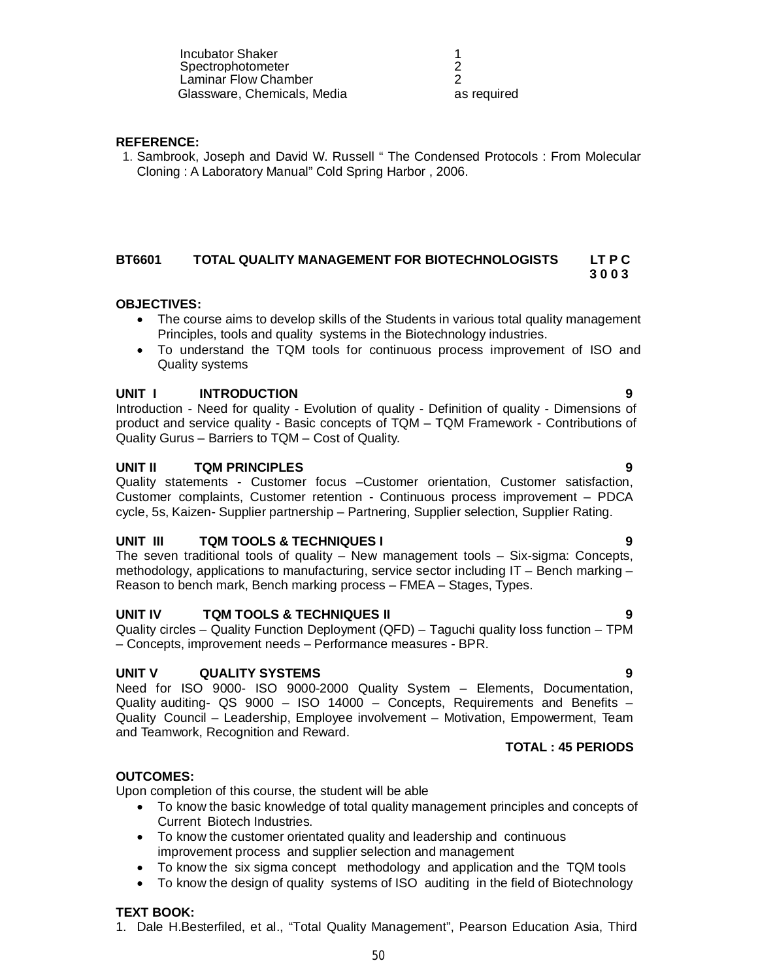Incubator Shaker 1<br>
Spectrophotometer 1 **Spectrophotometer** Laminar Flow Chamber Glassware, Chemicals, Media

**REFERENCE:**

1. Sambrook, Joseph and David W. Russell " The Condensed Protocols : From Molecular Cloning : A Laboratory Manual" Cold Spring Harbor , 2006.

2

as required

# **BT6601 TOTAL QUALITY MANAGEMENT FOR BIOTECHNOLOGISTS LT P C 3 0 0 3**

# **OBJECTIVES:**

- The course aims to develop skills of the Students in various total quality management Principles, tools and quality systems in the Biotechnology industries.
- To understand the TQM tools for continuous process improvement of ISO and Quality systems

#### **UNIT I INTRODUCTION 9**

Introduction - Need for quality - Evolution of quality - Definition of quality - Dimensions of product and service quality - Basic concepts of TQM – TQM Framework - Contributions of Quality Gurus – Barriers to TQM – Cost of Quality.

#### **UNIT II TQM PRINCIPLES 9**

Quality statements - Customer focus –Customer orientation, Customer satisfaction, Customer complaints, Customer retention - Continuous process improvement – PDCA cycle, 5s, Kaizen- Supplier partnership – Partnering, Supplier selection, Supplier Rating.

# **UNIT III TQM TOOLS & TECHNIQUES I 9**

The seven traditional tools of quality – New management tools – Six-sigma: Concepts, methodology, applications to manufacturing, service sector including IT – Bench marking – Reason to bench mark, Bench marking process – FMEA – Stages, Types.

#### **UNIT IV TQM TOOLS & TECHNIQUES II 9**

Quality circles – Quality Function Deployment (QFD) – Taguchi quality loss function – TPM – Concepts, improvement needs – Performance measures - BPR.

#### **UNIT V QUALITY SYSTEMS 9**

Need for ISO 9000- ISO 9000-2000 Quality System – Elements, Documentation, Quality auditing- QS 9000 – ISO 14000 – Concepts, Requirements and Benefits – Quality Council – Leadership, Employee involvement – Motivation, Empowerment, Team and Teamwork, Recognition and Reward.

# **TOTAL : 45 PERIODS**

# **OUTCOMES:**

Upon completion of this course, the student will be able

- To know the basic knowledge of total quality management principles and concepts of Current Biotech Industries.
- To know the customer orientated quality and leadership and continuous improvement process and supplier selection and management
- To know the six sigma concept methodology and application and the TQM tools
- To know the design of quality systems of ISO auditing in the field of Biotechnology

# **TEXT BOOK:**

1. Dale H.Besterfiled, et al., "Total Quality Management", Pearson Education Asia, Third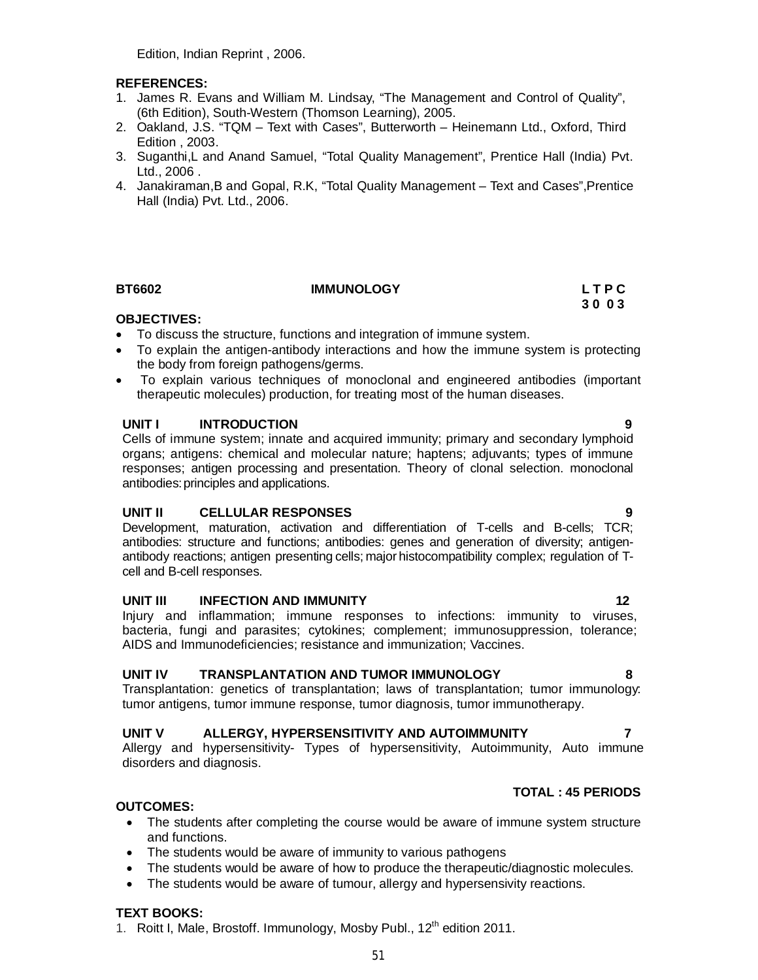Edition, Indian Reprint , 2006.

# **REFERENCES:**

- 1. James R. Evans and William M. Lindsay, "The Management and Control of Quality", (6th Edition), South-Western (Thomson Learning), 2005.
- 2. Oakland, J.S. "TQM Text with Cases", Butterworth Heinemann Ltd., Oxford, Third Edition , 2003.
- 3. Suganthi,L and Anand Samuel, "Total Quality Management", Prentice Hall (India) Pvt. Ltd., 2006 .
- 4. Janakiraman,B and Gopal, R.K, "Total Quality Management Text and Cases",Prentice Hall (India) Pvt. Ltd., 2006.

# **BT6602 IMMUNOLOGY L T P C**

# **3 0 0 3 3 0 0 3**

# **OBJECTIVES:**

- To discuss the structure, functions and integration of immune system.
- To explain the antigen-antibody interactions and how the immune system is protecting the body from foreign pathogens/germs.
- To explain various techniques of monoclonal and engineered antibodies (important therapeutic molecules) production, for treating most of the human diseases.

# **UNIT I INTRODUCTION 9**

Cells of immune system; innate and acquired immunity; primary and secondary lymphoid organs; antigens: chemical and molecular nature; haptens; adjuvants; types of immune responses; antigen processing and presentation. Theory of clonal selection. monoclonal antibodies:principles and applications.

# **UNIT II CELLULAR RESPONSES 9**

Development, maturation, activation and differentiation of T-cells and B-cells; TCR; antibodies: structure and functions; antibodies: genes and generation of diversity; antigenantibody reactions; antigen presenting cells; major histocompatibility complex; regulation of Tcell and B-cell responses.

#### **UNIT III INFECTION AND IMMUNITY 12** 12

Injury and inflammation; immune responses to infections: immunity to viruses, bacteria, fungi and parasites; cytokines; complement; immunosuppression, tolerance; AIDS and Immunodeficiencies; resistance and immunization; Vaccines.

# **UNIT IV TRANSPLANTATION AND TUMOR IMMUNOLOGY 8**

Transplantation: genetics of transplantation; laws of transplantation; tumor immunology: tumor antigens, tumor immune response, tumor diagnosis, tumor immunotherapy.

# **UNIT V ALLERGY, HYPERSENSITIVITY AND AUTOIMMUNITY 7**

Allergy and hypersensitivity- Types of hypersensitivity, Autoimmunity, Auto immune disorders and diagnosis.

# **TOTAL : 45 PERIODS**

# **OUTCOMES:**

- The students after completing the course would be aware of immune system structure and functions.
- The students would be aware of immunity to various pathogens
- The students would be aware of how to produce the therapeutic/diagnostic molecules.
- The students would be aware of tumour, allergy and hypersensivity reactions.

# **TEXT BOOKS:**

1. Roitt I, Male, Brostoff, Immunology, Mosby Publ., 12<sup>th</sup> edition 2011.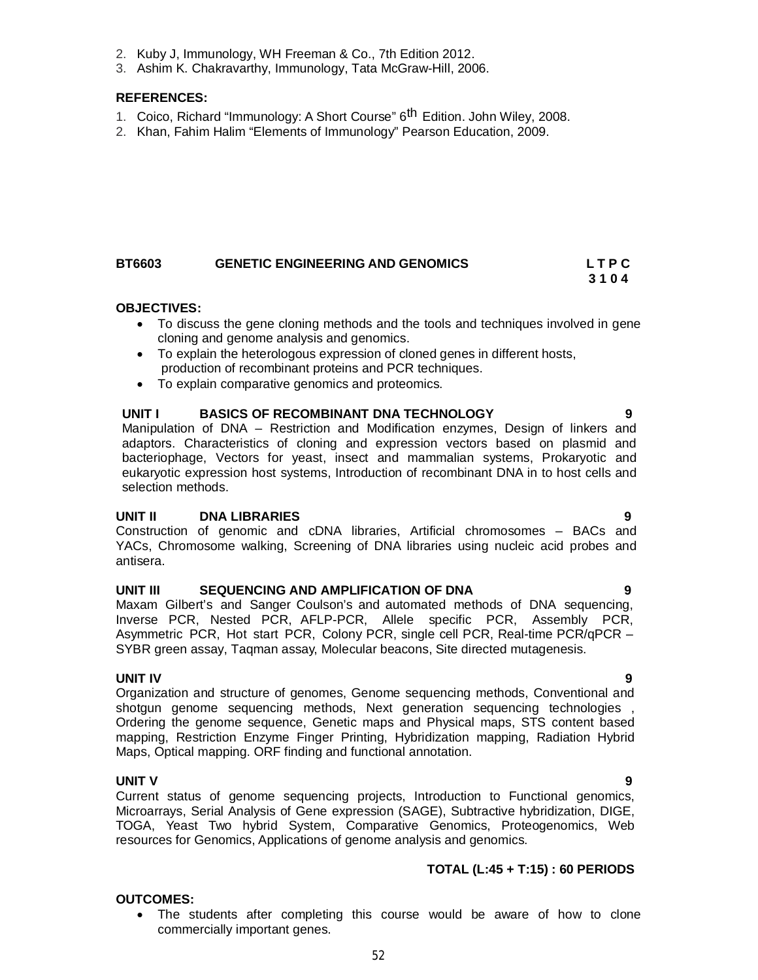- 2. Kuby J, Immunology, WH Freeman & Co., 7th Edition 2012.
- 3. Ashim K. Chakravarthy, Immunology, Tata McGraw-Hill, 2006.

# **REFERENCES:**

- 1. Coico, Richard "Immunology: A Short Course" 6<sup>th</sup> Edition. John Wiley, 2008.
- 2. Khan, Fahim Halim "Elements of Immunology" Pearson Education, 2009.

# **BT6603 GENETIC ENGINEERING AND GENOMICS L T P C**

# **OBJECTIVES:**

 To discuss the gene cloning methods and the tools and techniques involved in gene cloning and genome analysis and genomics.

 **3 1 0 4**

- To explain the heterologous expression of cloned genes in different hosts, production of recombinant proteins and PCR techniques.
- To explain comparative genomics and proteomics.

# UNIT I BASICS OF RECOMBINANT DNA TECHNOLOGY

Manipulation of DNA – Restriction and Modification enzymes, Design of linkers and adaptors. Characteristics of cloning and expression vectors based on plasmid and bacteriophage, Vectors for yeast, insect and mammalian systems, Prokaryotic and eukaryotic expression host systems, Introduction of recombinant DNA in to host cells and selection methods.

# **UNIT II DNA LIBRARIES 9**

Construction of genomic and cDNA libraries, Artificial chromosomes – BACs and YACs, Chromosome walking, Screening of DNA libraries using nucleic acid probes and antisera.

# **UNIT III SEQUENCING AND AMPLIFICATION OF DNA 9**

Maxam Gilbert's and Sanger Coulson's and automated methods of DNA sequencing, Inverse PCR, Nested PCR, AFLP-PCR, Allele specific PCR, Assembly PCR, Asymmetric PCR, Hot start PCR, Colony PCR, single cell PCR, Real-time PCR/qPCR – SYBR green assay, Taqman assay, Molecular beacons, Site directed mutagenesis.

**UNIT IV 9** Organization and structure of genomes, Genome sequencing methods, Conventional and shotgun genome sequencing methods, Next generation sequencing technologies , Ordering the genome sequence, Genetic maps and Physical maps, STS content based mapping, Restriction Enzyme Finger Printing, Hybridization mapping, Radiation Hybrid Maps, Optical mapping. ORF finding and functional annotation.

# **UNIT V 9**

Current status of genome sequencing projects, Introduction to Functional genomics, Microarrays, Serial Analysis of Gene expression (SAGE), Subtractive hybridization, DIGE, TOGA, Yeast Two hybrid System, Comparative Genomics, Proteogenomics, Web resources for Genomics, Applications of genome analysis and genomics.

# **TOTAL (L:45 + T:15) : 60 PERIODS**

# **OUTCOMES:**

 The students after completing this course would be aware of how to clone commercially important genes.

- 
-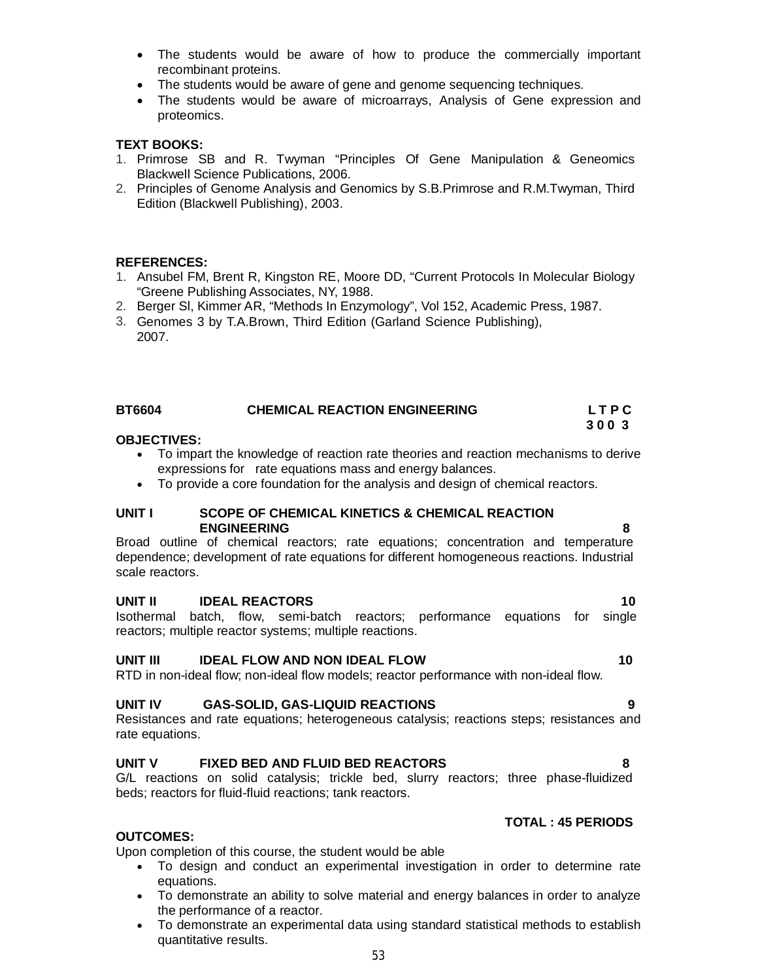- The students would be aware of how to produce the commercially important recombinant proteins.
- The students would be aware of gene and genome sequencing techniques.
- The students would be aware of microarrays, Analysis of Gene expression and proteomics.

# **TEXT BOOKS:**

- 1. Primrose SB and R. Twyman "Principles Of Gene Manipulation & Geneomics Blackwell Science Publications, 2006.
- 2. Principles of Genome Analysis and Genomics by S.B.Primrose and R.M.Twyman, Third Edition (Blackwell Publishing), 2003.

## **REFERENCES:**

- 1. Ansubel FM, Brent R, Kingston RE, Moore DD, "Current Protocols In Molecular Biology "Greene Publishing Associates, NY, 1988.
- 2. Berger Sl, Kimmer AR, "Methods In Enzymology", Vol 152, Academic Press, 1987.
- 3. Genomes 3 by T.A.Brown, Third Edition (Garland Science Publishing), 2007.

| <b>BT6604</b> | <b>CHEMICAL REACTION ENGINEERING</b> | LTPC |
|---------------|--------------------------------------|------|
|               |                                      | 3003 |

## **OBJECTIVES:**

- To impart the knowledge of reaction rate theories and reaction mechanisms to derive expressions for rate equations mass and energy balances.
- To provide a core foundation for the analysis and design of chemical reactors.

#### **UNIT I SCOPE OF CHEMICAL KINETICS & CHEMICAL REACTION ENGINEERING 8**

Broad outline of chemical reactors; rate equations; concentration and temperature dependence; development of rate equations for different homogeneous reactions. Industrial scale reactors.

#### **UNIT II IDEAL REACTORS 10**

Isothermal batch, flow, semi-batch reactors; performance equations for single reactors; multiple reactor systems; multiple reactions.

# **UNIT III IDEAL FLOW AND NON IDEAL FLOW 10**

RTD in non-ideal flow; non-ideal flow models; reactor performance with non-ideal flow.

# **UNIT IV GAS-SOLID, GAS-LIQUID REACTIONS 9**

Resistances and rate equations; heterogeneous catalysis; reactions steps; resistances and rate equations.

# **UNIT V FIXED BED AND FLUID BED REACTORS 8**

G/L reactions on solid catalysis; trickle bed, slurry reactors; three phase-fluidized beds; reactors for fluid-fluid reactions; tank reactors.

# **OUTCOMES:**

Upon completion of this course, the student would be able

- To design and conduct an experimental investigation in order to determine rate equations.
- To demonstrate an ability to solve material and energy balances in order to analyze the performance of a reactor.
- To demonstrate an experimental data using standard statistical methods to establish quantitative results.

# **TOTAL : 45 PERIODS**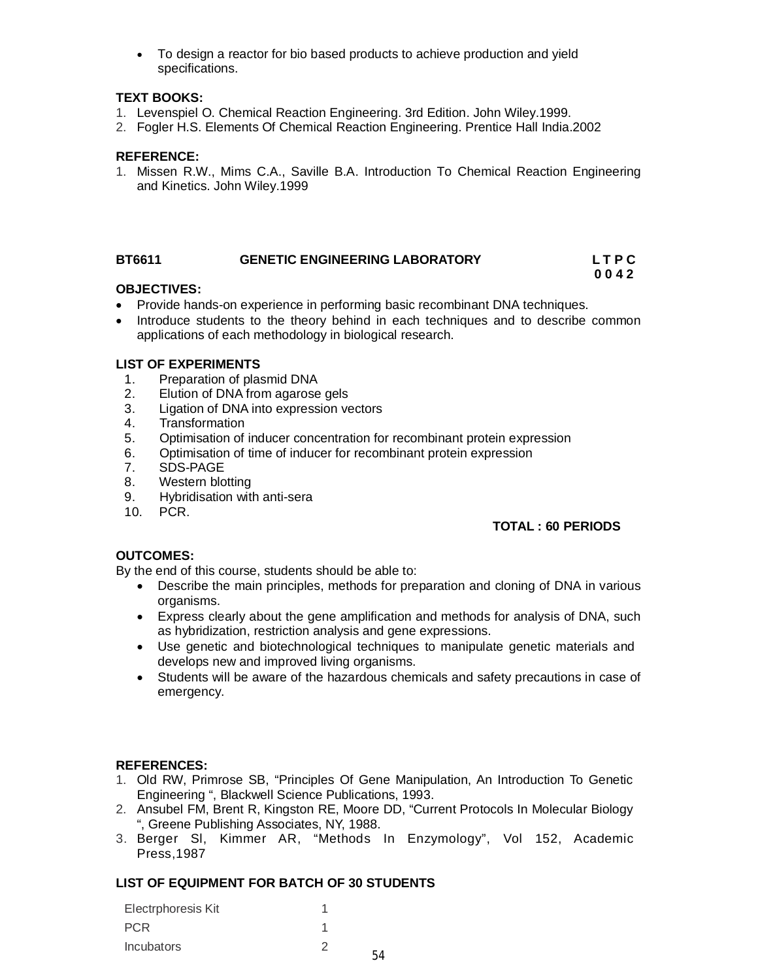To design a reactor for bio based products to achieve production and yield specifications.

# **TEXT BOOKS:**

- 1. Levenspiel O. Chemical Reaction Engineering. 3rd Edition. John Wiley.1999.
- 2. Fogler H.S. Elements Of Chemical Reaction Engineering. Prentice Hall India.2002

# **REFERENCE:**

1. Missen R.W., Mims C.A., Saville B.A. Introduction To Chemical Reaction Engineering and Kinetics. John Wiley.1999

#### **BT6611 GENETIC ENGINEERING LABORATORY L T P C 0 0 4 2**

# **OBJECTIVES:**

- Provide hands-on experience in performing basic recombinant DNA techniques.
- Introduce students to the theory behind in each techniques and to describe common applications of each methodology in biological research.

## **LIST OF EXPERIMENTS**

- 1. Preparation of plasmid DNA<br>2. Elution of DNA from agarose
- Elution of DNA from agarose gels
- 3. Ligation of DNA into expression vectors
- 4. Transformation
- 5. Optimisation of inducer concentration for recombinant protein expression
- 6. Optimisation of time of inducer for recombinant protein expression
- 7. SDS-PAGE
- 8. Western blotting
- 9. Hybridisation with anti-sera
- 10. PCR.

# **TOTAL : 60 PERIODS**

#### **OUTCOMES:**

By the end of this course, students should be able to:

- Describe the main principles, methods for preparation and cloning of DNA in various organisms.
- Express clearly about the gene amplification and methods for analysis of DNA, such as hybridization, restriction analysis and gene expressions.
- Use genetic and biotechnological techniques to manipulate genetic materials and develops new and improved living organisms.
- Students will be aware of the hazardous chemicals and safety precautions in case of emergency.

# **REFERENCES:**

- 1. Old RW, Primrose SB, "Principles Of Gene Manipulation, An Introduction To Genetic Engineering ", Blackwell Science Publications, 1993.
- 2. Ansubel FM, Brent R, Kingston RE, Moore DD, "Current Protocols In Molecular Biology ", Greene Publishing Associates, NY, 1988.
- 3. Berger Sl, Kimmer AR, "Methods In Enzymology", Vol 152, Academic Press,1987

# **LIST OF EQUIPMENT FOR BATCH OF 30 STUDENTS**

| Electrphoresis Kit |  |
|--------------------|--|
| <b>PCR</b>         |  |
| <b>Incubators</b>  |  |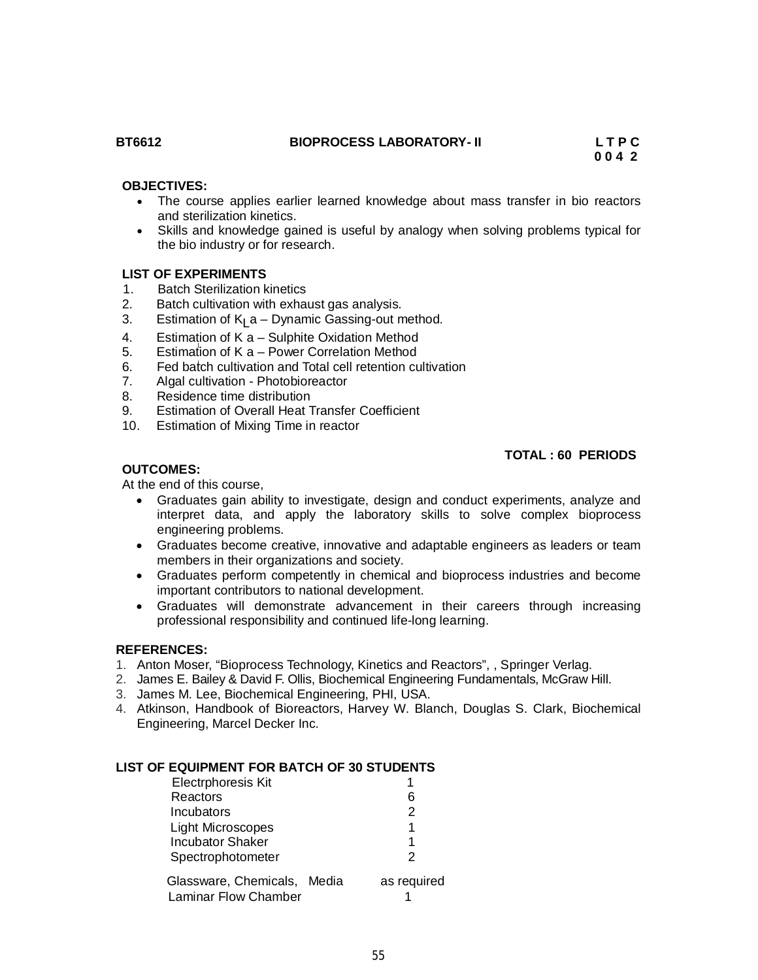# **BT6612 BIOPROCESS LABORATORY- II L T P C**

#### **OBJECTIVES:**

- The course applies earlier learned knowledge about mass transfer in bio reactors and sterilization kinetics.
- Skills and knowledge gained is useful by analogy when solving problems typical for the bio industry or for research.

# **LIST OF EXPERIMENTS**

- 1. Batch Sterilization kinetics
- 2. Batch cultivation with exhaust gas analysis.
- 3. Estimation of K<sub>L</sub>a Dynamic Gassing-out method.
- 4. Estimation of K a Sulphite Oxidation Method
- 5. Estimation of K a Power Correlation Method
- 6. Fed batch cultivation and Total cell retention cultivation
- 7. Algal cultivation Photobioreactor<br>8. Residence time distribution
- Residence time distribution
- 9. Estimation of Overall Heat Transfer Coefficient
- 10. Estimation of Mixing Time in reactor

## **TOTAL : 60 PERIODS**

# **OUTCOMES:**

At the end of this course,

- Graduates gain ability to investigate, design and conduct experiments, analyze and interpret data, and apply the laboratory skills to solve complex bioprocess engineering problems.
- Graduates become creative, innovative and adaptable engineers as leaders or team members in their organizations and society.
- Graduates perform competently in chemical and bioprocess industries and become important contributors to national development.
- Graduates will demonstrate advancement in their careers through increasing professional responsibility and continued life-long learning.

#### **REFERENCES:**

- 1. Anton Moser, "Bioprocess Technology, Kinetics and Reactors", , Springer Verlag.
- 2. James E. Bailey & David F. Ollis, Biochemical Engineering Fundamentals, McGraw Hill.
- 3. James M. Lee, Biochemical Engineering, PHI, USA.
- 4. Atkinson, Handbook of Bioreactors, Harvey W. Blanch, Douglas S. Clark, Biochemical Engineering, Marcel Decker Inc.

#### **LIST OF EQUIPMENT FOR BATCH OF 30 STUDENTS**

| Electrphoresis Kit          |             |
|-----------------------------|-------------|
| Reactors                    | 6           |
| Incubators                  | 2           |
| <b>Light Microscopes</b>    | 1           |
| <b>Incubator Shaker</b>     |             |
| Spectrophotometer           | 2           |
| Glassware, Chemicals, Media | as required |
| <b>Laminar Flow Chamber</b> |             |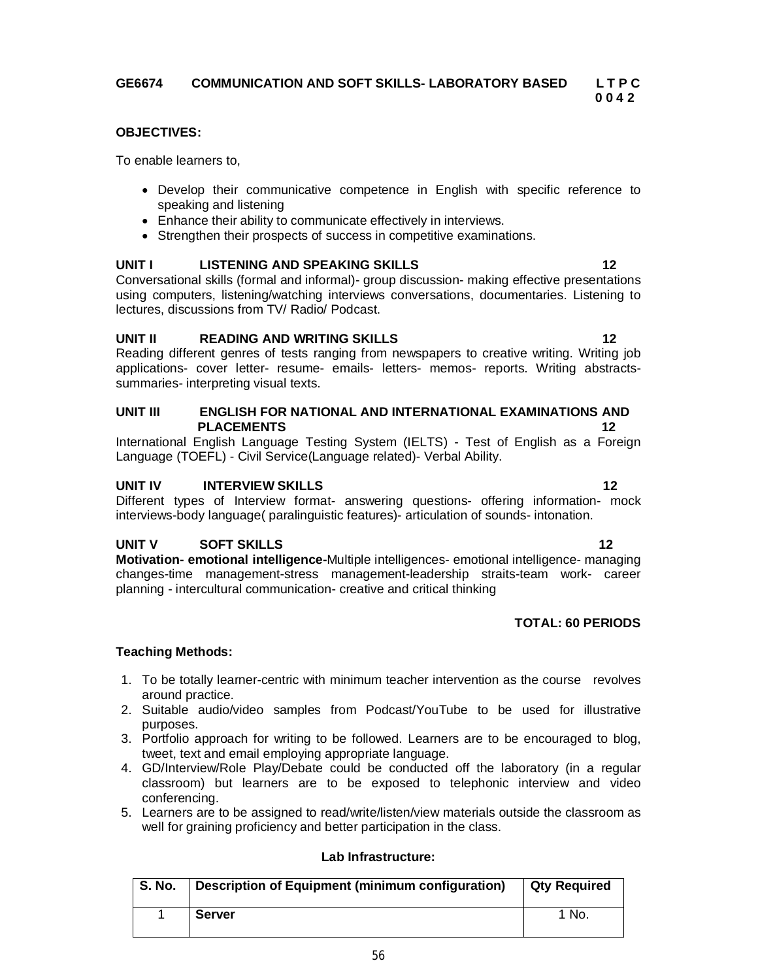# **OBJECTIVES:**

To enable learners to,

- Develop their communicative competence in English with specific reference to speaking and listening
- Enhance their ability to communicate effectively in interviews.
- Strengthen their prospects of success in competitive examinations.

# **UNIT I LISTENING AND SPEAKING SKILLS 12**

Conversational skills (formal and informal)- group discussion- making effective presentations using computers, listening/watching interviews conversations, documentaries. Listening to lectures, discussions from TV/ Radio/ Podcast.

#### **UNIT II READING AND WRITING SKILLS 12**

Reading different genres of tests ranging from newspapers to creative writing. Writing job applications- cover letter- resume- emails- letters- memos- reports. Writing abstractssummaries- interpreting visual texts.

#### **UNIT III ENGLISH FOR NATIONAL AND INTERNATIONAL EXAMINATIONS AND PLACEMENTS 12**

International English Language Testing System (IELTS) - Test of English as a Foreign Language (TOEFL) - Civil Service(Language related)- Verbal Ability.

#### **UNIT IV INTERVIEW SKILLS 12**

Different types of Interview format- answering questions- offering information- mock interviews-body language( paralinguistic features)- articulation of sounds- intonation.

# **UNIT V SOFT SKILLS 12**

**Motivation- emotional intelligence-**Multiple intelligences- emotional intelligence- managing changes-time management-stress management-leadership straits-team work- career planning - intercultural communication- creative and critical thinking

# **TOTAL: 60 PERIODS**

# **Teaching Methods:**

- 1. To be totally learner-centric with minimum teacher intervention as the course revolves around practice.
- 2. Suitable audio/video samples from Podcast/YouTube to be used for illustrative purposes.
- 3. Portfolio approach for writing to be followed. Learners are to be encouraged to blog, tweet, text and email employing appropriate language.
- 4. GD/Interview/Role Play/Debate could be conducted off the laboratory (in a regular classroom) but learners are to be exposed to telephonic interview and video conferencing.
- 5. Learners are to be assigned to read/write/listen/view materials outside the classroom as well for graining proficiency and better participation in the class.

# **Lab Infrastructure:**

| <b>S. No.</b> | Description of Equipment (minimum configuration) | <b>Qty Required</b> |
|---------------|--------------------------------------------------|---------------------|
|               | <b>Server</b>                                    | 1 No.               |

 **0 0 4 2**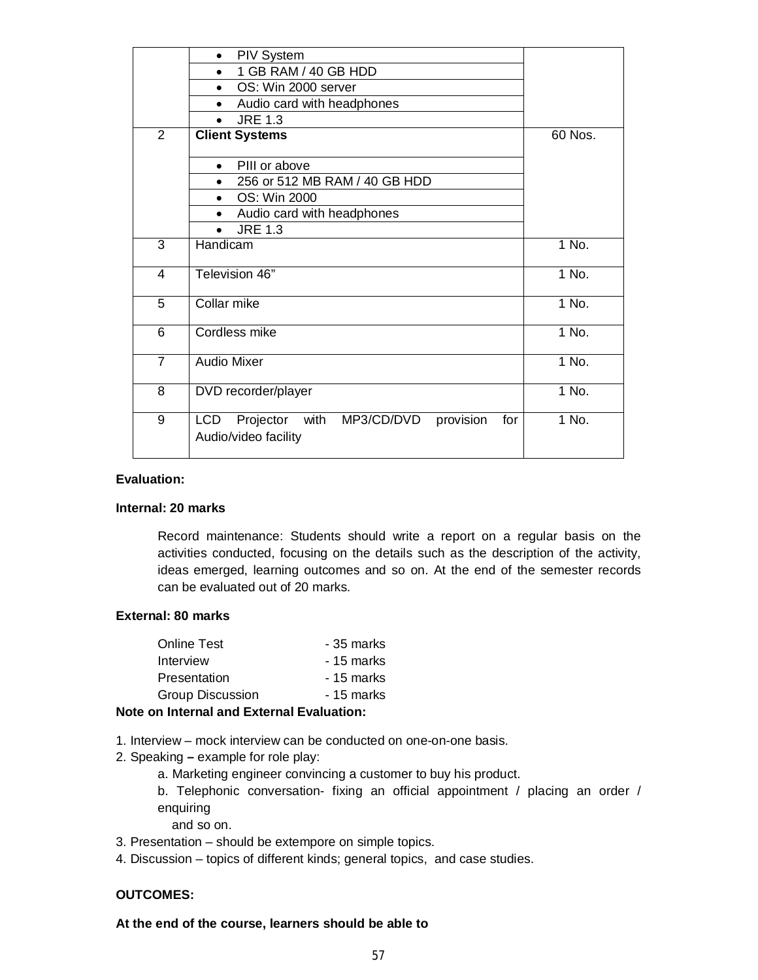|                | <b>PIV System</b>                                                                      |         |
|----------------|----------------------------------------------------------------------------------------|---------|
|                | 1 GB RAM / 40 GB HDD<br>٠                                                              |         |
|                | OS: Win 2000 server<br>$\bullet$                                                       |         |
|                | Audio card with headphones                                                             |         |
|                | <b>JRE 1.3</b><br>$\bullet$                                                            |         |
| $\overline{2}$ | <b>Client Systems</b>                                                                  | 60 Nos. |
|                | PIII or above<br>$\bullet$                                                             |         |
|                | 256 or 512 MB RAM / 40 GB HDD                                                          |         |
|                | OS: Win 2000<br>$\bullet$                                                              |         |
|                | Audio card with headphones<br>$\bullet$                                                |         |
|                | <b>JRE 1.3</b><br>$\bullet$                                                            |         |
| 3              | Handicam                                                                               | 1 No.   |
| 4              | Television 46"                                                                         | 1 No.   |
| 5              | Collar mike                                                                            | 1 No.   |
| 6              | Cordless mike                                                                          | 1 No.   |
| $\overline{7}$ | <b>Audio Mixer</b>                                                                     | 1 No.   |
| 8              | DVD recorder/player                                                                    | 1 No.   |
| 9              | with MP3/CD/DVD<br>provision<br><b>LCD</b><br>Projector<br>for<br>Audio/video facility | 1 No.   |

# **Evaluation:**

#### **Internal: 20 marks**

Record maintenance: Students should write a report on a regular basis on the activities conducted, focusing on the details such as the description of the activity, ideas emerged, learning outcomes and so on. At the end of the semester records can be evaluated out of 20 marks.

### **External: 80 marks**

| - 35 marks |
|------------|
| - 15 marks |
| - 15 marks |
| - 15 marks |
|            |

# **Note on Internal and External Evaluation:**

- 1. Interview mock interview can be conducted on one-on-one basis.
- 2. Speaking **–** example for role play:
	- a. Marketing engineer convincing a customer to buy his product.
	- b. Telephonic conversation- fixing an official appointment / placing an order / enquiring

and so on.

- 3. Presentation should be extempore on simple topics.
- 4. Discussion topics of different kinds; general topics, and case studies.

# **OUTCOMES:**

#### **At the end of the course, learners should be able to**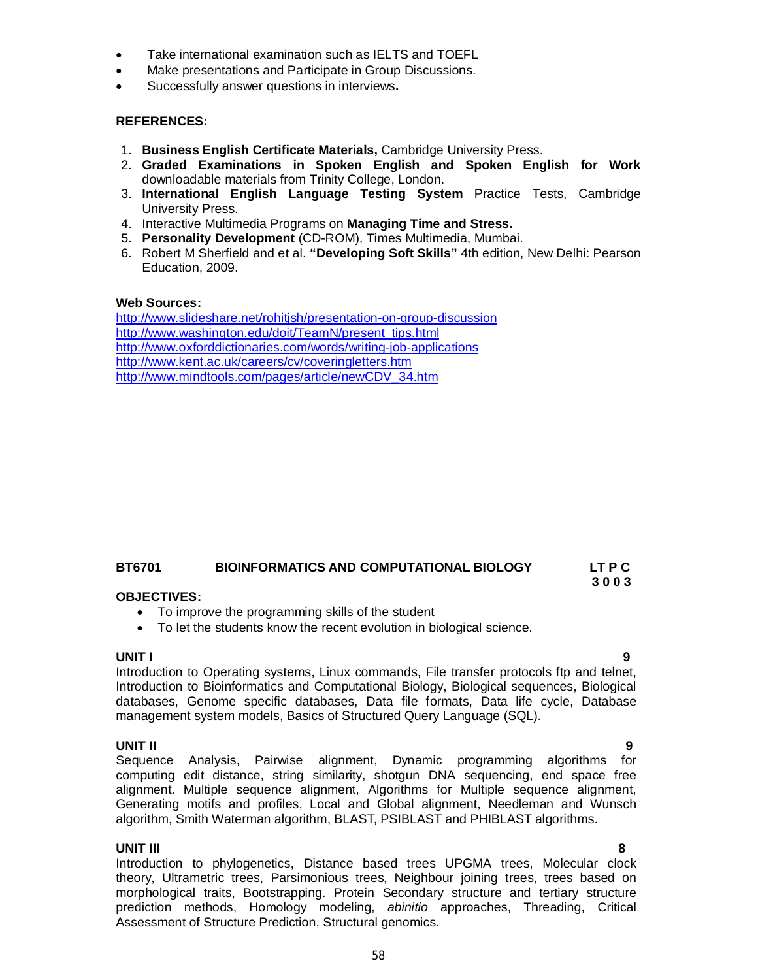- Take international examination such as IELTS and TOEFL
- Make presentations and Participate in Group Discussions.
- Successfully answer questions in interviews**.**

#### **REFERENCES:**

- 1. **Business English Certificate Materials,** Cambridge University Press.
- 2. **Graded Examinations in Spoken English and Spoken English for Work**  downloadable materials from Trinity College, London.
- 3. **International English Language Testing System** Practice Tests, Cambridge University Press.
- 4. Interactive Multimedia Programs on **Managing Time and Stress.**
- 5. **Personality Development** (CD-ROM), Times Multimedia, Mumbai.
- 6. Robert M Sherfield and et al. **"Developing Soft Skills"** 4th edition, New Delhi: Pearson Education, 2009.

#### **Web Sources:**

http://www.slideshare.net/rohitjsh/presentation-on-group-discussion http://www.washington.edu/doit/TeamN/present\_tips.html http://www.oxforddictionaries.com/words/writing-job-applications http://www.kent.ac.uk/careers/cv/coveringletters.htm http://www.mindtools.com/pages/article/newCDV\_34.htm

#### **BT6701 BIOINFORMATICS AND COMPUTATIONAL BIOLOGY LT P C 3 0 0 3**

# **OBJECTIVES:**

- To improve the programming skills of the student
- To let the students know the recent evolution in biological science.

### **UNIT I 9**

Introduction to Operating systems, Linux commands, File transfer protocols ftp and telnet, Introduction to Bioinformatics and Computational Biology, Biological sequences, Biological databases, Genome specific databases, Data file formats, Data life cycle, Database management system models, Basics of Structured Query Language (SQL).

**UNIT II 9** Sequence Analysis, Pairwise alignment, Dynamic programming algorithms for computing edit distance, string similarity, shotgun DNA sequencing, end space free alignment. Multiple sequence alignment, Algorithms for Multiple sequence alignment, Generating motifs and profiles, Local and Global alignment, Needleman and Wunsch algorithm, Smith Waterman algorithm, BLAST, PSIBLAST and PHIBLAST algorithms.

# **UNIT III 8**

Introduction to phylogenetics, Distance based trees UPGMA trees, Molecular clock theory, Ultrametric trees, Parsimonious trees, Neighbour joining trees, trees based on morphological traits, Bootstrapping. Protein Secondary structure and tertiary structure prediction methods, Homology modeling, *abinitio* approaches, Threading, Critical Assessment of Structure Prediction, Structural genomics.

58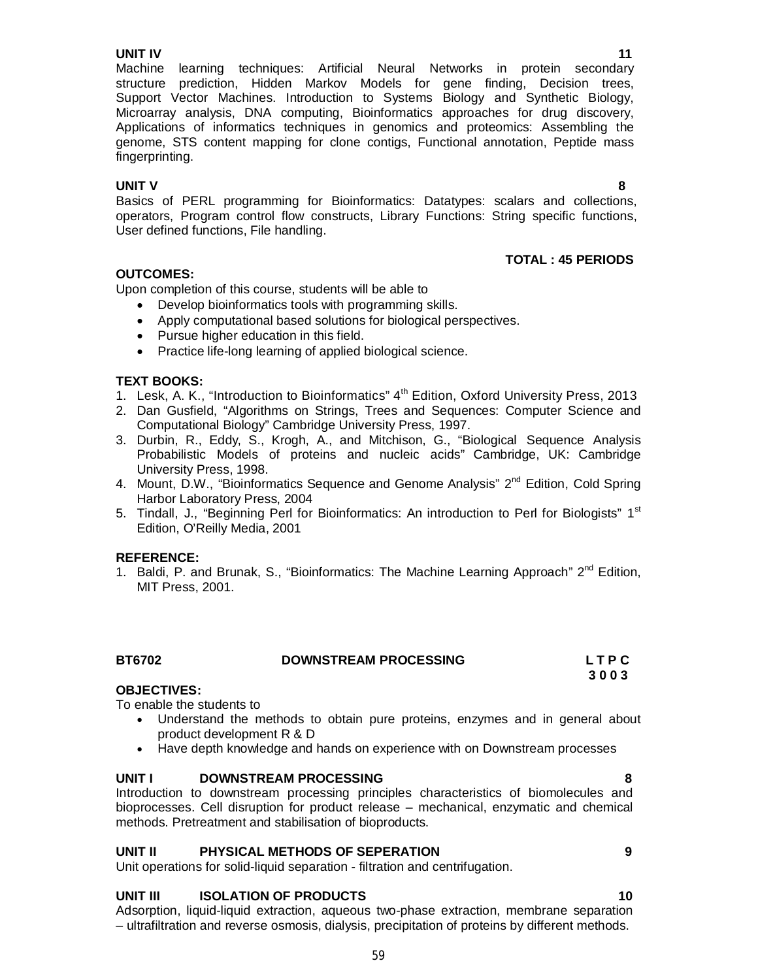Machine learning techniques: Artificial Neural Networks in protein secondary structure prediction, Hidden Markov Models for gene finding, Decision trees, Support Vector Machines. Introduction to Systems Biology and Synthetic Biology, Microarray analysis, DNA computing, Bioinformatics approaches for drug discovery, Applications of informatics techniques in genomics and proteomics: Assembling the genome, STS content mapping for clone contigs, Functional annotation, Peptide mass fingerprinting.

**UNIT V 8** Basics of PERL programming for Bioinformatics: Datatypes: scalars and collections, operators, Program control flow constructs, Library Functions: String specific functions, User defined functions, File handling.

# **OUTCOMES:**

Upon completion of this course, students will be able to

- Develop bioinformatics tools with programming skills.
- Apply computational based solutions for biological perspectives.
- Pursue higher education in this field.
- Practice life-long learning of applied biological science.

# **TEXT BOOKS:**

- 1. Lesk, A. K., "Introduction to Bioinformatics" 4<sup>th</sup> Edition, Oxford University Press, 2013
- 2. Dan Gusfield, "Algorithms on Strings, Trees and Sequences: Computer Science and Computational Biology" Cambridge University Press, 1997.
- 3. Durbin, R., Eddy, S., Krogh, A., and Mitchison, G., "Biological Sequence Analysis Probabilistic Models of proteins and nucleic acids" Cambridge, UK: Cambridge University Press, 1998.
- 4. Mount, D.W., "Bioinformatics Sequence and Genome Analysis"  $2^{nd}$  Edition, Cold Spring Harbor Laboratory Press, 2004
- 5. Tindall, J., "Beginning Perl for Bioinformatics: An introduction to Perl for Biologists" 1<sup>st</sup> Edition, O'Reilly Media, 2001

# **REFERENCE:**

1. Baldi, P. and Brunak, S., "Bioinformatics: The Machine Learning Approach"  $2^{nd}$  Edition, MIT Press, 2001.

| <b>BT6702</b> | <b>DOWNSTREAM PROCESSING</b> | LTPC |
|---------------|------------------------------|------|
|               |                              | 3003 |

# **OBJECTIVES:**

To enable the students to

- Understand the methods to obtain pure proteins, enzymes and in general about product development R & D
- Have depth knowledge and hands on experience with on Downstream processes

#### **UNIT I DOWNSTREAM PROCESSING 8**

Introduction to downstream processing principles characteristics of biomolecules and bioprocesses. Cell disruption for product release – mechanical, enzymatic and chemical methods. Pretreatment and stabilisation of bioproducts.

# **UNIT II PHYSICAL METHODS OF SEPERATION 9**

Unit operations for solid-liquid separation - filtration and centrifugation.

# **UNIT III** ISOLATION OF PRODUCTS 10

Adsorption, liquid-liquid extraction, aqueous two-phase extraction, membrane separation – ultrafiltration and reverse osmosis, dialysis, precipitation of proteins by different methods.

**TOTAL : 45 PERIODS**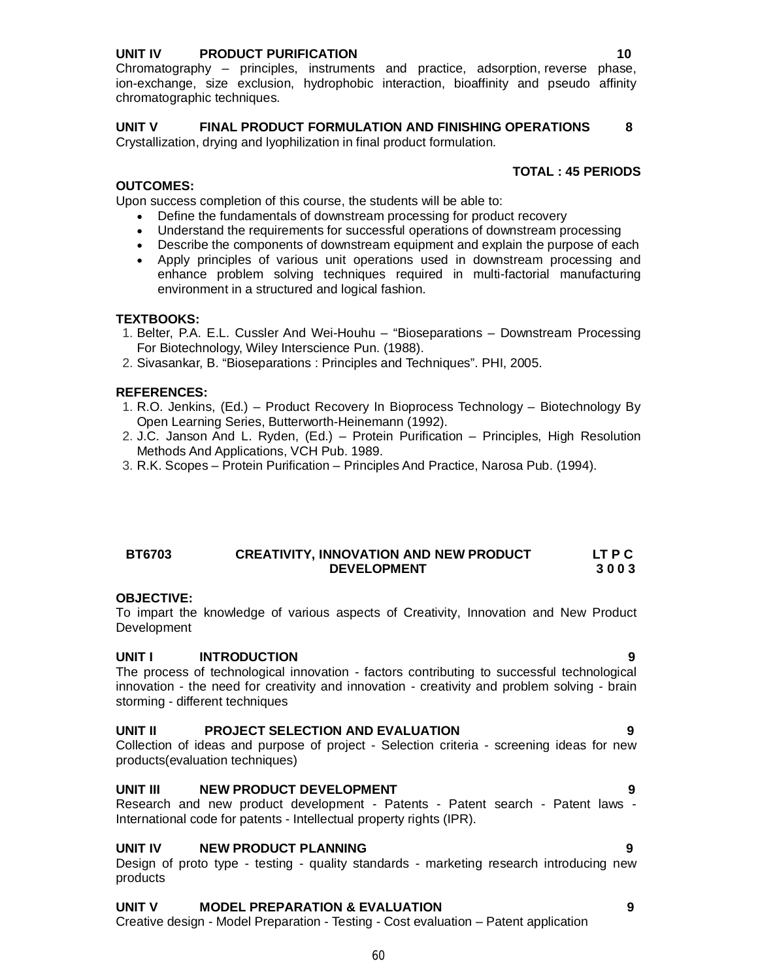# **UNIT IV PRODUCT PURIFICATION 10**

Chromatography – principles, instruments and practice, adsorption, reverse phase, ion-exchange, size exclusion, hydrophobic interaction, bioaffinity and pseudo affinity chromatographic techniques.

# **UNIT V FINAL PRODUCT FORMULATION AND FINISHING OPERATIONS 8**

Crystallization, drying and lyophilization in final product formulation.

# **TOTAL : 45 PERIODS**

# **OUTCOMES:**

Upon success completion of this course, the students will be able to:

- Define the fundamentals of downstream processing for product recovery
- Understand the requirements for successful operations of downstream processing
- Describe the components of downstream equipment and explain the purpose of each
- Apply principles of various unit operations used in downstream processing and enhance problem solving techniques required in multi-factorial manufacturing environment in a structured and logical fashion.

# **TEXTBOOKS:**

- 1. Belter, P.A. E.L. Cussler And Wei-Houhu "Bioseparations Downstream Processing For Biotechnology, Wiley Interscience Pun. (1988).
- 2. Sivasankar, B. "Bioseparations : Principles and Techniques". PHI, 2005.

# **REFERENCES:**

- 1. R.O. Jenkins, (Ed.) Product Recovery In Bioprocess Technology Biotechnology By Open Learning Series, Butterworth-Heinemann (1992).
- 2. J.C. Janson And L. Ryden, (Ed.) Protein Purification Principles, High Resolution Methods And Applications, VCH Pub. 1989.
- 3. R.K. Scopes Protein Purification Principles And Practice, Narosa Pub. (1994).

## **BT6703 CREATIVITY, INNOVATION AND NEW PRODUCT LT P C DEVELOPMENT 3 0 0 3**

# **OBJECTIVE:**

To impart the knowledge of various aspects of Creativity, Innovation and New Product Development

# **UNIT I INTRODUCTION 9**

The process of technological innovation - factors contributing to successful technological innovation - the need for creativity and innovation - creativity and problem solving - brain storming - different techniques

# **UNIT II PROJECT SELECTION AND EVALUATION 9**

Collection of ideas and purpose of project - Selection criteria - screening ideas for new products(evaluation techniques)

# **UNIT III NEW PRODUCT DEVELOPMENT PRODUCT ASSAULT ASSAULT ASSAULT ASSAULT ASSAULT ASSAULT ASSAULT ASSAULT ASSAULT**

Research and new product development - Patents - Patent search - Patent laws - International code for patents - Intellectual property rights (IPR).

# **UNIT IV NEW PRODUCT PLANNING 9**

Design of proto type - testing - quality standards - marketing research introducing new products

# **UNIT V MODEL PREPARATION & EVALUATION 9**

Creative design - Model Preparation - Testing - Cost evaluation – Patent application

#### 60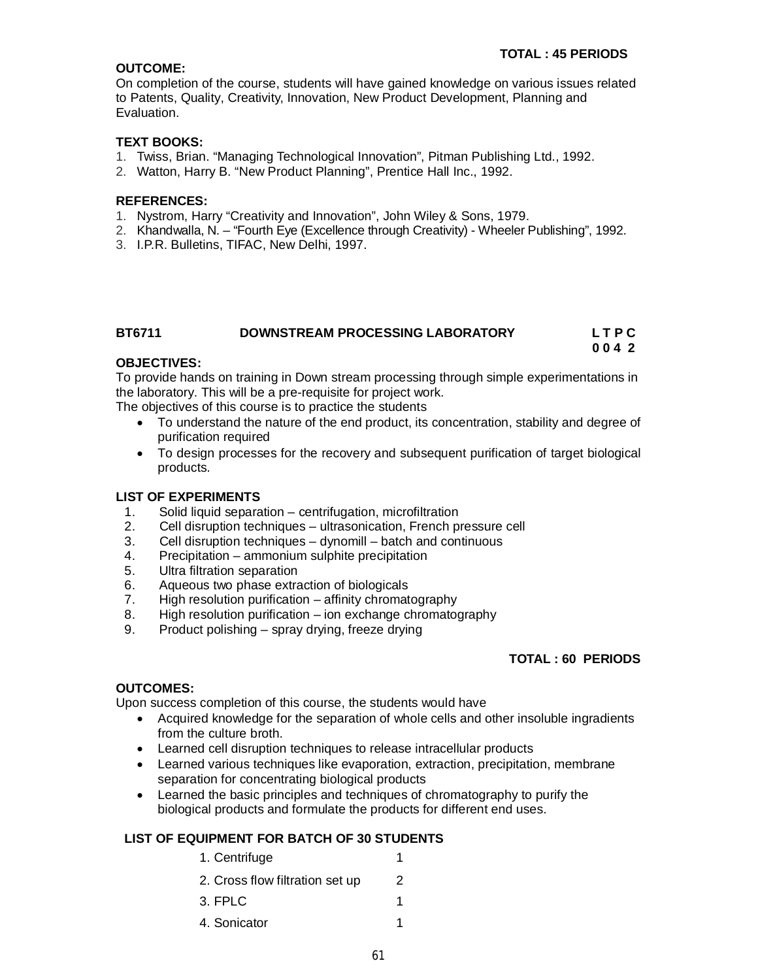# **OUTCOME:**

On completion of the course, students will have gained knowledge on various issues related to Patents, Quality, Creativity, Innovation, New Product Development, Planning and Evaluation.

# **TEXT BOOKS:**

- 1. Twiss, Brian. "Managing Technological Innovation", Pitman Publishing Ltd., 1992.
- 2. Watton, Harry B. "New Product Planning", Prentice Hall Inc., 1992.

# **REFERENCES:**

- 1. Nystrom, Harry "Creativity and Innovation", John Wiley & Sons, 1979.
- 2. Khandwalla, N. "Fourth Eye (Excellence through Creativity) Wheeler Publishing", 1992.
- 3. I.P.R. Bulletins, TIFAC, New Delhi, 1997.

# **BT6711 DOWNSTREAM PROCESSING LABORATORY L T P C**

**0 0 4 2**

## **OBJECTIVES:**

To provide hands on training in Down stream processing through simple experimentations in the laboratory. This will be a pre-requisite for project work.

The objectives of this course is to practice the students

- To understand the nature of the end product, its concentration, stability and degree of purification required
- To design processes for the recovery and subsequent purification of target biological products.

# **LIST OF EXPERIMENTS**

- 1. Solid liquid separation centrifugation, microfiltration
- 2. Cell disruption techniques ultrasonication, French pressure cell
- 3. Cell disruption techniques dynomill batch and continuous
- 4. Precipitation ammonium sulphite precipitation
- 5. Ultra filtration separation
- 6. Aqueous two phase extraction of biologicals
- High resolution purification  $-$  affinity chromatography
- 8. High resolution purification ion exchange chromatography
- 9. Product polishing spray drying, freeze drying

# **TOTAL : 60 PERIODS**

#### **OUTCOMES:**

Upon success completion of this course, the students would have

- Acquired knowledge for the separation of whole cells and other insoluble ingradients from the culture broth.
- Learned cell disruption techniques to release intracellular products
- Learned various techniques like evaporation, extraction, precipitation, membrane separation for concentrating biological products
- Learned the basic principles and techniques of chromatography to purify the biological products and formulate the products for different end uses.

# **LIST OF EQUIPMENT FOR BATCH OF 30 STUDENTS**

- 1. Centrifuge 1
- 2. Cross flow filtration set up 2
- 3. FPLC 1
- 4. Sonicator 1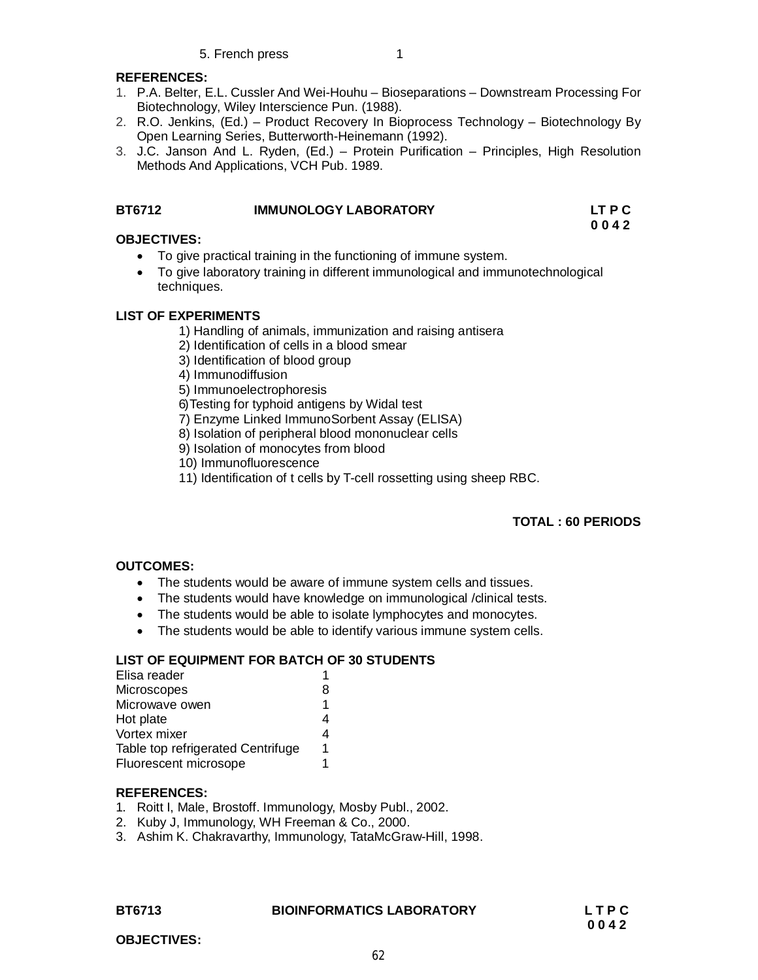## **REFERENCES:**

- 1. P.A. Belter, E.L. Cussler And Wei-Houhu Bioseparations Downstream Processing For Biotechnology, Wiley Interscience Pun. (1988).
- 2. R.O. Jenkins, (Ed.) Product Recovery In Bioprocess Technology Biotechnology By Open Learning Series, Butterworth-Heinemann (1992).
- 3. J.C. Janson And L. Ryden, (Ed.) Protein Purification Principles, High Resolution Methods And Applications, VCH Pub. 1989.

# **BT6712 IMMUNOLOGY LABORATORY LT P C**

#### **0 0 4 2 OBJECTIVES:**

- To give practical training in the functioning of immune system.
- To give laboratory training in different immunological and immunotechnological techniques.

# **LIST OF EXPERIMENTS**

- 1) Handling of animals, immunization and raising antisera
- 2) Identification of cells in a blood smear
- 3) Identification of blood group
- 4) Immunodiffusion
- 5) Immunoelectrophoresis
- 6)Testing for typhoid antigens by Widal test
- 7) Enzyme Linked ImmunoSorbent Assay (ELISA)
- 8) Isolation of peripheral blood mononuclear cells
- 9) Isolation of monocytes from blood
- 10) Immunofluorescence
- 11) Identification of t cells by T-cell rossetting using sheep RBC.

# **TOTAL : 60 PERIODS**

# **OUTCOMES:**

- The students would be aware of immune system cells and tissues.
- The students would have knowledge on immunological /clinical tests.
- The students would be able to isolate lymphocytes and monocytes.
- The students would be able to identify various immune system cells.

# **LIST OF EQUIPMENT FOR BATCH OF 30 STUDENTS**

| Elisa reader                      |    |
|-----------------------------------|----|
| Microscopes                       | 8  |
| Microwave owen                    | 1  |
| Hot plate                         | 4  |
| Vortex mixer                      | 4  |
| Table top refrigerated Centrifuge | 1. |
| Fluorescent microsope             |    |
|                                   |    |

#### **REFERENCES:**

- 1. Roitt I, Male, Brostoff. Immunology, Mosby Publ., 2002.
- 2. Kuby J, Immunology, WH Freeman & Co., 2000.
- 3. Ashim K. Chakravarthy, Immunology, TataMcGraw-Hill, 1998.

#### **BT6713 BIOINFORMATICS LABORATORY L T P C**

 **0 0 4 2**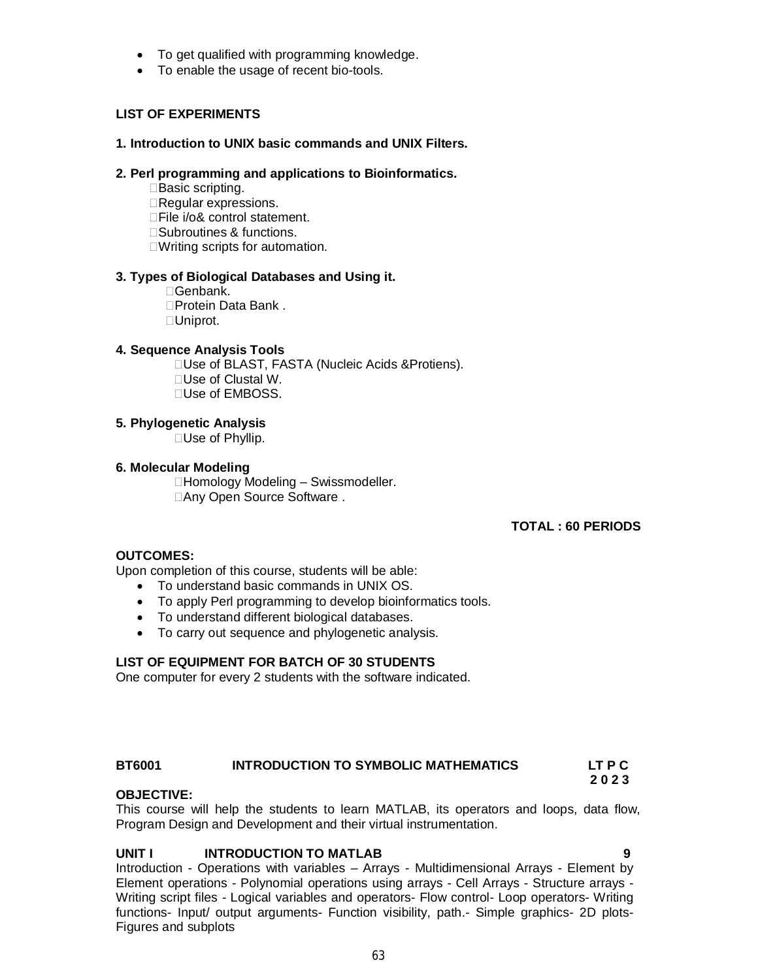- To get qualified with programming knowledge.
- To enable the usage of recent bio-tools.

# **LIST OF EXPERIMENTS**

## **1. Introduction to UNIX basic commands and UNIX Filters.**

#### **2. Perl programming and applications to Bioinformatics.**

□Basic scripting. Regular expressions. □File i/o& control statement. □Subroutines & functions. □Writing scripts for automation.

## **3. Types of Biological Databases and Using it.**

Genbank. □Protein Data Bank . Uniprot.

#### **4. Sequence Analysis Tools**

□Use of BLAST, FASTA (Nucleic Acids & Protiens). □Use of Clustal W. □Use of EMBOSS.

## **5. Phylogenetic Analysis**

□Use of Phyllip.

#### **6. Molecular Modeling**

□Homology Modeling – Swissmodeller. □Any Open Source Software .

# **TOTAL : 60 PERIODS**

#### **OUTCOMES:**

Upon completion of this course, students will be able:

- To understand basic commands in UNIX OS.
- To apply Perl programming to develop bioinformatics tools.
- To understand different biological databases.
- To carry out sequence and phylogenetic analysis.

# **LIST OF EQUIPMENT FOR BATCH OF 30 STUDENTS**

One computer for every 2 students with the software indicated.

# **BT6001 INTRODUCTION TO SYMBOLIC MATHEMATICS LT P C**

#### **OBJECTIVE:**

This course will help the students to learn MATLAB, its operators and loops, data flow, Program Design and Development and their virtual instrumentation.

# **UNIT I INTRODUCTION TO MATLAB 9**

 **2 0 2 3**

Introduction - Operations with variables – Arrays - Multidimensional Arrays - Element by Element operations - Polynomial operations using arrays - Cell Arrays - Structure arrays - Writing script files - Logical variables and operators- Flow control- Loop operators- Writing functions- Input/ output arguments- Function visibility, path.- Simple graphics- 2D plots-Figures and subplots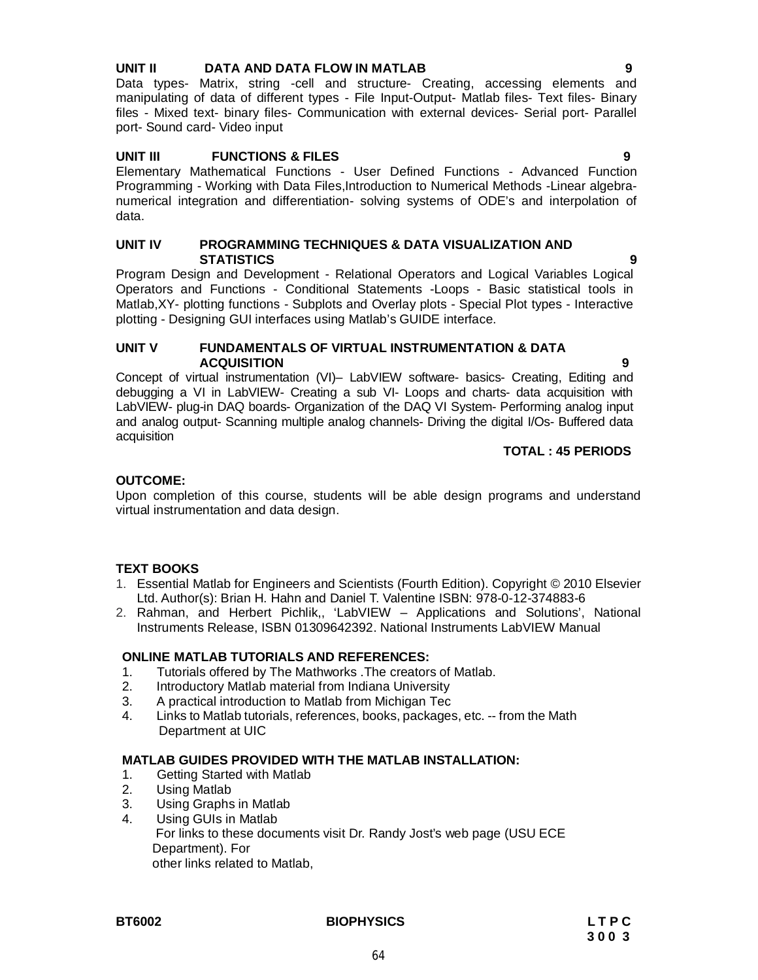## **UNIT II DATA AND DATA FLOW IN MATLAB 9**

Data types- Matrix, string -cell and structure- Creating, accessing elements and manipulating of data of different types - File Input-Output- Matlab files- Text files- Binary files - Mixed text- binary files- Communication with external devices- Serial port- Parallel port- Sound card- Video input

# **UNIT III FUNCTIONS & FILES 9**

Elementary Mathematical Functions - User Defined Functions - Advanced Function Programming - Working with Data Files,Introduction to Numerical Methods -Linear algebranumerical integration and differentiation- solving systems of ODE's and interpolation of data.

#### **UNIT IV PROGRAMMING TECHNIQUES & DATA VISUALIZATION AND STATISTICS 9**

Program Design and Development - Relational Operators and Logical Variables Logical Operators and Functions - Conditional Statements -Loops - Basic statistical tools in Matlab,XY- plotting functions - Subplots and Overlay plots - Special Plot types - Interactive plotting - Designing GUI interfaces using Matlab's GUIDE interface.

#### **UNIT V FUNDAMENTALS OF VIRTUAL INSTRUMENTATION & DATA ACQUISITION 9**

Concept of virtual instrumentation (VI)– LabVIEW software- basics- Creating, Editing and debugging a VI in LabVIEW- Creating a sub VI- Loops and charts- data acquisition with LabVIEW- plug-in DAQ boards- Organization of the DAQ VI System- Performing analog input and analog output- Scanning multiple analog channels- Driving the digital I/Os- Buffered data acquisition

#### **TOTAL : 45 PERIODS**

## **OUTCOME:**

Upon completion of this course, students will be able design programs and understand virtual instrumentation and data design.

#### **TEXT BOOKS**

- 1. Essential Matlab for Engineers and Scientists (Fourth Edition). Copyright © 2010 Elsevier Ltd. Author(s): Brian H. Hahn and Daniel T. Valentine ISBN: 978-0-12-374883-6
- 2. Rahman, and Herbert Pichlik,, 'LabVIEW Applications and Solutions', National Instruments Release, ISBN 01309642392. National Instruments LabVIEW Manual

#### **ONLINE MATLAB TUTORIALS AND REFERENCES:**

- 1. Tutorials offered by The Mathworks .The creators of Matlab.
- 2. Introductory Matlab material from Indiana University
- 3. A practical introduction to Matlab from Michigan Tec
- 4. Links to Matlab tutorials, references, books, packages, etc. -- from the Math Department at UIC

#### **MATLAB GUIDES PROVIDED WITH THE MATLAB INSTALLATION:**

- 1. Getting Started with Matlab<br>2. Using Matlab
- **Using Matlab**
- 3. Using Graphs in Matlab
- 4. Using GUIs in Matlab
	- For links to these documents visit Dr. Randy Jost's web page (USU ECE Department). For other links related to Matlab,

#### **BT6002 BIOPHYSICS L T P C**

64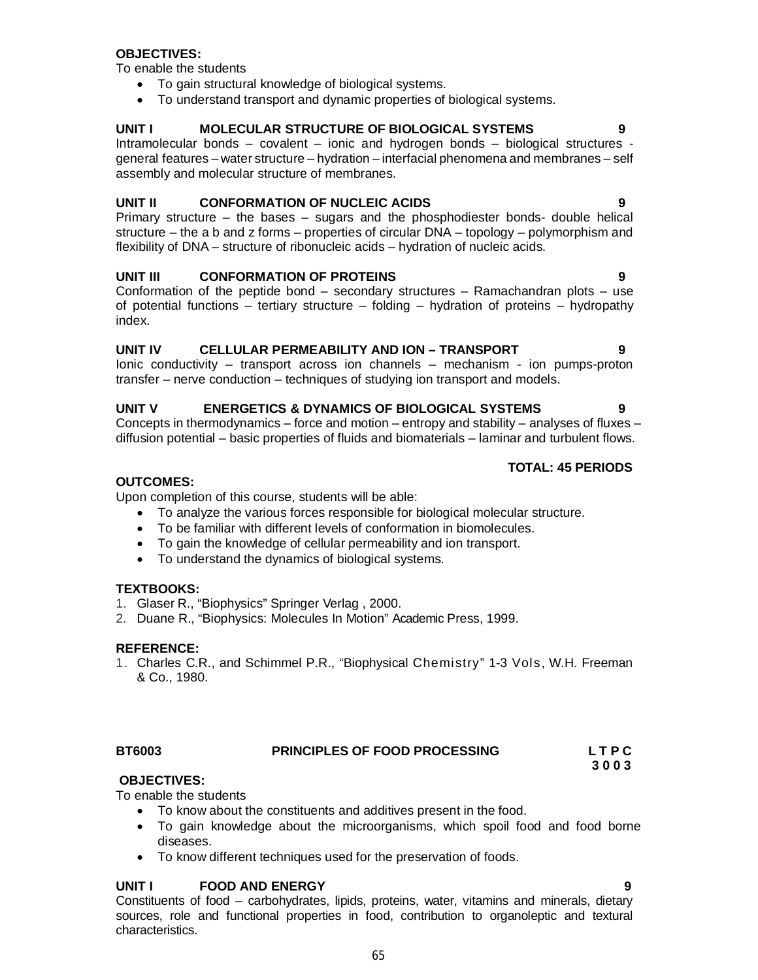- To enable the students To know about the constituents and additives present in the food.
	- To gain knowledge about the microorganisms, which spoil food and food borne diseases.
	- To know different techniques used for the preservation of foods.

# **UNIT I FOOD AND ENERGY 9**

Constituents of food – carbohydrates, lipids, proteins, water, vitamins and minerals, dietary sources, role and functional properties in food, contribution to organoleptic and textural characteristics.

# 65

Intramolecular bonds – covalent – ionic and hydrogen bonds – biological structures general features – water structure – hydration – interfacial phenomena and membranes – self assembly and molecular structure of membranes.

**UNIT I MOLECULAR STRUCTURE OF BIOLOGICAL SYSTEMS 9**

# **UNIT II CONFORMATION OF NUCLEIC ACIDS 9**

Primary structure – the bases – sugars and the phosphodiester bonds- double helical structure – the a b and z forms – properties of circular DNA – topology – polymorphism and flexibility of DNA – structure of ribonucleic acids – hydration of nucleic acids.

# **UNIT III CONFORMATION OF PROTEINS 9**

Conformation of the peptide bond – secondary structures – Ramachandran plots – use of potential functions – tertiary structure – folding – hydration of proteins – hydropathy index.

# **UNIT IV CELLULAR PERMEABILITY AND ION – TRANSPORT 9**

Ionic conductivity – transport across ion channels – mechanism - ion pumps-proton transfer – nerve conduction – techniques of studying ion transport and models.

# **UNIT V ENERGETICS & DYNAMICS OF BIOLOGICAL SYSTEMS 9**

Concepts in thermodynamics – force and motion – entropy and stability – analyses of fluxes – diffusion potential – basic properties of fluids and biomaterials – laminar and turbulent flows.

# **TOTAL: 45 PERIODS**

# **OUTCOMES:**

Upon completion of this course, students will be able:

- To analyze the various forces responsible for biological molecular structure.
- To be familiar with different levels of conformation in biomolecules.
- To gain the knowledge of cellular permeability and ion transport.
- To understand the dynamics of biological systems.

# **TEXTBOOKS:**

- 1. Glaser R., "Biophysics" Springer Verlag , 2000.
- 2. Duane R., "Biophysics: Molecules In Motion" Academic Press, 1999.

# **REFERENCE:**

1. Charles C.R., and Schimmel P.R., "Biophysical Chemistry" 1-3 Vols, W.H. Freeman & Co., 1980.

# **BT6003 PRINCIPLES OF FOOD PROCESSING L T P C**

**OBJECTIVES:**

# **OBJECTIVES:**

To enable the students

- To gain structural knowledge of biological systems.
- To understand transport and dynamic properties of biological systems.

**3 0 0 3**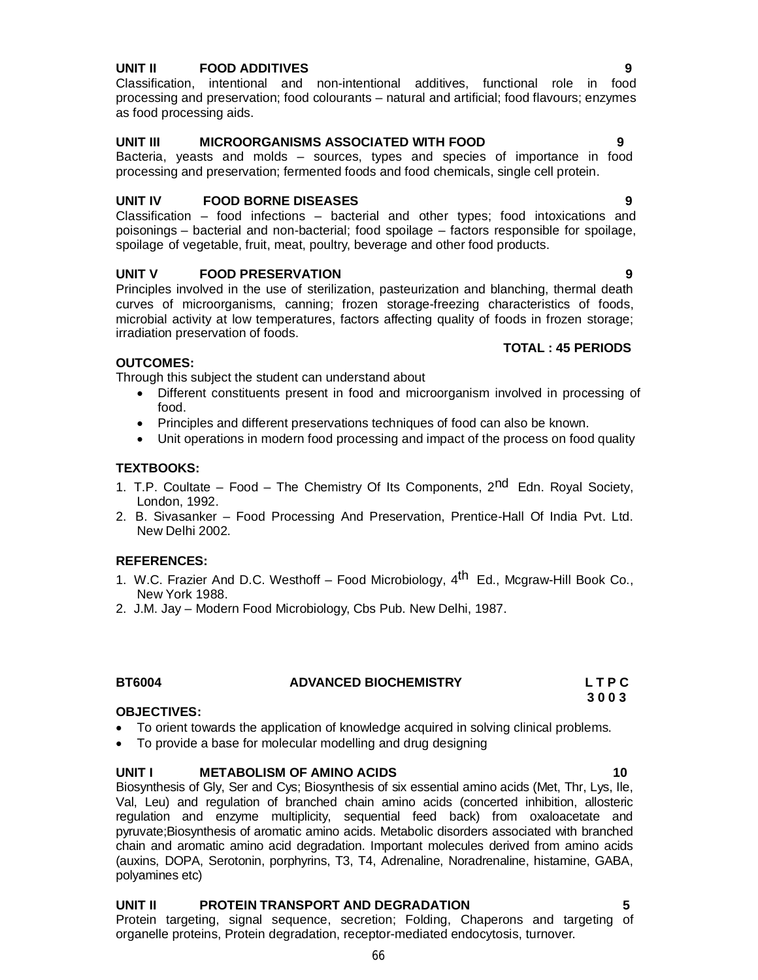# **UNIT II FOOD ADDITIVES 9**

Classification, intentional and non-intentional additives, functional role in food processing and preservation; food colourants – natural and artificial; food flavours; enzymes as food processing aids.

# **UNIT III MICROORGANISMS ASSOCIATED WITH FOOD 9**

Bacteria, yeasts and molds – sources, types and species of importance in food processing and preservation; fermented foods and food chemicals, single cell protein.

## **UNIT IV FOOD BORNE DISEASES 9**

Classification – food infections – bacterial and other types; food intoxications and poisonings – bacterial and non-bacterial; food spoilage – factors responsible for spoilage, spoilage of vegetable, fruit, meat, poultry, beverage and other food products.

# **UNIT V FOOD PRESERVATION 9**

Principles involved in the use of sterilization, pasteurization and blanching, thermal death curves of microorganisms, canning; frozen storage-freezing characteristics of foods, microbial activity at low temperatures, factors affecting quality of foods in frozen storage; irradiation preservation of foods.

# **OUTCOMES:**

Through this subject the student can understand about

- Different constituents present in food and microorganism involved in processing of food.
- Principles and different preservations techniques of food can also be known.
- Unit operations in modern food processing and impact of the process on food quality

## **TEXTBOOKS:**

- 1. T.P. Coultate Food The Chemistry Of Its Components, 2<sup>nd</sup> Edn. Royal Society, London, 1992.
- 2. B. Sivasanker Food Processing And Preservation, Prentice-Hall Of India Pvt. Ltd. New Delhi 2002.

# **REFERENCES:**

- 1. W.C. Frazier And D.C. Westhoff Food Microbiology, 4<sup>th</sup> Ed., Mcgraw-Hill Book Co., New York 1988.
- 2. J.M. Jay Modern Food Microbiology, Cbs Pub. New Delhi, 1987.

#### **BT6004 ADVANCED BIOCHEMISTRY L T P C**

#### **3 0 0 3 OBJECTIVES:**

- To orient towards the application of knowledge acquired in solving clinical problems.
- To provide a base for molecular modelling and drug designing

#### **UNIT I METABOLISM OF AMINO ACIDS 10**

Biosynthesis of Gly, Ser and Cys; Biosynthesis of six essential amino acids (Met, Thr, Lys, Ile, Val, Leu) and regulation of branched chain amino acids (concerted inhibition, allosteric regulation and enzyme multiplicity, sequential feed back) from oxaloacetate and pyruvate;Biosynthesis of aromatic amino acids. Metabolic disorders associated with branched chain and aromatic amino acid degradation. Important molecules derived from amino acids (auxins, DOPA, Serotonin, porphyrins, T3, T4, Adrenaline, Noradrenaline, histamine, GABA, polyamines etc)

# **UNIT II PROTEIN TRANSPORT AND DEGRADATION 5**

Protein targeting, signal sequence, secretion; Folding, Chaperons and targeting of organelle proteins, Protein degradation, receptor-mediated endocytosis, turnover.

**TOTAL : 45 PERIODS**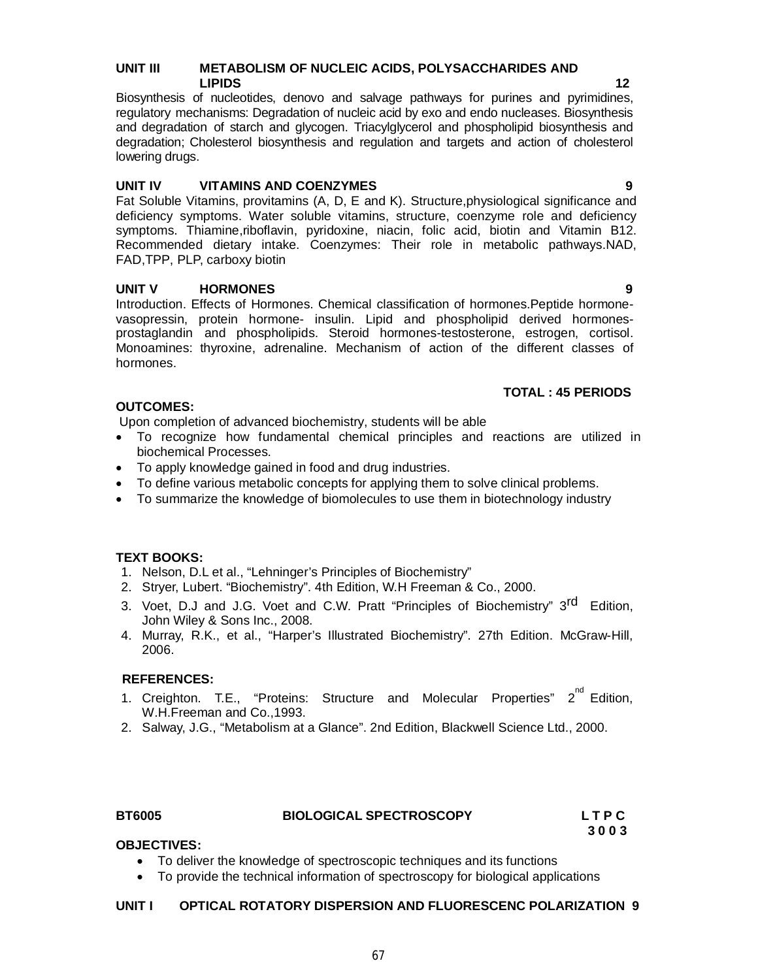# **UNIT III METABOLISM OF NUCLEIC ACIDS, POLYSACCHARIDES AND LIPIDS** 12

Biosynthesis of nucleotides, denovo and salvage pathways for purines and pyrimidines, regulatory mechanisms: Degradation of nucleic acid by exo and endo nucleases. Biosynthesis and degradation of starch and glycogen. Triacylglycerol and phospholipid biosynthesis and degradation; Cholesterol biosynthesis and regulation and targets and action of cholesterol lowering drugs.

# **UNIT IV VITAMINS AND COENZYMES 9**

Fat Soluble Vitamins, provitamins (A, D, E and K). Structure,physiological significance and deficiency symptoms. Water soluble vitamins, structure, coenzyme role and deficiency symptoms. Thiamine,riboflavin, pyridoxine, niacin, folic acid, biotin and Vitamin B12. Recommended dietary intake. Coenzymes: Their role in metabolic pathways.NAD, FAD,TPP, PLP, carboxy biotin

# **UNIT V HORMONES 9**

Introduction. Effects of Hormones. Chemical classification of hormones.Peptide hormonevasopressin, protein hormone- insulin. Lipid and phospholipid derived hormonesprostaglandin and phospholipids. Steroid hormones-testosterone, estrogen, cortisol. Monoamines: thyroxine, adrenaline. Mechanism of action of the different classes of hormones.

# **TOTAL : 45 PERIODS**

# **OUTCOMES:**

Upon completion of advanced biochemistry, students will be able

- To recognize how fundamental chemical principles and reactions are utilized in biochemical Processes.
- To apply knowledge gained in food and drug industries.
- To define various metabolic concepts for applying them to solve clinical problems.
- To summarize the knowledge of biomolecules to use them in biotechnology industry

# **TEXT BOOKS:**

- 1. Nelson, D.L et al., "Lehninger's Principles of Biochemistry"
- 2. Stryer, Lubert. "Biochemistry". 4th Edition, W.H Freeman & Co., 2000.
- 3. Voet, D.J and J.G. Voet and C.W. Pratt "Principles of Biochemistry" 3<sup>rd</sup> Edition, John Wiley & Sons Inc., 2008.
- 4. Murray, R.K., et al., "Harper's Illustrated Biochemistry". 27th Edition. McGraw-Hill, 2006.

# **REFERENCES:**

- 1. Creighton. T.E., "Proteins: Structure and Molecular Properties" 2<sup>nd</sup> Edition, W.H.Freeman and Co.,1993.
- 2. Salway, J.G., "Metabolism at a Glance". 2nd Edition, Blackwell Science Ltd., 2000.

# **BT6005 BIOLOGICAL SPECTROSCOPY L T P C**

 **3 0 0 3**

# **OBJECTIVES:**

- To deliver the knowledge of spectroscopic techniques and its functions
- To provide the technical information of spectroscopy for biological applications

# **UNIT I OPTICAL ROTATORY DISPERSION AND FLUORESCENC POLARIZATION 9**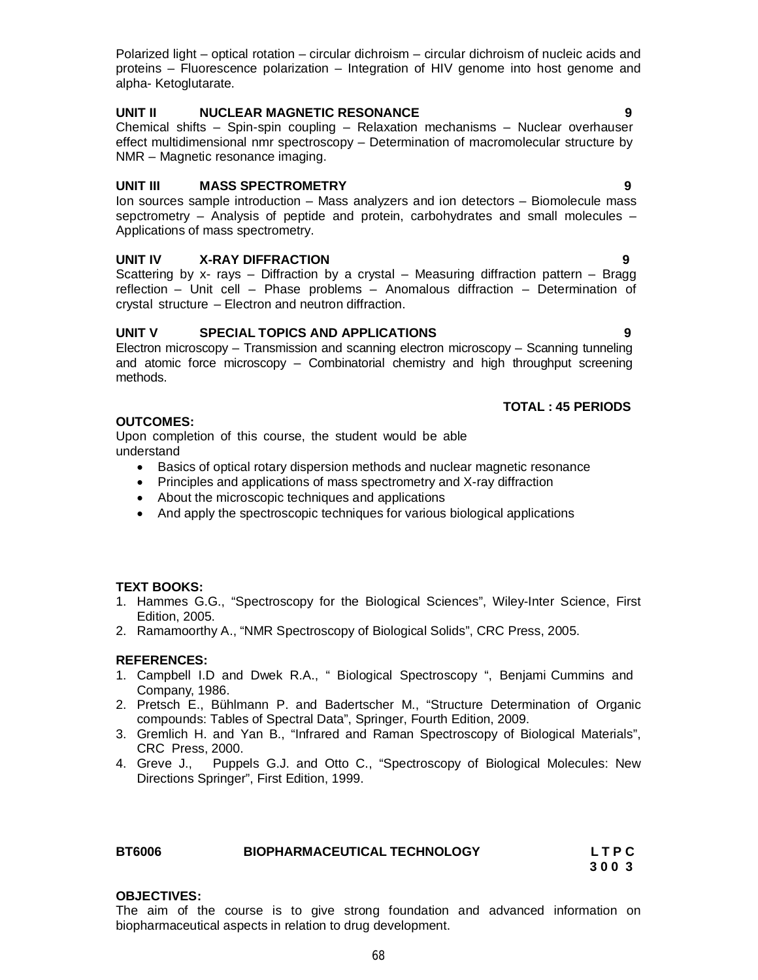Polarized light – optical rotation – circular dichroism – circular dichroism of nucleic acids and proteins – Fluorescence polarization – Integration of HIV genome into host genome and alpha- Ketoglutarate.

# **UNIT II NUCLEAR MAGNETIC RESONANCE 9**

Chemical shifts – Spin-spin coupling – Relaxation mechanisms – Nuclear overhauser effect multidimensional nmr spectroscopy – Determination of macromolecular structure by NMR – Magnetic resonance imaging.

# **UNIT III MASS SPECTROMETRY 9**

Ion sources sample introduction – Mass analyzers and ion detectors – Biomolecule mass sepctrometry – Analysis of peptide and protein, carbohydrates and small molecules – Applications of mass spectrometry.

# **UNIT IV X-RAY DIFFRACTION 9**

Scattering by x- rays – Diffraction by a crystal – Measuring diffraction pattern – Bragg reflection – Unit cell – Phase problems – Anomalous diffraction – Determination of crystal structure – Electron and neutron diffraction.

# **UNIT V SPECIAL TOPICS AND APPLICATIONS 9**

Electron microscopy – Transmission and scanning electron microscopy – Scanning tunneling and atomic force microscopy – Combinatorial chemistry and high throughput screening methods.

# **TOTAL : 45 PERIODS**

#### **OUTCOMES:**

Upon completion of this course, the student would be able understand

- Basics of optical rotary dispersion methods and nuclear magnetic resonance
- Principles and applications of mass spectrometry and X-ray diffraction
- About the microscopic techniques and applications
- And apply the spectroscopic techniques for various biological applications

# **TEXT BOOKS:**

- 1. Hammes G.G., "Spectroscopy for the Biological Sciences", Wiley-Inter Science, First Edition, 2005.
- 2. Ramamoorthy A., "NMR Spectroscopy of Biological Solids", CRC Press, 2005.

#### **REFERENCES:**

- 1. Campbell I.D and Dwek R.A., " Biological Spectroscopy ", Benjami Cummins and Company, 1986.
- 2. Pretsch E., Bühlmann P. and Badertscher M., "Structure Determination of Organic compounds: Tables of Spectral Data", Springer, Fourth Edition, 2009.
- 3. Gremlich H. and Yan B., "Infrared and Raman Spectroscopy of Biological Materials", CRC Press, 2000.
- 4. Greve J., Puppels G.J. and Otto C., "Spectroscopy of Biological Molecules: New Directions Springer", First Edition, 1999.

| <b>BT6006</b> | <b>BIOPHARMACEUTICAL TECHNOLOGY</b> | <b>LTPC</b> |
|---------------|-------------------------------------|-------------|
|               |                                     | .           |

# **3 0 0 3**

#### **OBJECTIVES:**

The aim of the course is to give strong foundation and advanced information on biopharmaceutical aspects in relation to drug development.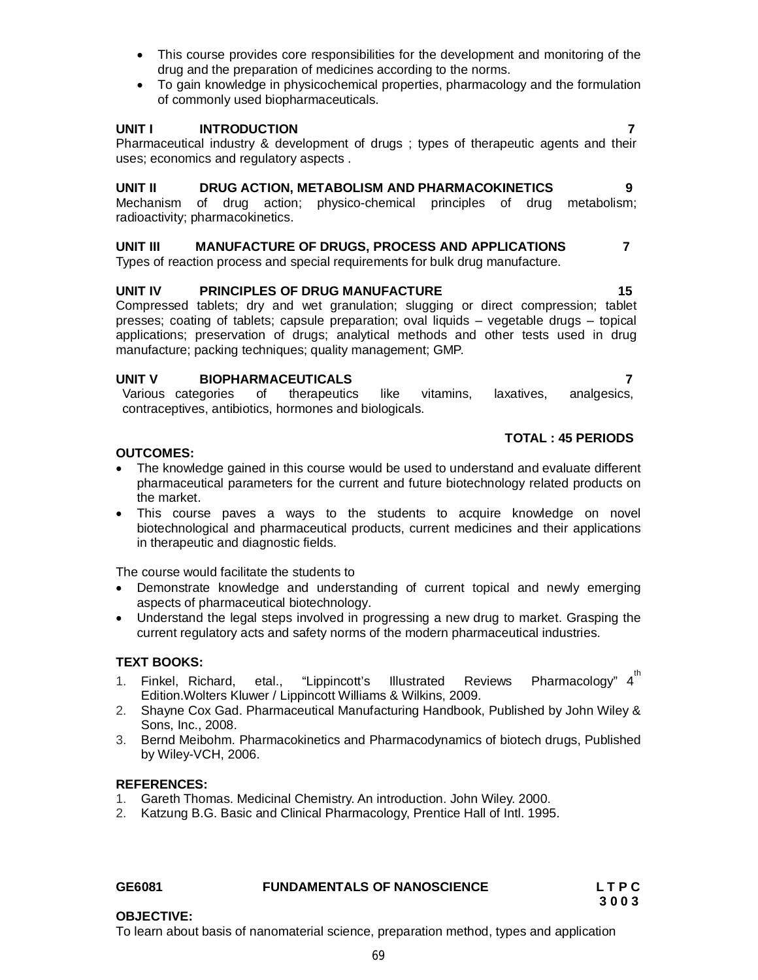- This course provides core responsibilities for the development and monitoring of the drug and the preparation of medicines according to the norms.
- To gain knowledge in physicochemical properties, pharmacology and the formulation of commonly used biopharmaceuticals.

# **UNIT I INTRODUCTION 7**

Pharmaceutical industry & development of drugs ; types of therapeutic agents and their uses; economics and regulatory aspects .

# **UNIT II DRUG ACTION, METABOLISM AND PHARMACOKINETICS 9**

Mechanism of drug action; physico-chemical principles of drug metabolism; radioactivity; pharmacokinetics.

# **UNIT III MANUFACTURE OF DRUGS, PROCESS AND APPLICATIONS 7**

Types of reaction process and special requirements for bulk drug manufacture.

# UNIT IV PRINCIPLES OF DRUG MANUFACTURE **15**

Compressed tablets; dry and wet granulation; slugging or direct compression; tablet presses; coating of tablets; capsule preparation; oval liquids – vegetable drugs – topical applications; preservation of drugs; analytical methods and other tests used in drug manufacture; packing techniques; quality management; GMP.

## **UNIT V BIOPHARMACEUTICALS 7**

Various categories of therapeutics like vitamins, laxatives, analgesics, contraceptives, antibiotics, hormones and biologicals.

# **TOTAL : 45 PERIODS**

# **OUTCOMES:**

- The knowledge gained in this course would be used to understand and evaluate different pharmaceutical parameters for the current and future biotechnology related products on the market.
- This course paves a ways to the students to acquire knowledge on novel biotechnological and pharmaceutical products, current medicines and their applications in therapeutic and diagnostic fields.

The course would facilitate the students to

- Demonstrate knowledge and understanding of current topical and newly emerging aspects of pharmaceutical biotechnology.
- Understand the legal steps involved in progressing a new drug to market. Grasping the current regulatory acts and safety norms of the modern pharmaceutical industries.

# **TEXT BOOKS:**

- 1. Finkel, Richard, etal., "Lippincott's Illustrated Reviews th Edition.Wolters Kluwer / Lippincott Williams & Wilkins, 2009.
- 2. Shayne Cox Gad. Pharmaceutical Manufacturing Handbook, Published by John Wiley & Sons, Inc., 2008.
- 3. Bernd Meibohm. Pharmacokinetics and Pharmacodynamics of biotech drugs, Published by Wiley-VCH, 2006.

#### **REFERENCES:**

- 1. Gareth Thomas. Medicinal Chemistry. An introduction. John Wiley. 2000.
- 2. Katzung B.G. Basic and Clinical Pharmacology, Prentice Hall of Intl. 1995.

**OBJECTIVE:**

#### **GE6081 FUNDAMENTALS OF NANOSCIENCE L T P C**

**3 0 0 3**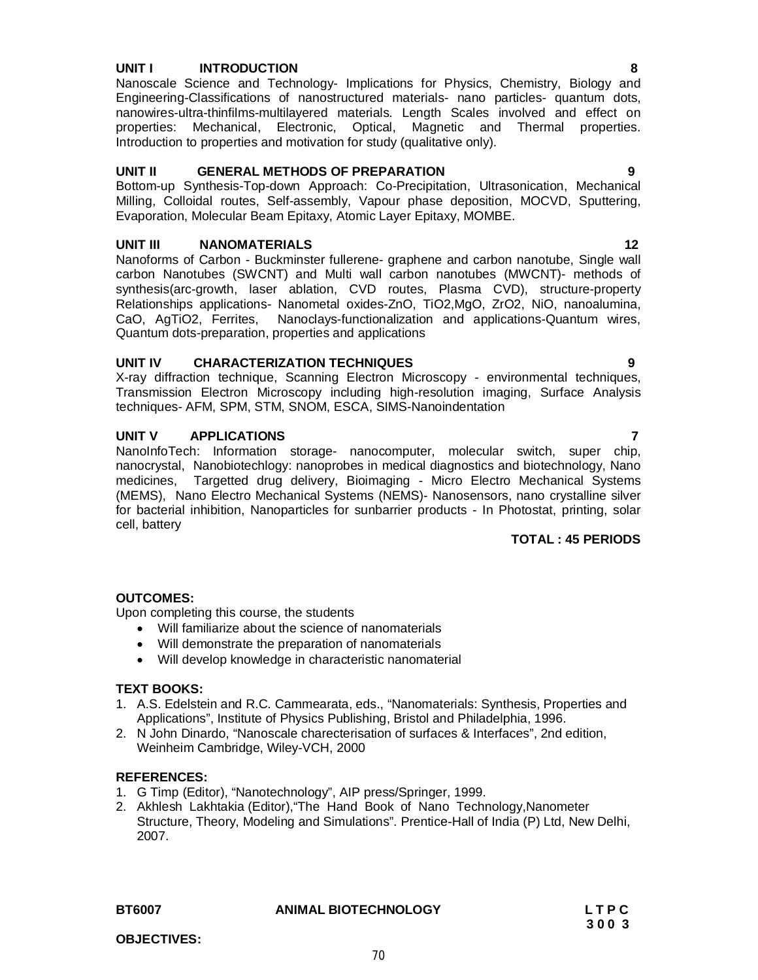# **UNIT I INTRODUCTION 8**

Nanoscale Science and Technology- Implications for Physics, Chemistry, Biology and Engineering-Classifications of nanostructured materials- nano particles- quantum dots, nanowires-ultra-thinfilms-multilayered materials. Length Scales involved and effect on properties: Mechanical, Electronic, Optical, Magnetic and Thermal properties. Introduction to properties and motivation for study (qualitative only).

## **UNIT II GENERAL METHODS OF PREPARATION 9**

Bottom-up Synthesis-Top-down Approach: Co-Precipitation, Ultrasonication, Mechanical Milling, Colloidal routes, Self-assembly, Vapour phase deposition, MOCVD, Sputtering, Evaporation, Molecular Beam Epitaxy, Atomic Layer Epitaxy, MOMBE.

# **UNIT III NANOMATERIALS 12**

Nanoforms of Carbon - Buckminster fullerene- graphene and carbon nanotube, Single wall carbon Nanotubes (SWCNT) and Multi wall carbon nanotubes (MWCNT)- methods of synthesis(arc-growth, laser ablation, CVD routes, Plasma CVD), structure-property Relationships applications- Nanometal oxides-ZnO, TiO2,MgO, ZrO2, NiO, nanoalumina, CaO, AgTiO2, Ferrites, Nanoclays-functionalization and applications-Quantum wires, Quantum dots-preparation, properties and applications

## **UNIT IV CHARACTERIZATION TECHNIQUES 9**

X-ray diffraction technique, Scanning Electron Microscopy - environmental techniques, Transmission Electron Microscopy including high-resolution imaging, Surface Analysis techniques- AFM, SPM, STM, SNOM, ESCA, SIMS-Nanoindentation

## **UNIT V APPLICATIONS 7**

NanoInfoTech: Information storage- nanocomputer, molecular switch, super chip, nanocrystal, Nanobiotechlogy: nanoprobes in medical diagnostics and biotechnology, Nano medicines, Targetted drug delivery, Bioimaging - Micro Electro Mechanical Systems (MEMS), Nano Electro Mechanical Systems (NEMS)- Nanosensors, nano crystalline silver for bacterial inhibition, Nanoparticles for sunbarrier products - In Photostat, printing, solar cell, battery

#### **TOTAL : 45 PERIODS**

# **OUTCOMES:**

Upon completing this course, the students

- Will familiarize about the science of nanomaterials
- Will demonstrate the preparation of nanomaterials
- Will develop knowledge in characteristic nanomaterial

#### **TEXT BOOKS:**

- 1. A.S. Edelstein and R.C. Cammearata, eds., "Nanomaterials: Synthesis, Properties and Applications", Institute of Physics Publishing, Bristol and Philadelphia, 1996.
- 2. N John Dinardo, "Nanoscale charecterisation of surfaces & Interfaces", 2nd edition, Weinheim Cambridge, Wiley-VCH, 2000

#### **REFERENCES:**

- 1. G Timp (Editor), "Nanotechnology", AIP press/Springer, 1999.
- 2. Akhlesh Lakhtakia (Editor),"The Hand Book of Nano Technology,Nanometer Structure, Theory, Modeling and Simulations". Prentice-Hall of India (P) Ltd, New Delhi, 2007.

| BT6007 | <b>ANIMAL BIOTECHNOLOGY</b> | LTPC |
|--------|-----------------------------|------|
|        |                             | 3003 |

#### 70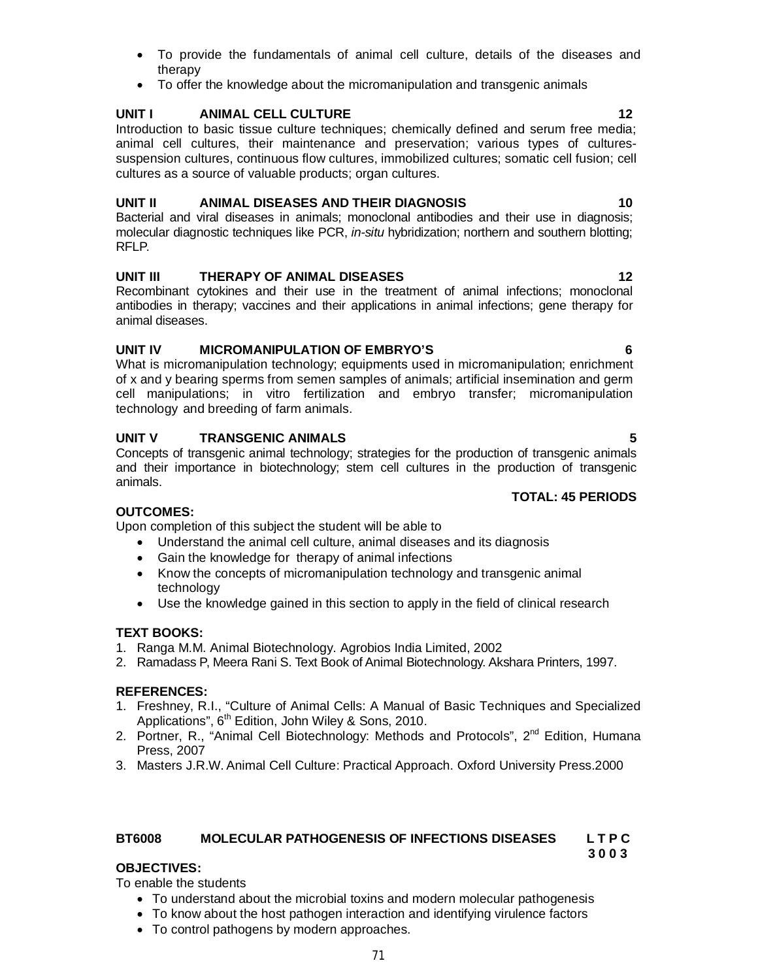- To provide the fundamentals of animal cell culture, details of the diseases and therapy
- To offer the knowledge about the micromanipulation and transgenic animals

# **UNIT I** ANIMAL CELL CULTURE **12**

Introduction to basic tissue culture techniques; chemically defined and serum free media; animal cell cultures, their maintenance and preservation; various types of culturessuspension cultures, continuous flow cultures, immobilized cultures; somatic cell fusion; cell cultures as a source of valuable products; organ cultures.

# **UNIT II ANIMAL DISEASES AND THEIR DIAGNOSIS 10**

Bacterial and viral diseases in animals; monoclonal antibodies and their use in diagnosis; molecular diagnostic techniques like PCR, *in-situ* hybridization; northern and southern blotting; RFLP.

# **UNIT III** THERAPY OF ANIMAL DISEASES 12

Recombinant cytokines and their use in the treatment of animal infections; monoclonal antibodies in therapy; vaccines and their applications in animal infections; gene therapy for animal diseases.

# **UNIT IV MICROMANIPULATION OF EMBRYO'S 6**

What is micromanipulation technology; equipments used in micromanipulation; enrichment of x and y bearing sperms from semen samples of animals; artificial insemination and germ cell manipulations; in vitro fertilization and embryo transfer; micromanipulation technology and breeding of farm animals.

# **UNIT V TRANSGENIC ANIMALS 5**

Concepts of transgenic animal technology; strategies for the production of transgenic animals and their importance in biotechnology; stem cell cultures in the production of transgenic animals.

# **TOTAL: 45 PERIODS**

# **OUTCOMES:**

Upon completion of this subject the student will be able to

- Understand the animal cell culture, animal diseases and its diagnosis
- Gain the knowledge for therapy of animal infections
- Know the concepts of micromanipulation technology and transgenic animal technology
- Use the knowledge gained in this section to apply in the field of clinical research

#### **TEXT BOOKS:**

- 1. Ranga M.M. Animal Biotechnology. Agrobios India Limited, 2002
- 2. Ramadass P, Meera Rani S. Text Book of Animal Biotechnology. Akshara Printers, 1997.

# **REFERENCES:**

- 1. Freshney, R.I., "Culture of Animal Cells: A Manual of Basic Techniques and Specialized Applications",  $6<sup>th</sup>$  Edition, John Wiley & Sons, 2010.
- 2. Portner, R., "Animal Cell Biotechnology: Methods and Protocols", 2<sup>nd</sup> Edition, Humana Press, 2007
- 3. Masters J.R.W. Animal Cell Culture: Practical Approach. Oxford University Press.2000

#### **BT6008 MOLECULAR PATHOGENESIS OF INFECTIONS DISEASES L T P C 3 0 0 3**

# **OBJECTIVES:**

To enable the students

- To understand about the microbial toxins and modern molecular pathogenesis
- To know about the host pathogen interaction and identifying virulence factors
- To control pathogens by modern approaches.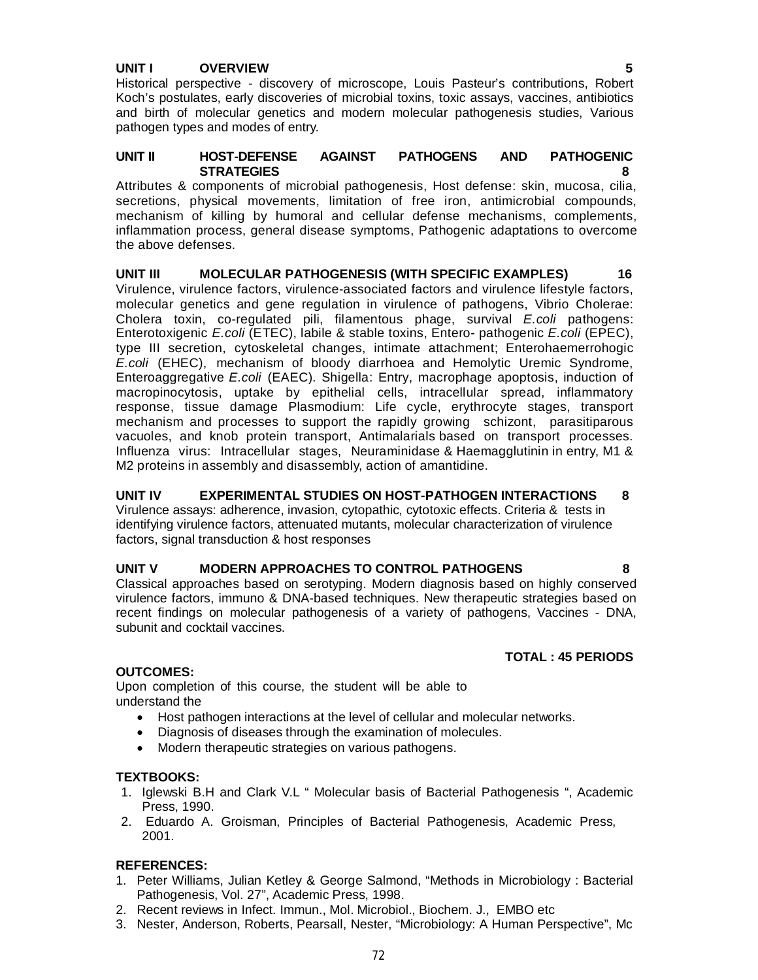# **UNIT I OVERVIEW 5**

Historical perspective - discovery of microscope, Louis Pasteur's contributions, Robert Koch's postulates, early discoveries of microbial toxins, toxic assays, vaccines, antibiotics and birth of molecular genetics and modern molecular pathogenesis studies, Various pathogen types and modes of entry.

#### **UNIT II HOST-DEFENSE AGAINST PATHOGENS AND PATHOGENIC STRATEGIES 8**

Attributes & components of microbial pathogenesis, Host defense: skin, mucosa, cilia, secretions, physical movements, limitation of free iron, antimicrobial compounds, mechanism of killing by humoral and cellular defense mechanisms, complements, inflammation process, general disease symptoms, Pathogenic adaptations to overcome the above defenses.

**UNIT III MOLECULAR PATHOGENESIS (WITH SPECIFIC EXAMPLES) 16** Virulence, virulence factors, virulence-associated factors and virulence lifestyle factors, molecular genetics and gene regulation in virulence of pathogens, Vibrio Cholerae: Cholera toxin, co-regulated pili, filamentous phage, survival *E.coli* pathogens: Enterotoxigenic *E.coli* (ETEC), labile & stable toxins, Entero- pathogenic *E.coli* (EPEC), type III secretion, cytoskeletal changes, intimate attachment; Enterohaemerrohogic *E.coli* (EHEC), mechanism of bloody diarrhoea and Hemolytic Uremic Syndrome, Enteroaggregative *E.coli* (EAEC). Shigella: Entry, macrophage apoptosis, induction of macropinocytosis, uptake by epithelial cells, intracellular spread, inflammatory response, tissue damage Plasmodium: Life cycle, erythrocyte stages, transport mechanism and processes to support the rapidly growing schizont, parasitiparous vacuoles, and knob protein transport, Antimalarials based on transport processes. Influenza virus: Intracellular stages, Neuraminidase & Haemagglutinin in entry, M1 & M2 proteins in assembly and disassembly, action of amantidine.

#### **UNIT IV EXPERIMENTAL STUDIES ON HOST-PATHOGEN INTERACTIONS 8** Virulence assays: adherence, invasion, cytopathic, cytotoxic effects. Criteria & tests in identifying virulence factors, attenuated mutants, molecular characterization of virulence factors, signal transduction & host responses

# **UNIT V MODERN APPROACHES TO CONTROL PATHOGENS 8**

Classical approaches based on serotyping. Modern diagnosis based on highly conserved virulence factors, immuno & DNA-based techniques. New therapeutic strategies based on recent findings on molecular pathogenesis of a variety of pathogens, Vaccines - DNA, subunit and cocktail vaccines.

#### **OUTCOMES:**

Upon completion of this course, the student will be able to understand the

- Host pathogen interactions at the level of cellular and molecular networks.
- Diagnosis of diseases through the examination of molecules.
- Modern therapeutic strategies on various pathogens.

#### **TEXTBOOKS:**

- 1. Iglewski B.H and Clark V.L " Molecular basis of Bacterial Pathogenesis ", Academic Press, 1990.
- 2. Eduardo A. Groisman, Principles of Bacterial Pathogenesis, Academic Press, 2001.

#### **REFERENCES:**

- 1. Peter Williams, Julian Ketley & George Salmond, "Methods in Microbiology : Bacterial Pathogenesis, Vol. 27", Academic Press, 1998.
- 2. Recent reviews in Infect. Immun., Mol. Microbiol., Biochem. J., EMBO etc
- 3. Nester, Anderson, Roberts, Pearsall, Nester, "Microbiology: A Human Perspective", Mc

# **TOTAL : 45 PERIODS**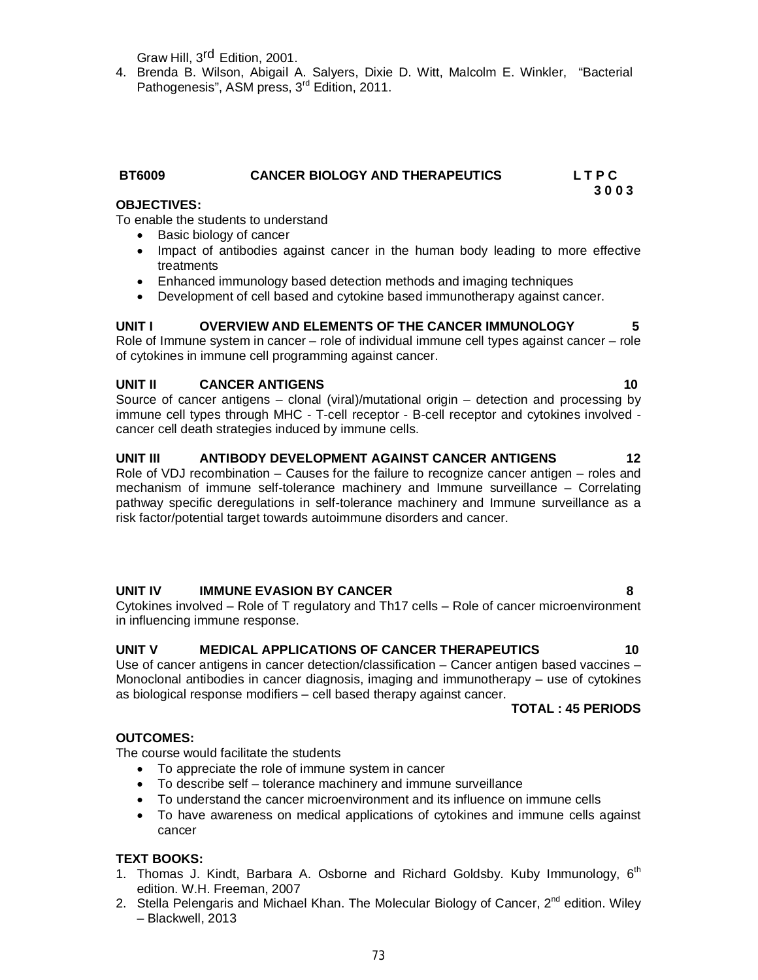Graw Hill, 3<sup>rd</sup> Edition, 2001.

4. Brenda B. Wilson, Abigail A. Salyers, Dixie D. Witt, Malcolm E. Winkler, "Bacterial Pathogenesis", ASM press, 3<sup>rd</sup> Edition, 2011.

### **OBJECTIVES:**

To enable the students to understand

- Basic biology of cancer
- Impact of antibodies against cancer in the human body leading to more effective treatments
- Enhanced immunology based detection methods and imaging techniques
- Development of cell based and cytokine based immunotherapy against cancer.

#### **UNIT I OVERVIEW AND ELEMENTS OF THE CANCER IMMUNOLOGY 5**

Role of Immune system in cancer – role of individual immune cell types against cancer – role of cytokines in immune cell programming against cancer.

### **UNIT II CANCER ANTIGENS 10**

Source of cancer antigens – clonal (viral)/mutational origin – detection and processing by immune cell types through MHC - T-cell receptor - B-cell receptor and cytokines involved cancer cell death strategies induced by immune cells.

#### **UNIT III ANTIBODY DEVELOPMENT AGAINST CANCER ANTIGENS 12**

Role of VDJ recombination – Causes for the failure to recognize cancer antigen – roles and mechanism of immune self-tolerance machinery and Immune surveillance – Correlating pathway specific deregulations in self-tolerance machinery and Immune surveillance as a risk factor/potential target towards autoimmune disorders and cancer.

### **UNIT IV IMMUNE EVASION BY CANCER 8**

Cytokines involved – Role of T regulatory and Th17 cells – Role of cancer microenvironment in influencing immune response.

#### **UNIT V MEDICAL APPLICATIONS OF CANCER THERAPEUTICS 10**

Use of cancer antigens in cancer detection/classification – Cancer antigen based vaccines – Monoclonal antibodies in cancer diagnosis, imaging and immunotherapy – use of cytokines as biological response modifiers – cell based therapy against cancer.

#### **TOTAL : 45 PERIODS**

#### **OUTCOMES:**

The course would facilitate the students

- To appreciate the role of immune system in cancer
- To describe self tolerance machinery and immune surveillance
- To understand the cancer microenvironment and its influence on immune cells
- To have awareness on medical applications of cytokines and immune cells against cancer

#### **TEXT BOOKS:**

- 1. Thomas J. Kindt, Barbara A. Osborne and Richard Goldsby. Kuby Immunology, 6<sup>th</sup> edition. W.H. Freeman, 2007
- 2. Stella Pelengaris and Michael Khan. The Molecular Biology of Cancer, 2<sup>nd</sup> edition. Wiley – Blackwell, 2013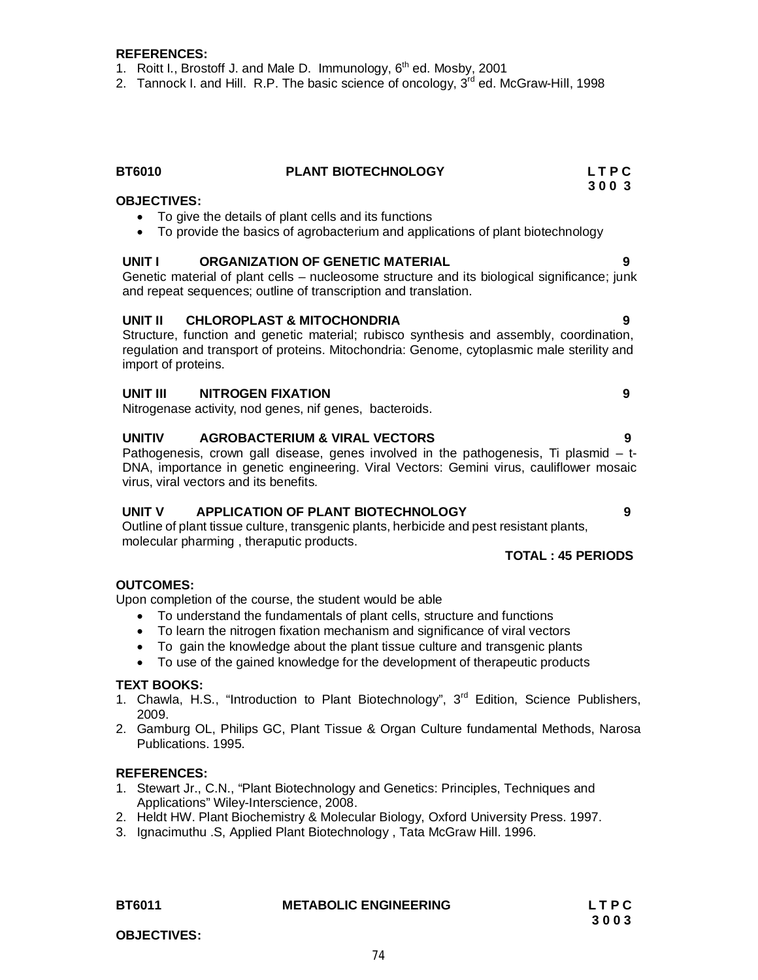#### **REFERENCES:**

- 1. Roitt I., Brostoff J. and Male D. Immunology,  $6<sup>th</sup>$  ed. Mosby, 2001
- 2. Tannock I. and Hill. R.P. The basic science of oncology,  $3<sup>rd</sup>$  ed. McGraw-Hill, 1998

## **BT6010 PLANT BIOTECHNOLOGY L T P C**

#### **OBJECTIVES:**

- To give the details of plant cells and its functions
- To provide the basics of agrobacterium and applications of plant biotechnology

#### **UNIT I ORGANIZATION OF GENETIC MATERIAL 9**

Genetic material of plant cells – nucleosome structure and its biological significance; junk and repeat sequences; outline of transcription and translation.

#### **UNIT II CHLOROPLAST & MITOCHONDRIA 9**

Structure, function and genetic material; rubisco synthesis and assembly, coordination, regulation and transport of proteins. Mitochondria: Genome, cytoplasmic male sterility and import of proteins.

#### **UNIT III NITROGEN FIXATION 9**

Nitrogenase activity, nod genes, nif genes, bacteroids.

#### **UNITIV AGROBACTERIUM & VIRAL VECTORS 9**

Pathogenesis, crown gall disease, genes involved in the pathogenesis, Ti plasmid  $-$  t-DNA, importance in genetic engineering. Viral Vectors: Gemini virus, cauliflower mosaic virus, viral vectors and its benefits.

#### **UNIT V APPLICATION OF PLANT BIOTECHNOLOGY 9**

Outline of plant tissue culture, transgenic plants, herbicide and pest resistant plants, molecular pharming , theraputic products.

#### **TOTAL : 45 PERIODS**

#### **OUTCOMES:**

Upon completion of the course, the student would be able

- To understand the fundamentals of plant cells, structure and functions
- To learn the nitrogen fixation mechanism and significance of viral vectors
- To gain the knowledge about the plant tissue culture and transgenic plants
- To use of the gained knowledge for the development of therapeutic products

#### **TEXT BOOKS:**

- 1. Chawla, H.S., "Introduction to Plant Biotechnology", 3<sup>rd</sup> Edition, Science Publishers, 2009.
- 2. Gamburg OL, Philips GC, Plant Tissue & Organ Culture fundamental Methods, Narosa Publications. 1995.

#### **REFERENCES:**

- 1. Stewart Jr., C.N., "Plant Biotechnology and Genetics: Principles, Techniques and Applications" Wiley-Interscience, 2008.
- 2. Heldt HW. Plant Biochemistry & Molecular Biology, Oxford University Press. 1997.
- 3. Ignacimuthu .S, Applied Plant Biotechnology , Tata McGraw Hill. 1996.

#### **BT6011 METABOLIC ENGINEERING L T P C**

**3 0 0 3**

**OBJECTIVES:**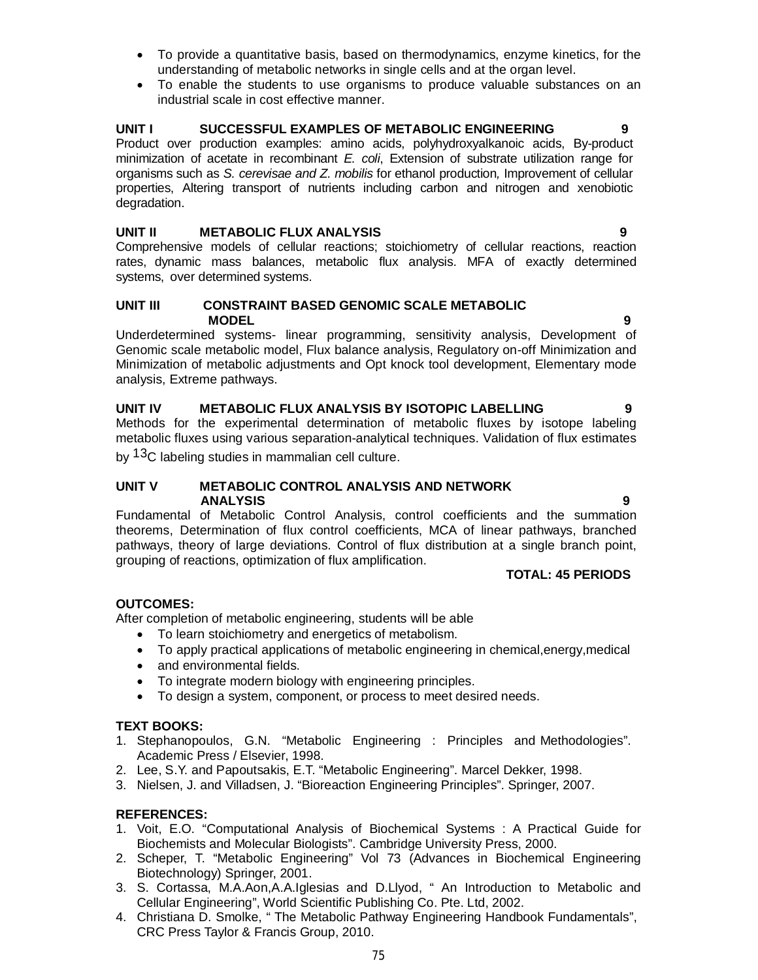- To provide a quantitative basis, based on thermodynamics, enzyme kinetics, for the understanding of metabolic networks in single cells and at the organ level.
- To enable the students to use organisms to produce valuable substances on an industrial scale in cost effective manner.

#### UNIT I SUCCESSFUL EXAMPLES OF METABOLIC ENGINEERING

Product over production examples: amino acids, polyhydroxyalkanoic acids, By-product minimization of acetate in recombinant *E. coli*, Extension of substrate utilization range for organisms such as *S. cerevisae and Z. mobilis* for ethanol production*,* Improvement of cellular properties, Altering transport of nutrients including carbon and nitrogen and xenobiotic degradation.

#### **UNIT II METABOLIC FLUX ANALYSIS 9**

Comprehensive models of cellular reactions; stoichiometry of cellular reactions, reaction rates, dynamic mass balances, metabolic flux analysis. MFA of exactly determined systems, over determined systems.

#### **UNIT III CONSTRAINT BASED GENOMIC SCALE METABOLIC MODEL 9**

Underdetermined systems- linear programming, sensitivity analysis, Development of Genomic scale metabolic model, Flux balance analysis, Regulatory on-off Minimization and Minimization of metabolic adjustments and Opt knock tool development, Elementary mode analysis, Extreme pathways.

**UNIT IV METABOLIC FLUX ANALYSIS BY ISOTOPIC LABELLING 9** Methods for the experimental determination of metabolic fluxes by isotope labeling metabolic fluxes using various separation-analytical techniques. Validation of flux estimates by <sup>13</sup>C labeling studies in mammalian cell culture.

#### **UNIT V METABOLIC CONTROL ANALYSIS AND NETWORK ANALYSIS 9**

Fundamental of Metabolic Control Analysis, control coefficients and the summation theorems, Determination of flux control coefficients, MCA of linear pathways, branched pathways, theory of large deviations. Control of flux distribution at a single branch point, grouping of reactions, optimization of flux amplification.

#### **TOTAL: 45 PERIODS**

### **OUTCOMES:**

After completion of metabolic engineering, students will be able

- To learn stoichiometry and energetics of metabolism.
- To apply practical applications of metabolic engineering in chemical,energy,medical
- and environmental fields.
- To integrate modern biology with engineering principles.
- To design a system, component, or process to meet desired needs.

#### **TEXT BOOKS:**

- 1. Stephanopoulos, G.N. "Metabolic Engineering : Principles and Methodologies". Academic Press / Elsevier, 1998.
- 2. Lee, S.Y. and Papoutsakis, E.T. "Metabolic Engineering". Marcel Dekker, 1998.
- 3. Nielsen, J. and Villadsen, J. "Bioreaction Engineering Principles". Springer, 2007.

#### **REFERENCES:**

- 1. Voit, E.O. "Computational Analysis of Biochemical Systems : A Practical Guide for Biochemists and Molecular Biologists". Cambridge University Press, 2000.
- 2. Scheper, T. "Metabolic Engineering" Vol 73 (Advances in Biochemical Engineering Biotechnology) Springer, 2001.
- 3. S. Cortassa, M.A.Aon,A.A.Iglesias and D.Llyod, " An Introduction to Metabolic and Cellular Engineering", World Scientific Publishing Co. Pte. Ltd, 2002.
- 4. Christiana D. Smolke, " The Metabolic Pathway Engineering Handbook Fundamentals", CRC Press Taylor & Francis Group, 2010.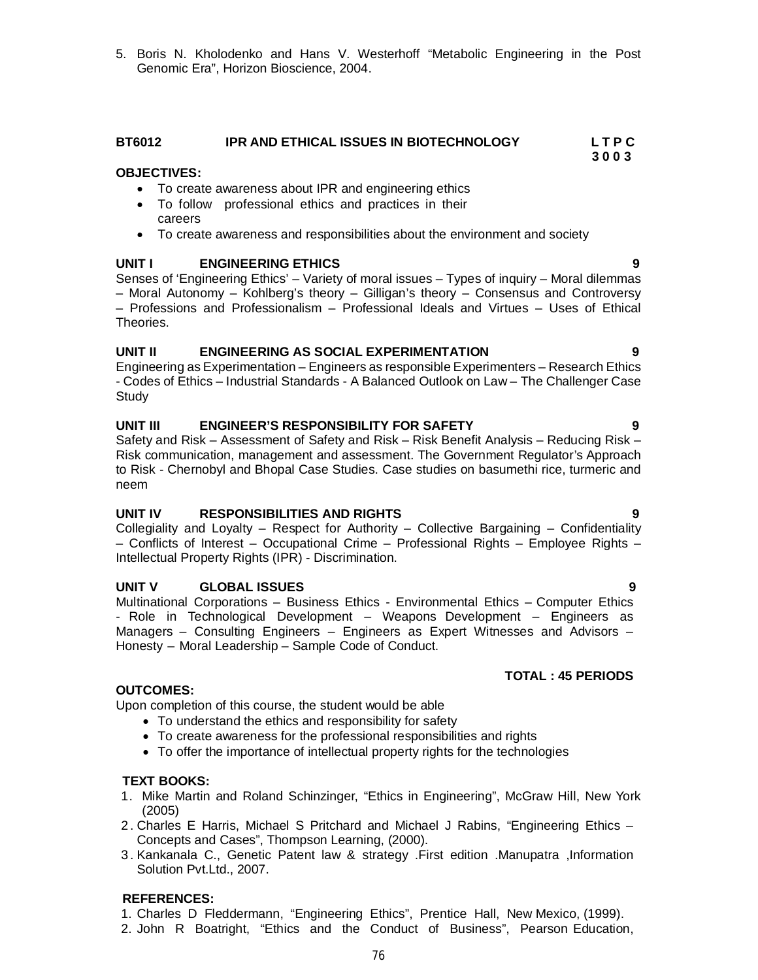5. Boris N. Kholodenko and Hans V. Westerhoff "Metabolic Engineering in the Post Genomic Era", Horizon Bioscience, 2004.

#### **BT6012 IPR AND ETHICAL ISSUES IN BIOTECHNOLOGY L T P C**

#### **OBJECTIVES:**

- To create awareness about IPR and engineering ethics
- To follow professional ethics and practices in their careers
- To create awareness and responsibilities about the environment and society

#### **UNIT I ENGINEERING ETHICS 9**

Senses of 'Engineering Ethics' – Variety of moral issues – Types of inquiry – Moral dilemmas – Moral Autonomy – Kohlberg's theory – Gilligan's theory – Consensus and Controversy – Professions and Professionalism – Professional Ideals and Virtues – Uses of Ethical Theories.

#### **UNIT II ENGINEERING AS SOCIAL EXPERIMENTATION 9**

Engineering as Experimentation – Engineers as responsible Experimenters – Research Ethics - Codes of Ethics – Industrial Standards - A Balanced Outlook on Law – The Challenger Case **Study** 

#### **UNIT III ENGINEER'S RESPONSIBILITY FOR SAFETY 9**

Safety and Risk – Assessment of Safety and Risk – Risk Benefit Analysis – Reducing Risk – Risk communication, management and assessment. The Government Regulator's Approach to Risk - Chernobyl and Bhopal Case Studies. Case studies on basumethi rice, turmeric and neem

#### **UNIT IV RESPONSIBILITIES AND RIGHTS 9**

Collegiality and Loyalty – Respect for Authority – Collective Bargaining – Confidentiality – Conflicts of Interest – Occupational Crime – Professional Rights – Employee Rights – Intellectual Property Rights (IPR) - Discrimination.

#### **UNIT V GLOBAL ISSUES 9**

Multinational Corporations – Business Ethics - Environmental Ethics – Computer Ethics - Role in Technological Development – Weapons Development – Engineers as Managers – Consulting Engineers – Engineers as Expert Witnesses and Advisors – Honesty – Moral Leadership – Sample Code of Conduct.

#### **OUTCOMES:**

Upon completion of this course, the student would be able

- To understand the ethics and responsibility for safety
- To create awareness for the professional responsibilities and rights
- To offer the importance of intellectual property rights for the technologies

#### **TEXT BOOKS:**

- 1. Mike Martin and Roland Schinzinger, "Ethics in Engineering", McGraw Hill, New York (2005)
- 2 . Charles E Harris, Michael S Pritchard and Michael J Rabins, "Engineering Ethics Concepts and Cases", Thompson Learning, (2000).
- 3 . Kankanala C., Genetic Patent law & strategy .First edition .Manupatra ,Information Solution Pvt.Ltd., 2007.

#### **REFERENCES:**

2. John R Boatright, "Ethics and the Conduct of Business", Pearson Education,

**TOTAL : 45 PERIODS**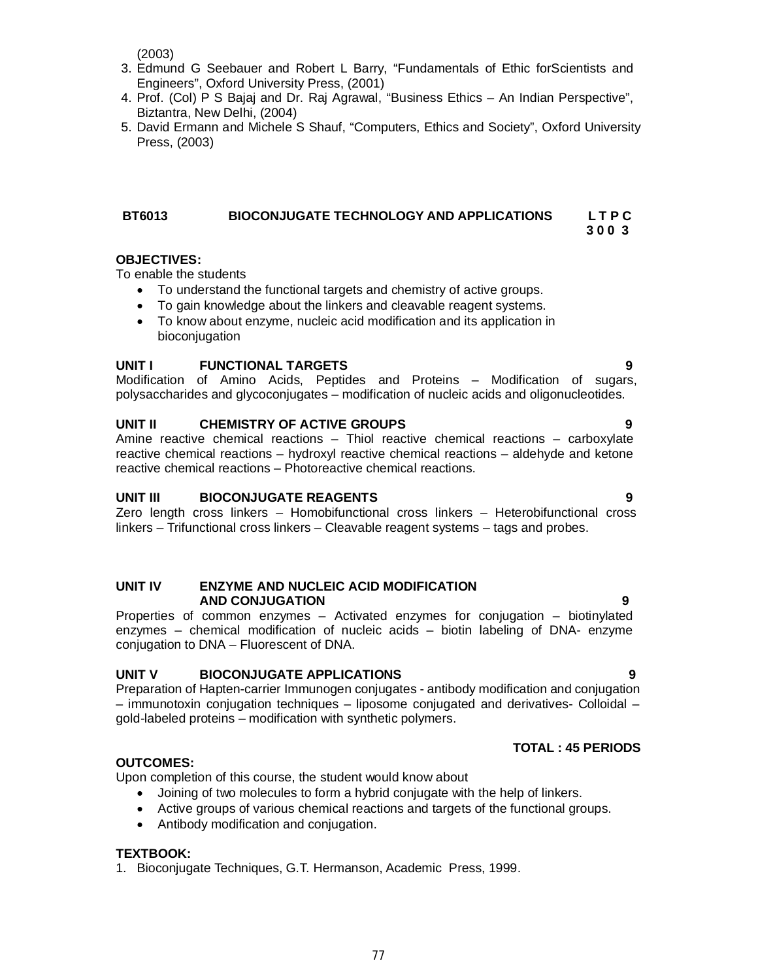(2003)

- 3. Edmund G Seebauer and Robert L Barry, "Fundamentals of Ethic forScientists and Engineers", Oxford University Press, (2001)
- 4. Prof. (Col) P S Bajaj and Dr. Raj Agrawal, "Business Ethics An Indian Perspective", Biztantra, New Delhi, (2004)
- 5. David Ermann and Michele S Shauf, "Computers, Ethics and Society", Oxford University Press, (2003)

### **BT6013 BIOCONJUGATE TECHNOLOGY AND APPLICATIONS L T P C**

#### **OBJECTIVES:**

To enable the students

- To understand the functional targets and chemistry of active groups.
- To gain knowledge about the linkers and cleavable reagent systems.
- To know about enzyme, nucleic acid modification and its application in bioconjugation

#### **UNIT I FUNCTIONAL TARGETS 9**

Modification of Amino Acids, Peptides and Proteins – Modification of sugars, polysaccharides and glycoconjugates – modification of nucleic acids and oligonucleotides.

#### **UNIT II CHEMISTRY OF ACTIVE GROUPS 9**

Amine reactive chemical reactions – Thiol reactive chemical reactions – carboxylate reactive chemical reactions – hydroxyl reactive chemical reactions – aldehyde and ketone reactive chemical reactions – Photoreactive chemical reactions.

#### **UNIT III BIOCONJUGATE REAGENTS 9**

Zero length cross linkers – Homobifunctional cross linkers – Heterobifunctional cross linkers – Trifunctional cross linkers – Cleavable reagent systems – tags and probes.

#### **UNIT IV ENZYME AND NUCLEIC ACID MODIFICATION AND CONJUGATION 9**

Properties of common enzymes – Activated enzymes for conjugation – biotinylated enzymes – chemical modification of nucleic acids – biotin labeling of DNA- enzyme conjugation to DNA – Fluorescent of DNA.

#### **UNIT V BIOCONJUGATE APPLICATIONS 9**

Preparation of Hapten-carrier Immunogen conjugates - antibody modification and conjugation – immunotoxin conjugation techniques – liposome conjugated and derivatives- Colloidal – gold-labeled proteins – modification with synthetic polymers.

#### **TOTAL : 45 PERIODS**

#### **OUTCOMES:**

Upon completion of this course, the student would know about

- Joining of two molecules to form a hybrid conjugate with the help of linkers.
- Active groups of various chemical reactions and targets of the functional groups.
- Antibody modification and conjugation.

#### **TEXTBOOK:**

1. Bioconjugate Techniques, G.T. Hermanson, Academic Press, 1999.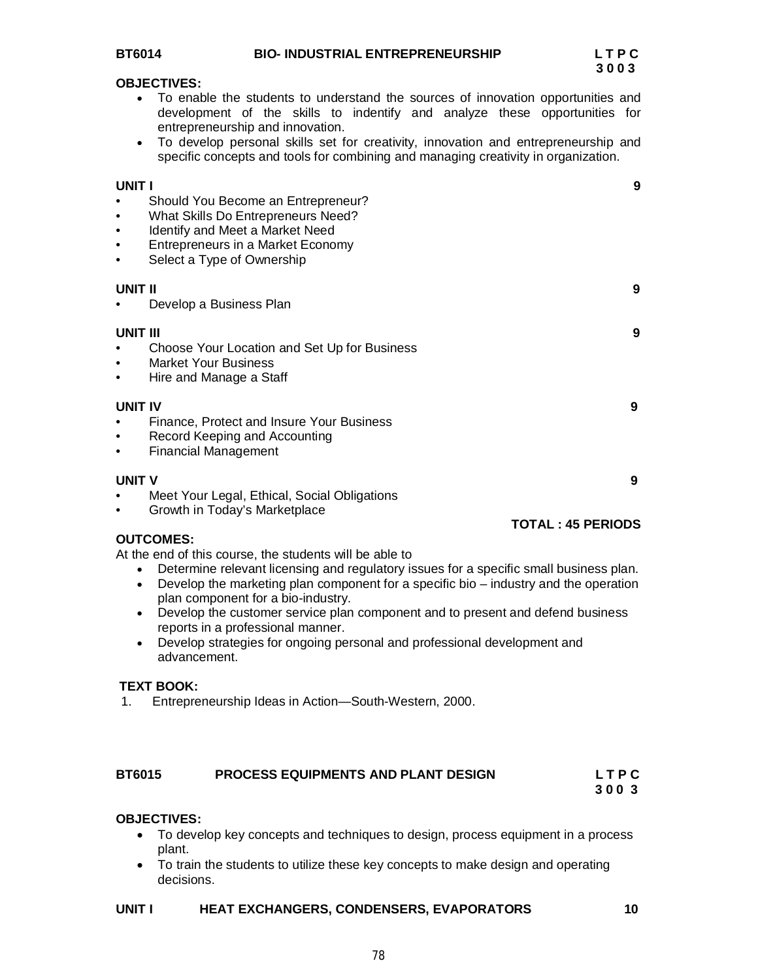#### **OBJECTIVES:**

- To enable the students to understand the sources of innovation opportunities and development of the skills to indentify and analyze these opportunities for entrepreneurship and innovation.
- To develop personal skills set for creativity, innovation and entrepreneurship and specific concepts and tools for combining and managing creativity in organization.

**UNIT I 9** Should You Become an Entrepreneur? • What Skills Do Entrepreneurs Need? • Identify and Meet a Market Need • Entrepreneurs in a Market Economy Select a Type of Ownership **UNIT II 9** • Develop a Business Plan **UNIT III 9** • Choose Your Location and Set Up for Business • Market Your Business • Hire and Manage a Staff **UNIT IV 9** • Finance, Protect and Insure Your Business • Record Keeping and Accounting • Financial Management **UNIT V 9** • Meet Your Legal, Ethical, Social Obligations • Growth in Today's Marketplace **TOTAL : 45 PERIODS OUTCOMES:**

At the end of this course, the students will be able to

- Determine relevant licensing and regulatory issues for a specific small business plan.
- Develop the marketing plan component for a specific bio industry and the operation plan component for a bio-industry.
- Develop the customer service plan component and to present and defend business reports in a professional manner.
- Develop strategies for ongoing personal and professional development and advancement.

#### **TEXT BOOK:**

1. Entrepreneurship Ideas in Action—South-Western, 2000.

# **BT6015 PROCESS EQUIPMENTS AND PLANT DESIGN L T P C**

# **3 0 0 3**

#### **OBJECTIVES:**

- To develop key concepts and techniques to design, process equipment in a process plant.
- To train the students to utilize these key concepts to make design and operating decisions.

#### **UNIT I HEAT EXCHANGERS, CONDENSERS, EVAPORATORS** 10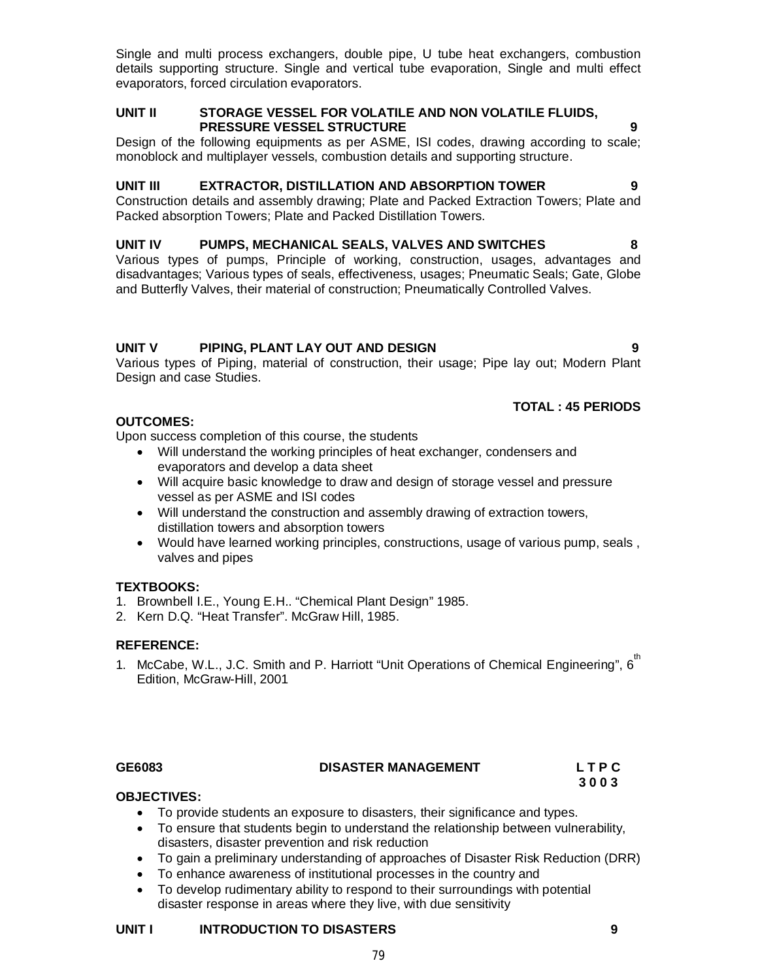Single and multi process exchangers, double pipe, U tube heat exchangers, combustion details supporting structure. Single and vertical tube evaporation, Single and multi effect evaporators, forced circulation evaporators.

### **UNIT II STORAGE VESSEL FOR VOLATILE AND NON VOLATILE FLUIDS, PRESSURE VESSEL STRUCTURE 9**

Design of the following equipments as per ASME, ISI codes, drawing according to scale; monoblock and multiplayer vessels, combustion details and supporting structure.

### **UNIT III EXTRACTOR, DISTILLATION AND ABSORPTION TOWER 9**

Construction details and assembly drawing; Plate and Packed Extraction Towers; Plate and Packed absorption Towers; Plate and Packed Distillation Towers.

### **UNIT IV PUMPS, MECHANICAL SEALS, VALVES AND SWITCHES 8**

Various types of pumps, Principle of working, construction, usages, advantages and disadvantages; Various types of seals, effectiveness, usages; Pneumatic Seals; Gate, Globe and Butterfly Valves, their material of construction; Pneumatically Controlled Valves.

### **UNIT V PIPING, PLANT LAY OUT AND DESIGN 9**

Various types of Piping, material of construction, their usage; Pipe lay out; Modern Plant Design and case Studies.

# **TOTAL : 45 PERIODS**

### **OUTCOMES:**

Upon success completion of this course, the students

- Will understand the working principles of heat exchanger, condensers and evaporators and develop a data sheet
- Will acquire basic knowledge to draw and design of storage vessel and pressure vessel as per ASME and ISI codes
- Will understand the construction and assembly drawing of extraction towers, distillation towers and absorption towers
- Would have learned working principles, constructions, usage of various pump, seals , valves and pipes

#### **TEXTBOOKS:**

- 1. Brownbell I.E., Young E.H.. "Chemical Plant Design" 1985.
- 2. Kern D.Q. "Heat Transfer". McGraw Hill, 1985.

#### **REFERENCE:**

1. McCabe, W.L., J.C. Smith and P. Harriott "Unit Operations of Chemical Engineering", 6<sup>th</sup> Edition, McGraw-Hill, 2001

# **GE6083 DISASTER MANAGEMENT L T P C**

 **3 0 0 3** 

#### **OBJECTIVES:**

- To provide students an exposure to disasters, their significance and types.
- To ensure that students begin to understand the relationship between vulnerability, disasters, disaster prevention and risk reduction
- To gain a preliminary understanding of approaches of Disaster Risk Reduction (DRR)
- To enhance awareness of institutional processes in the country and
- To develop rudimentary ability to respond to their surroundings with potential disaster response in areas where they live, with due sensitivity

#### **UNIT I INTRODUCTION TO DISASTERS 9**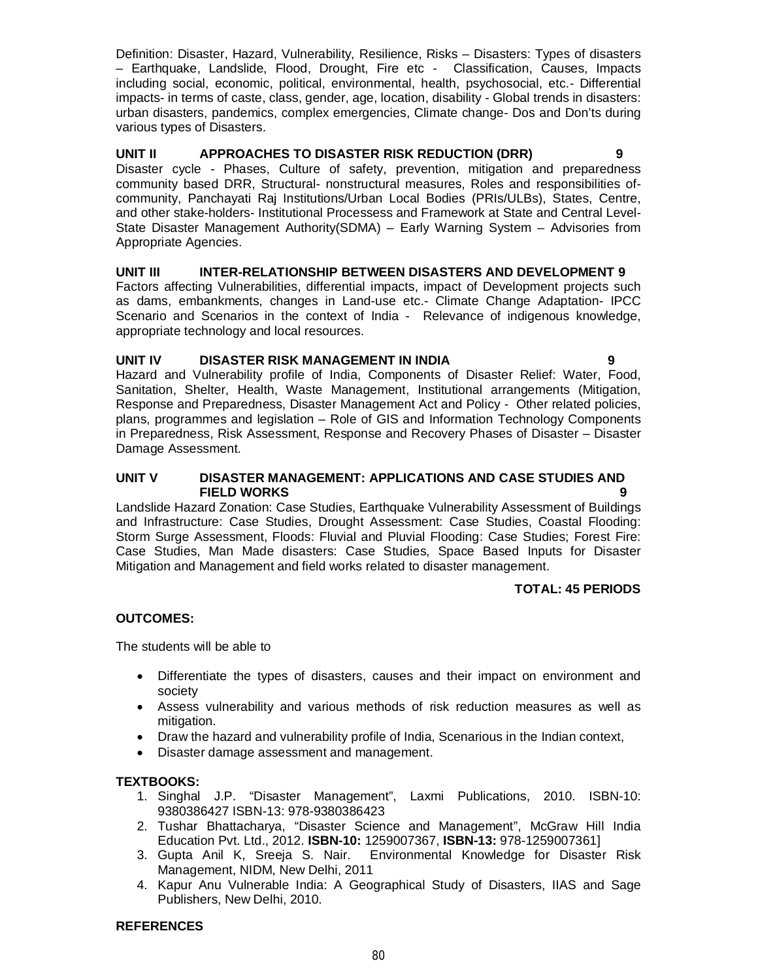Definition: Disaster, Hazard, Vulnerability, Resilience, Risks – Disasters: Types of disasters – Earthquake, Landslide, Flood, Drought, Fire etc - Classification, Causes, Impacts including social, economic, political, environmental, health, psychosocial, etc.- Differential impacts- in terms of caste, class, gender, age, location, disability - Global trends in disasters: urban disasters, pandemics, complex emergencies, Climate change- Dos and Don'ts during various types of Disasters.

### **UNIT II APPROACHES TO DISASTER RISK REDUCTION (DRR) 9**

Disaster cycle - Phases, Culture of safety, prevention, mitigation and preparedness community based DRR, Structural- nonstructural measures, Roles and responsibilities ofcommunity, Panchayati Raj Institutions/Urban Local Bodies (PRIs/ULBs), States, Centre, and other stake-holders- Institutional Processess and Framework at State and Central Level-State Disaster Management Authority(SDMA) – Early Warning System – Advisories from Appropriate Agencies.

### **UNIT III INTER-RELATIONSHIP BETWEEN DISASTERS AND DEVELOPMENT 9**

Factors affecting Vulnerabilities, differential impacts, impact of Development projects such as dams, embankments, changes in Land-use etc.- Climate Change Adaptation- IPCC Scenario and Scenarios in the context of India - Relevance of indigenous knowledge, appropriate technology and local resources.

### **UNIT IV DISASTER RISK MANAGEMENT IN INDIA 9**

Hazard and Vulnerability profile of India, Components of Disaster Relief: Water, Food, Sanitation, Shelter, Health, Waste Management, Institutional arrangements (Mitigation, Response and Preparedness, Disaster Management Act and Policy - Other related policies, plans, programmes and legislation – Role of GIS and Information Technology Components in Preparedness, Risk Assessment, Response and Recovery Phases of Disaster – Disaster Damage Assessment.

#### **UNIT V DISASTER MANAGEMENT: APPLICATIONS AND CASE STUDIES AND FIELD WORKS**

Landslide Hazard Zonation: Case Studies, Earthquake Vulnerability Assessment of Buildings and Infrastructure: Case Studies, Drought Assessment: Case Studies, Coastal Flooding: Storm Surge Assessment, Floods: Fluvial and Pluvial Flooding: Case Studies; Forest Fire: Case Studies, Man Made disasters: Case Studies, Space Based Inputs for Disaster Mitigation and Management and field works related to disaster management.

### **TOTAL: 45 PERIODS**

### **OUTCOMES:**

The students will be able to

- Differentiate the types of disasters, causes and their impact on environment and society
- Assess vulnerability and various methods of risk reduction measures as well as mitigation.
- Draw the hazard and vulnerability profile of India, Scenarious in the Indian context,
- Disaster damage assessment and management.

#### **TEXTBOOKS:**

- 1. Singhal J.P. "Disaster Management", Laxmi Publications, 2010. ISBN-10: 9380386427 ISBN-13: 978-9380386423
- 2. Tushar Bhattacharya, "Disaster Science and Management", McGraw Hill India Education Pvt. Ltd., 2012. **ISBN-10:** 1259007367, **ISBN-13:** 978-1259007361]
- 3. Gupta Anil K, Sreeja S. Nair. Environmental Knowledge for Disaster Risk Management, NIDM, New Delhi, 2011
- 4. Kapur Anu Vulnerable India: A Geographical Study of Disasters, IIAS and Sage Publishers, New Delhi, 2010.

#### **REFERENCES**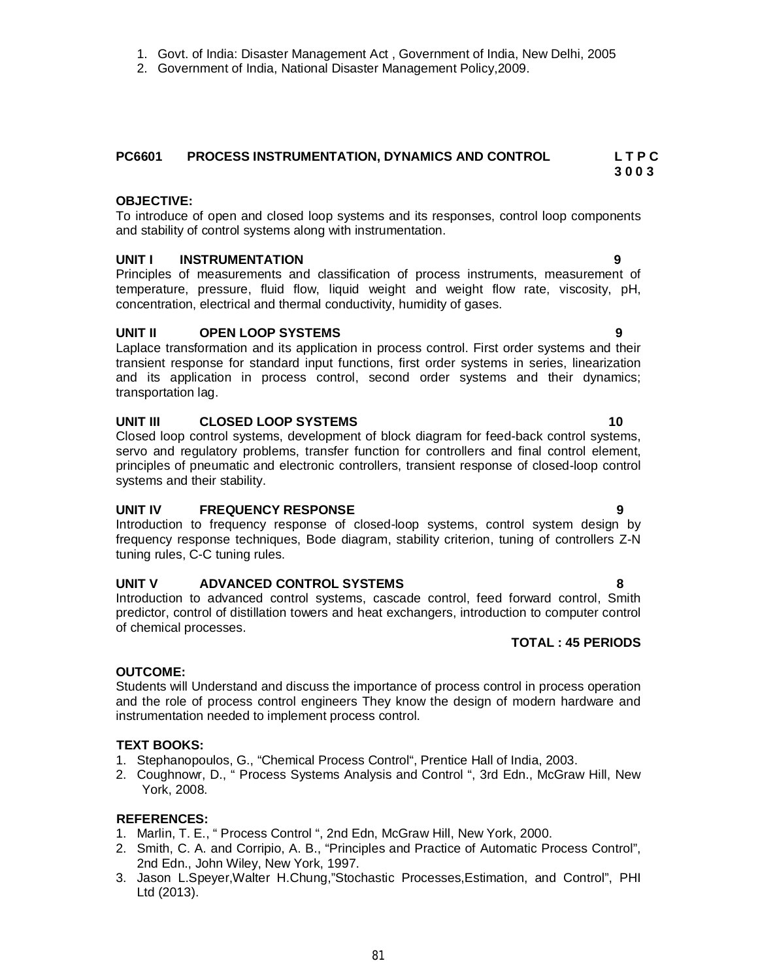2. Government of India, National Disaster Management Policy,2009.

# **PC6601 PROCESS INSTRUMENTATION, DYNAMICS AND CONTROL L T P C**

# **OBJECTIVE:**

To introduce of open and closed loop systems and its responses, control loop components and stability of control systems along with instrumentation.

# **UNIT I INSTRUMENTATION 9**

Principles of measurements and classification of process instruments, measurement of temperature, pressure, fluid flow, liquid weight and weight flow rate, viscosity, pH, concentration, electrical and thermal conductivity, humidity of gases.

# **UNIT II OPEN LOOP SYSTEMS 9**

Laplace transformation and its application in process control. First order systems and their transient response for standard input functions, first order systems in series, linearization and its application in process control, second order systems and their dynamics; transportation lag.

# **UNIT III CLOSED LOOP SYSTEMS 10**

Closed loop control systems, development of block diagram for feed-back control systems, servo and regulatory problems, transfer function for controllers and final control element, principles of pneumatic and electronic controllers, transient response of closed-loop control systems and their stability.

## **UNIT IV FREQUENCY RESPONSE 9**

Introduction to frequency response of closed-loop systems, control system design by frequency response techniques, Bode diagram, stability criterion, tuning of controllers Z-N tuning rules, C-C tuning rules.

# **UNIT V ADVANCED CONTROL SYSTEMS 8**

Introduction to advanced control systems, cascade control, feed forward control, Smith predictor, control of distillation towers and heat exchangers, introduction to computer control of chemical processes.

# **TOTAL : 45 PERIODS**

# **OUTCOME:**

Students will Understand and discuss the importance of process control in process operation and the role of process control engineers They know the design of modern hardware and instrumentation needed to implement process control.

# **TEXT BOOKS:**

- 1. Stephanopoulos, G., "Chemical Process Control", Prentice Hall of India, 2003.
- 2. Coughnowr, D., " Process Systems Analysis and Control ", 3rd Edn., McGraw Hill, New York, 2008.

# **REFERENCES:**

- 1. Marlin, T. E., " Process Control ", 2nd Edn, McGraw Hill, New York, 2000.
- 2. Smith, C. A. and Corripio, A. B., "Principles and Practice of Automatic Process Control", 2nd Edn., John Wiley, New York, 1997.
- 3. Jason L.Speyer,Walter H.Chung,"Stochastic Processes,Estimation, and Control", PHI Ltd (2013).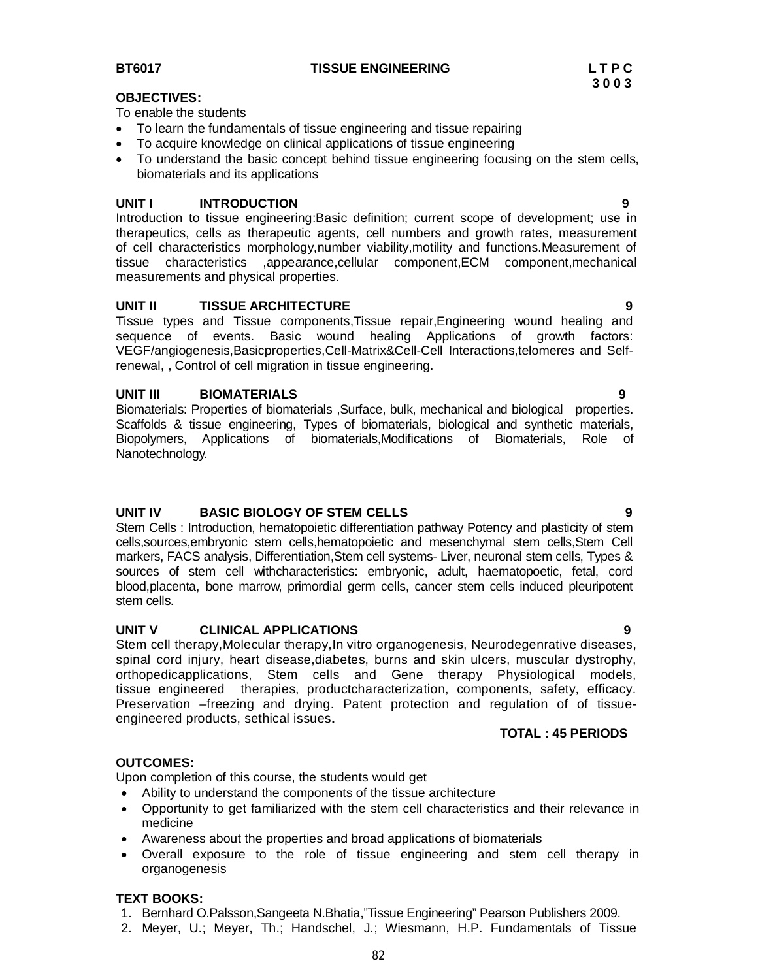**BT6017 TISSUE ENGINEERING L T P C**

#### **OBJECTIVES:**

To enable the students

- To learn the fundamentals of tissue engineering and tissue repairing
- To acquire knowledge on clinical applications of tissue engineering
- To understand the basic concept behind tissue engineering focusing on the stem cells, biomaterials and its applications

#### **UNIT I INTRODUCTION 9**

Introduction to tissue engineering:Basic definition; current scope of development; use in therapeutics, cells as therapeutic agents, cell numbers and growth rates, measurement of cell characteristics morphology,number viability,motility and functions.Measurement of tissue characteristics ,appearance,cellular component,ECM component,mechanical measurements and physical properties.

#### **UNIT II TISSUE ARCHITECTURE 9**

Tissue types and Tissue components,Tissue repair,Engineering wound healing and sequence of events. Basic wound healing Applications of growth factors: VEGF/angiogenesis,Basicproperties,Cell-Matrix&Cell-Cell Interactions,telomeres and Selfrenewal, , Control of cell migration in tissue engineering.

#### **UNIT III BIOMATERIALS 9**

Biomaterials: Properties of biomaterials ,Surface, bulk, mechanical and biological properties. Scaffolds & tissue engineering, Types of biomaterials, biological and synthetic materials, Biopolymers, Applications of biomaterials,Modifications of Biomaterials, Role of Nanotechnology.

### **UNIT IV BASIC BIOLOGY OF STEM CELLS 9**

Stem Cells : Introduction, hematopoietic differentiation pathway Potency and plasticity of stem cells,sources,embryonic stem cells,hematopoietic and mesenchymal stem cells,Stem Cell markers, FACS analysis, Differentiation,Stem cell systems- Liver, neuronal stem cells, Types & sources of stem cell withcharacteristics: embryonic, adult, haematopoetic, fetal, cord blood,placenta, bone marrow, primordial germ cells, cancer stem cells induced pleuripotent stem cells.

#### **UNIT V CLINICAL APPLICATIONS 9**

Stem cell therapy,Molecular therapy,In vitro organogenesis, Neurodegenrative diseases, spinal cord injury, heart disease,diabetes, burns and skin ulcers, muscular dystrophy, orthopedicapplications, Stem cells and Gene therapy Physiological models, tissue engineered therapies, productcharacterization, components, safety, efficacy. Preservation –freezing and drying. Patent protection and regulation of of tissueengineered products, sethical issues**.**

#### **TOTAL : 45 PERIODS**

#### **OUTCOMES:**

Upon completion of this course, the students would get

- Ability to understand the components of the tissue architecture
- Opportunity to get familiarized with the stem cell characteristics and their relevance in medicine
- Awareness about the properties and broad applications of biomaterials
- Overall exposure to the role of tissue engineering and stem cell therapy in organogenesis

#### **TEXT BOOKS:**

- 1. Bernhard O.Palsson,Sangeeta N.Bhatia,"Tissue Engineering" Pearson Publishers 2009.
- 2. Meyer, U.; Meyer, Th.; Handschel, J.; Wiesmann, H.P. Fundamentals of Tissue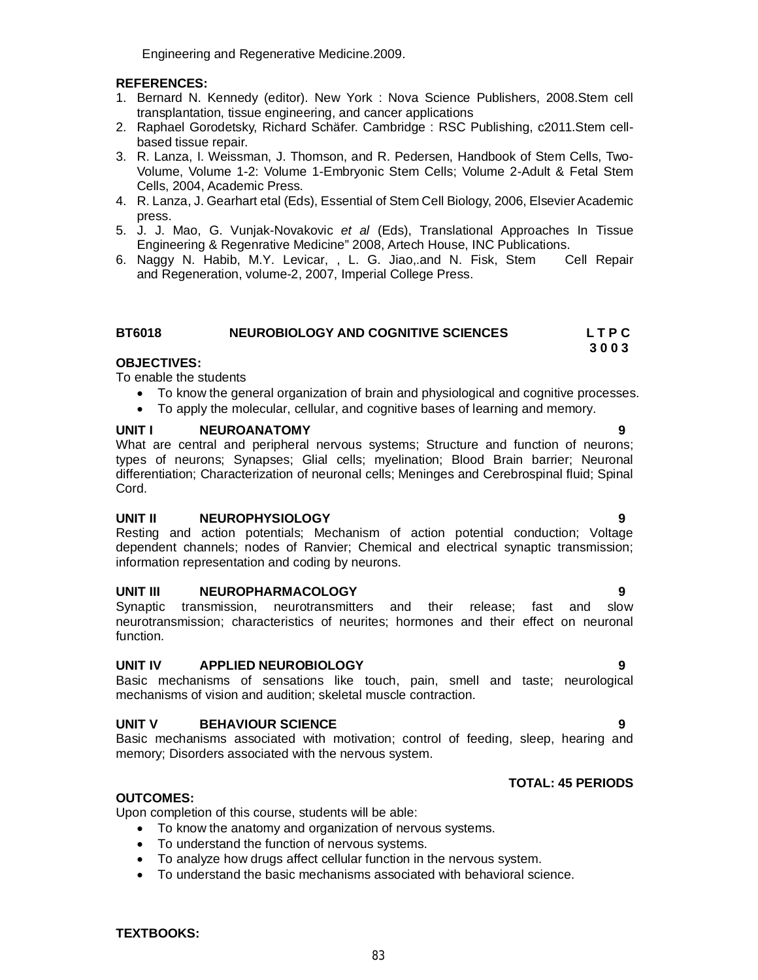Engineering and Regenerative Medicine.2009.

### **REFERENCES:**

- 1. Bernard N. Kennedy (editor). New York : Nova Science Publishers, 2008.Stem cell transplantation, tissue engineering, and cancer applications
- 2. Raphael Gorodetsky, Richard Schäfer. Cambridge : RSC Publishing, c2011.Stem cellbased tissue repair.
- 3. R. Lanza, I. Weissman, J. Thomson, and R. Pedersen, Handbook of Stem Cells, Two-Volume, Volume 1-2: Volume 1-Embryonic Stem Cells; Volume 2-Adult & Fetal Stem Cells, 2004, Academic Press.
- 4. R. Lanza, J. Gearhart etal (Eds), Essential of Stem Cell Biology, 2006, ElsevierAcademic press.
- 5. J. J. Mao, G. Vunjak-Novakovic *et al* (Eds), Translational Approaches In Tissue Engineering & Regenrative Medicine" 2008, Artech House, INC Publications.
- 6. Naggy N. Habib, M.Y. Levicar, , L. G. Jiao,.and N. Fisk, Stem Cell Repair and Regeneration, volume-2, 2007, Imperial College Press.

| <b>BT6018</b> | NEUROBIOLOGY AND COGNITIVE SCIENCES | <b>LTPC</b> |
|---------------|-------------------------------------|-------------|
|---------------|-------------------------------------|-------------|

#### **3 0 0 3 OBJECTIVES:**

To enable the students

- To know the general organization of brain and physiological and cognitive processes.
- To apply the molecular, cellular, and cognitive bases of learning and memory.

#### **UNIT I NEUROANATOMY 9**

What are central and peripheral nervous systems; Structure and function of neurons; types of neurons; Synapses; Glial cells; myelination; Blood Brain barrier; Neuronal differentiation; Characterization of neuronal cells; Meninges and Cerebrospinal fluid; Spinal Cord.

#### **UNIT II NEUROPHYSIOLOGY 9**

Resting and action potentials; Mechanism of action potential conduction; Voltage dependent channels; nodes of Ranvier; Chemical and electrical synaptic transmission; information representation and coding by neurons.

#### **UNIT III NEUROPHARMACOLOGY 9**

Synaptic transmission, neurotransmitters and their release; fast and slow neurotransmission; characteristics of neurites; hormones and their effect on neuronal function.

#### **UNIT IV APPLIED NEUROBIOLOGY 9**

Basic mechanisms of sensations like touch, pain, smell and taste; neurological mechanisms of vision and audition; skeletal muscle contraction.

#### **UNIT V BEHAVIOUR SCIENCE 9**

Basic mechanisms associated with motivation; control of feeding, sleep, hearing and memory; Disorders associated with the nervous system.

#### **TOTAL: 45 PERIODS**

#### **OUTCOMES:**

Upon completion of this course, students will be able:

- To know the anatomy and organization of nervous systems.
- To understand the function of nervous systems.
- To analyze how drugs affect cellular function in the nervous system.
- To understand the basic mechanisms associated with behavioral science.